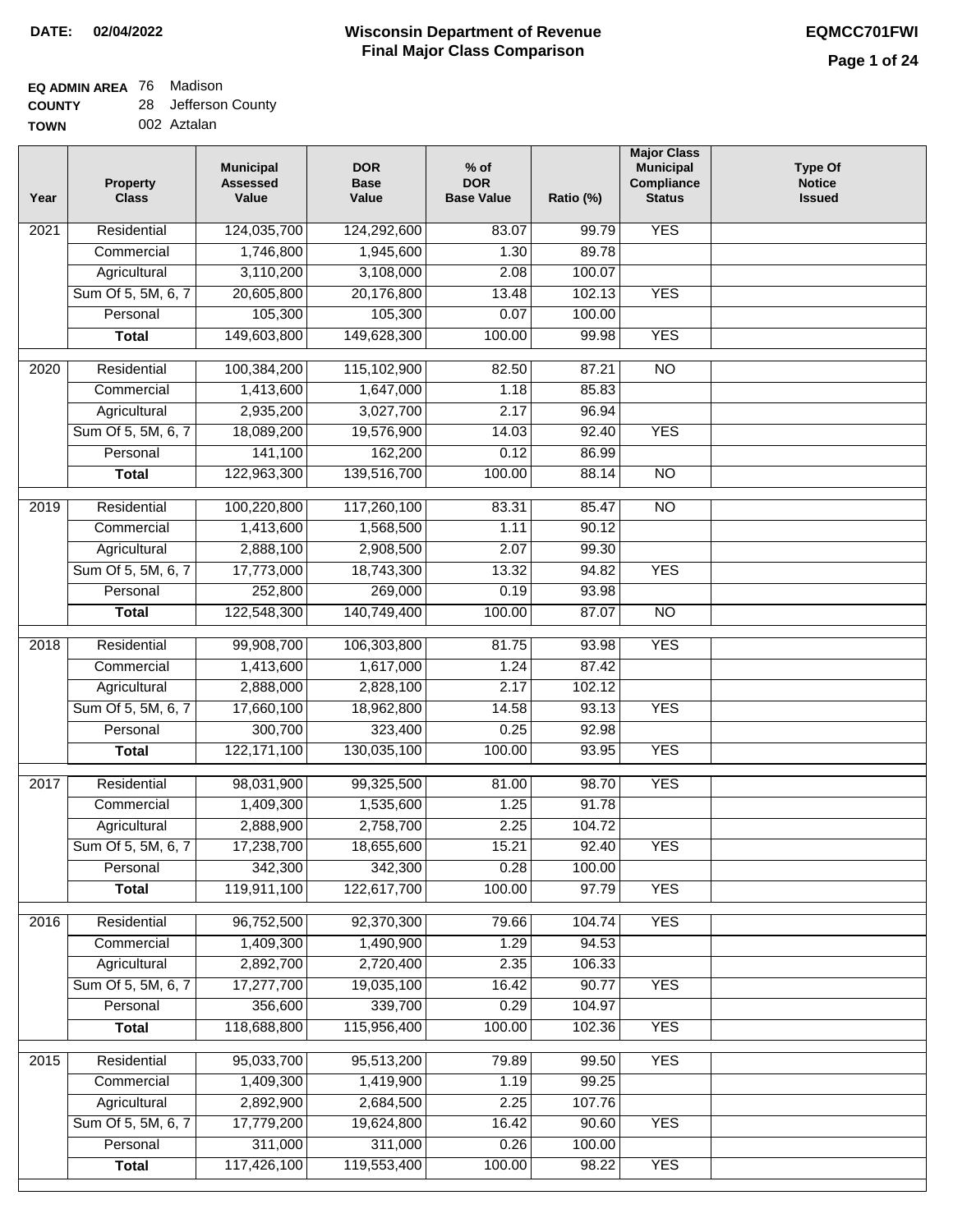#### **Wisconsin Department of Revenue Final Major Class Comparison DATE: 02/04/2022 EQMCC701FWI**

٦

#### **EQ ADMIN AREA** 76 Madison **COUNTY** 28 Jefferson County

| -------     |             |  |  |  |
|-------------|-------------|--|--|--|
| <b>TOWN</b> | 002 Aztalan |  |  |  |

| Year | <b>Property</b><br><b>Class</b> | <b>Municipal</b><br><b>Assessed</b><br>Value | <b>DOR</b><br><b>Base</b><br>Value | $%$ of<br><b>DOR</b><br><b>Base Value</b> | Ratio (%) | <b>Major Class</b><br><b>Municipal</b><br>Compliance<br><b>Status</b> | <b>Type Of</b><br><b>Notice</b><br><b>Issued</b> |
|------|---------------------------------|----------------------------------------------|------------------------------------|-------------------------------------------|-----------|-----------------------------------------------------------------------|--------------------------------------------------|
| 2021 | Residential                     | 124,035,700                                  | 124,292,600                        | 83.07                                     | 99.79     | <b>YES</b>                                                            |                                                  |
|      | Commercial                      | 1,746,800                                    | 1,945,600                          | 1.30                                      | 89.78     |                                                                       |                                                  |
|      | Agricultural                    | 3,110,200                                    | 3,108,000                          | 2.08                                      | 100.07    |                                                                       |                                                  |
|      | Sum Of 5, 5M, 6, 7              | 20,605,800                                   | 20,176,800                         | 13.48                                     | 102.13    | <b>YES</b>                                                            |                                                  |
|      | Personal                        | 105,300                                      | 105,300                            | 0.07                                      | 100.00    |                                                                       |                                                  |
|      | <b>Total</b>                    | 149,603,800                                  | 149,628,300                        | 100.00                                    | 99.98     | <b>YES</b>                                                            |                                                  |
| 2020 | Residential                     | 100,384,200                                  | 115,102,900                        | 82.50                                     | 87.21     | $\overline{NO}$                                                       |                                                  |
|      | Commercial                      | 1,413,600                                    | 1,647,000                          | 1.18                                      | 85.83     |                                                                       |                                                  |
|      | Agricultural                    | 2,935,200                                    | 3,027,700                          | 2.17                                      | 96.94     |                                                                       |                                                  |
|      | Sum Of 5, 5M, 6, 7              | 18,089,200                                   | 19,576,900                         | 14.03                                     | 92.40     | <b>YES</b>                                                            |                                                  |
|      | Personal                        | 141,100                                      | 162,200                            | 0.12                                      | 86.99     |                                                                       |                                                  |
|      | <b>Total</b>                    | 122,963,300                                  | 139,516,700                        | 100.00                                    | 88.14     | $\overline{NO}$                                                       |                                                  |
|      |                                 |                                              |                                    |                                           |           |                                                                       |                                                  |
| 2019 | Residential                     | 100,220,800                                  | 117,260,100                        | 83.31                                     | 85.47     | $\overline{10}$                                                       |                                                  |
|      | Commercial                      | 1,413,600                                    | 1,568,500                          | 1.11                                      | 90.12     |                                                                       |                                                  |
|      | Agricultural                    | 2,888,100                                    | 2,908,500                          | 2.07                                      | 99.30     |                                                                       |                                                  |
|      | Sum Of 5, 5M, 6, 7              | 17,773,000                                   | 18,743,300                         | 13.32                                     | 94.82     | <b>YES</b>                                                            |                                                  |
|      | Personal                        | 252,800                                      | 269,000                            | 0.19                                      | 93.98     |                                                                       |                                                  |
|      | <b>Total</b>                    | 122,548,300                                  | 140,749,400                        | 100.00                                    | 87.07     | $\overline{NO}$                                                       |                                                  |
| 2018 | Residential                     | 99,908,700                                   | 106,303,800                        | 81.75                                     | 93.98     | <b>YES</b>                                                            |                                                  |
|      | Commercial                      | 1,413,600                                    | 1,617,000                          | 1.24                                      | 87.42     |                                                                       |                                                  |
|      | Agricultural                    | 2,888,000                                    | 2,828,100                          | 2.17                                      | 102.12    |                                                                       |                                                  |
|      | Sum Of 5, 5M, 6, 7              | 17,660,100                                   | 18,962,800                         | 14.58                                     | 93.13     | <b>YES</b>                                                            |                                                  |
|      | Personal                        | 300,700                                      | 323,400                            | 0.25                                      | 92.98     |                                                                       |                                                  |
|      | <b>Total</b>                    | 122, 171, 100                                | 130,035,100                        | 100.00                                    | 93.95     | <b>YES</b>                                                            |                                                  |
|      |                                 |                                              |                                    |                                           |           |                                                                       |                                                  |
| 2017 | Residential                     | 98,031,900                                   | 99,325,500                         | 81.00                                     | 98.70     | <b>YES</b>                                                            |                                                  |
|      | Commercial                      | 1,409,300                                    | 1,535,600                          | 1.25                                      | 91.78     |                                                                       |                                                  |
|      | Agricultural                    | 2,888,900                                    | 2,758,700                          | 2.25                                      | 104.72    |                                                                       |                                                  |
|      | Sum Of 5, 5M, 6, 7              | 17,238,700                                   | 18,655,600                         | 15.21                                     | 92.40     | <b>YES</b>                                                            |                                                  |
|      | Personal                        | 342,300                                      | 342,300                            | 0.28                                      | 100.00    |                                                                       |                                                  |
|      | <b>Total</b>                    | 119,911,100                                  | 122,617,700                        | 100.00                                    | 97.79     | <b>YES</b>                                                            |                                                  |
| 2016 | Residential                     | 96,752,500                                   | 92,370,300                         | 79.66                                     | 104.74    | <b>YES</b>                                                            |                                                  |
|      | Commercial                      | 1,409,300                                    | 1,490,900                          | 1.29                                      | 94.53     |                                                                       |                                                  |
|      | Agricultural                    | 2,892,700                                    | 2,720,400                          | 2.35                                      | 106.33    |                                                                       |                                                  |
|      | Sum Of 5, 5M, 6, 7              | 17,277,700                                   | 19,035,100                         | 16.42                                     | 90.77     | <b>YES</b>                                                            |                                                  |
|      | Personal                        | 356,600                                      | 339,700                            | 0.29                                      | 104.97    |                                                                       |                                                  |
|      | <b>Total</b>                    | 118,688,800                                  | 115,956,400                        | 100.00                                    | 102.36    | <b>YES</b>                                                            |                                                  |
| 2015 | Residential                     | 95,033,700                                   | 95,513,200                         | 79.89                                     | 99.50     | <b>YES</b>                                                            |                                                  |
|      | Commercial                      | 1,409,300                                    | 1,419,900                          | 1.19                                      | 99.25     |                                                                       |                                                  |
|      | Agricultural                    | 2,892,900                                    | 2,684,500                          | 2.25                                      | 107.76    |                                                                       |                                                  |
|      | Sum Of 5, 5M, 6, 7              | 17,779,200                                   | 19,624,800                         | 16.42                                     | 90.60     | <b>YES</b>                                                            |                                                  |
|      | Personal                        | 311,000                                      | 311,000                            | 0.26                                      | 100.00    |                                                                       |                                                  |
|      | <b>Total</b>                    | 117,426,100                                  | 119,553,400                        | 100.00                                    | 98.22     | <b>YES</b>                                                            |                                                  |
|      |                                 |                                              |                                    |                                           |           |                                                                       |                                                  |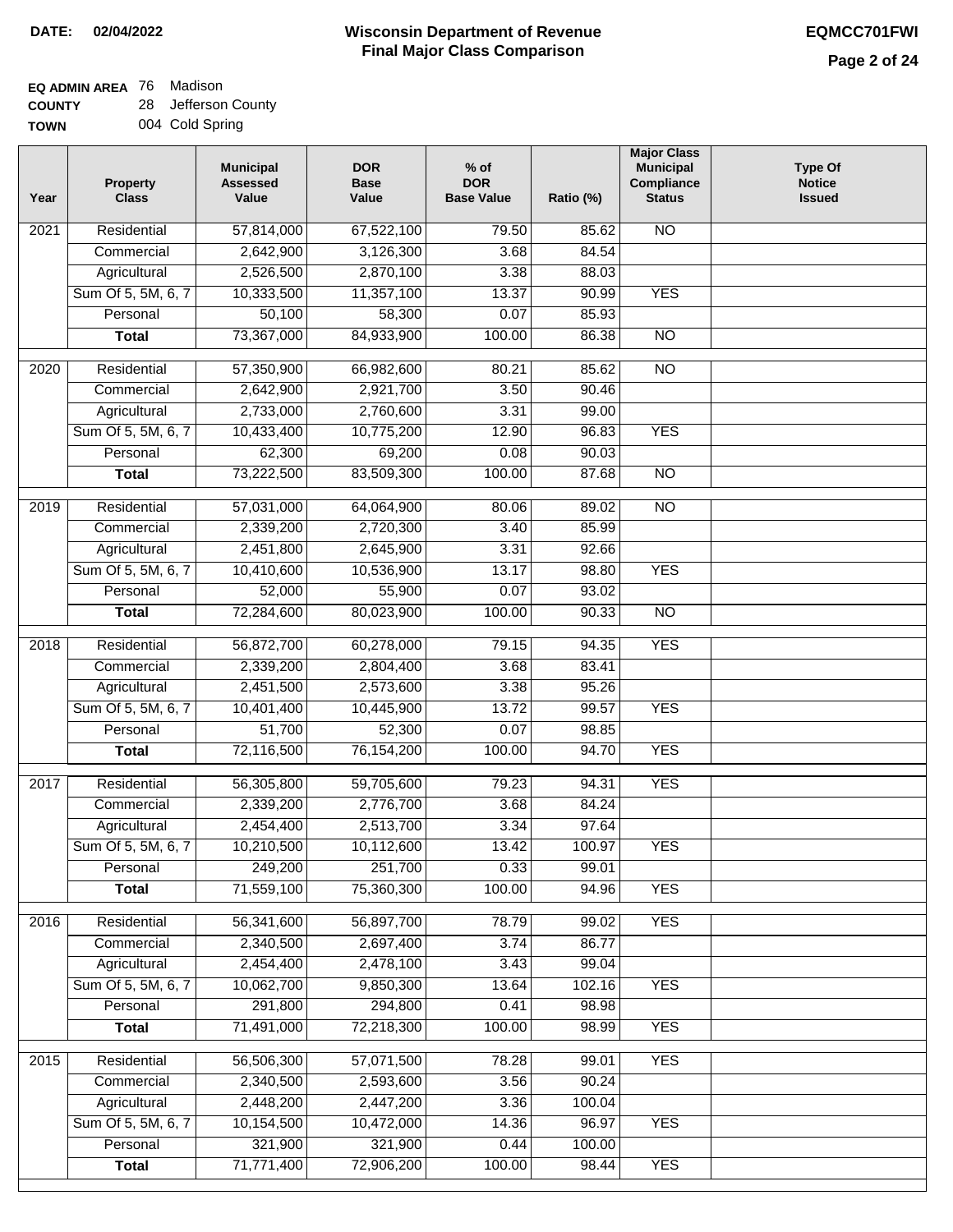#### **Wisconsin Department of Revenue Final Major Class Comparison DATE: 02/04/2022 EQMCC701FWI**

### **EQ ADMIN AREA** 76 Madison **COUNTY**

**TOWN** 28 Jefferson County 004 Cold Spring

| Year             | <b>Property</b><br><b>Class</b> | <b>Municipal</b><br><b>Assessed</b><br>Value | <b>DOR</b><br><b>Base</b><br>Value | $%$ of<br><b>DOR</b><br><b>Base Value</b> | Ratio (%) | <b>Major Class</b><br><b>Municipal</b><br>Compliance<br><b>Status</b> | <b>Type Of</b><br><b>Notice</b><br><b>Issued</b> |
|------------------|---------------------------------|----------------------------------------------|------------------------------------|-------------------------------------------|-----------|-----------------------------------------------------------------------|--------------------------------------------------|
| 2021             | Residential                     | 57,814,000                                   | 67,522,100                         | 79.50                                     | 85.62     | N <sub>O</sub>                                                        |                                                  |
|                  | Commercial                      | 2,642,900                                    | 3,126,300                          | 3.68                                      | 84.54     |                                                                       |                                                  |
|                  | Agricultural                    | 2,526,500                                    | 2,870,100                          | 3.38                                      | 88.03     |                                                                       |                                                  |
|                  | Sum Of 5, 5M, 6, 7              | 10,333,500                                   | 11,357,100                         | 13.37                                     | 90.99     | <b>YES</b>                                                            |                                                  |
|                  | Personal                        | 50,100                                       | 58,300                             | 0.07                                      | 85.93     |                                                                       |                                                  |
|                  | <b>Total</b>                    | 73,367,000                                   | 84,933,900                         | 100.00                                    | 86.38     | $\overline{NO}$                                                       |                                                  |
| $\frac{1}{2020}$ | Residential                     | 57,350,900                                   | 66,982,600                         | 80.21                                     | 85.62     | $\overline{NO}$                                                       |                                                  |
|                  | Commercial                      | 2,642,900                                    | 2,921,700                          | 3.50                                      | 90.46     |                                                                       |                                                  |
|                  | Agricultural                    | 2,733,000                                    | 2,760,600                          | 3.31                                      | 99.00     |                                                                       |                                                  |
|                  | Sum Of 5, 5M, 6, 7              | 10,433,400                                   | 10,775,200                         | 12.90                                     | 96.83     | <b>YES</b>                                                            |                                                  |
|                  | Personal                        | 62,300                                       | 69,200                             | 0.08                                      | 90.03     |                                                                       |                                                  |
|                  | <b>Total</b>                    | 73,222,500                                   | 83,509,300                         | 100.00                                    | 87.68     | $\overline{NO}$                                                       |                                                  |
|                  |                                 |                                              |                                    |                                           |           |                                                                       |                                                  |
| $\frac{1}{2019}$ | Residential                     | 57,031,000                                   | 64,064,900                         | 80.06                                     | 89.02     | $\overline{NO}$                                                       |                                                  |
|                  | Commercial                      | 2,339,200                                    | 2,720,300                          | 3.40                                      | 85.99     |                                                                       |                                                  |
|                  | Agricultural                    | 2,451,800                                    | 2,645,900                          | 3.31                                      | 92.66     |                                                                       |                                                  |
|                  | Sum Of 5, 5M, 6, 7              | 10,410,600                                   | 10,536,900                         | 13.17                                     | 98.80     | <b>YES</b>                                                            |                                                  |
|                  | Personal                        | 52,000                                       | 55,900                             | 0.07                                      | 93.02     |                                                                       |                                                  |
|                  | <b>Total</b>                    | 72,284,600                                   | 80,023,900                         | 100.00                                    | 90.33     | $\overline{NO}$                                                       |                                                  |
| 2018             | Residential                     | 56,872,700                                   | 60,278,000                         | 79.15                                     | 94.35     | <b>YES</b>                                                            |                                                  |
|                  | Commercial                      | 2,339,200                                    | 2,804,400                          | 3.68                                      | 83.41     |                                                                       |                                                  |
|                  | Agricultural                    | 2,451,500                                    | 2,573,600                          | 3.38                                      | 95.26     |                                                                       |                                                  |
|                  | Sum Of 5, 5M, 6, 7              | 10,401,400                                   | 10,445,900                         | 13.72                                     | 99.57     | <b>YES</b>                                                            |                                                  |
|                  | Personal                        | 51,700                                       | 52,300                             | 0.07                                      | 98.85     |                                                                       |                                                  |
|                  | <b>Total</b>                    | 72,116,500                                   | 76,154,200                         | 100.00                                    | 94.70     | <b>YES</b>                                                            |                                                  |
| 2017             | Residential                     | 56,305,800                                   | 59,705,600                         | 79.23                                     | 94.31     | <b>YES</b>                                                            |                                                  |
|                  | Commercial                      | 2,339,200                                    | 2,776,700                          | 3.68                                      | 84.24     |                                                                       |                                                  |
|                  | Agricultural                    | 2,454,400                                    | 2,513,700                          | 3.34                                      | 97.64     |                                                                       |                                                  |
|                  | Sum Of 5, 5M, 6, 7              | 10,210,500                                   | 10,112,600                         | 13.42                                     | 100.97    | <b>YES</b>                                                            |                                                  |
|                  | Personal                        | 249,200                                      | 251,700                            | 0.33                                      | 99.01     |                                                                       |                                                  |
|                  | <b>Total</b>                    | 71,559,100                                   | 75,360,300                         | 100.00                                    | 94.96     | <b>YES</b>                                                            |                                                  |
| 2016             | Residential                     | 56,341,600                                   | 56,897,700                         | 78.79                                     | 99.02     | <b>YES</b>                                                            |                                                  |
|                  | Commercial                      | 2,340,500                                    | 2,697,400                          | 3.74                                      | 86.77     |                                                                       |                                                  |
|                  | Agricultural                    | 2,454,400                                    | 2,478,100                          | 3.43                                      | 99.04     |                                                                       |                                                  |
|                  | Sum Of 5, 5M, 6, 7              | 10,062,700                                   | 9,850,300                          | 13.64                                     | 102.16    | <b>YES</b>                                                            |                                                  |
|                  | Personal                        | 291,800                                      | 294,800                            | 0.41                                      | 98.98     |                                                                       |                                                  |
|                  | <b>Total</b>                    | 71,491,000                                   | 72,218,300                         | 100.00                                    | 98.99     | <b>YES</b>                                                            |                                                  |
|                  |                                 |                                              |                                    |                                           |           |                                                                       |                                                  |
| 2015             | Residential                     | 56,506,300                                   | 57,071,500                         | 78.28                                     | 99.01     | <b>YES</b>                                                            |                                                  |
|                  | Commercial                      | 2,340,500                                    | 2,593,600                          | 3.56                                      | 90.24     |                                                                       |                                                  |
|                  | Agricultural                    | 2,448,200                                    | 2,447,200                          | 3.36                                      | 100.04    |                                                                       |                                                  |
|                  | Sum Of 5, 5M, 6, 7              | 10,154,500                                   | 10,472,000                         | 14.36                                     | 96.97     | <b>YES</b>                                                            |                                                  |
|                  | Personal                        | 321,900                                      | 321,900                            | 0.44                                      | 100.00    |                                                                       |                                                  |
|                  | <b>Total</b>                    | 71,771,400                                   | 72,906,200                         | 100.00                                    | 98.44     | <b>YES</b>                                                            |                                                  |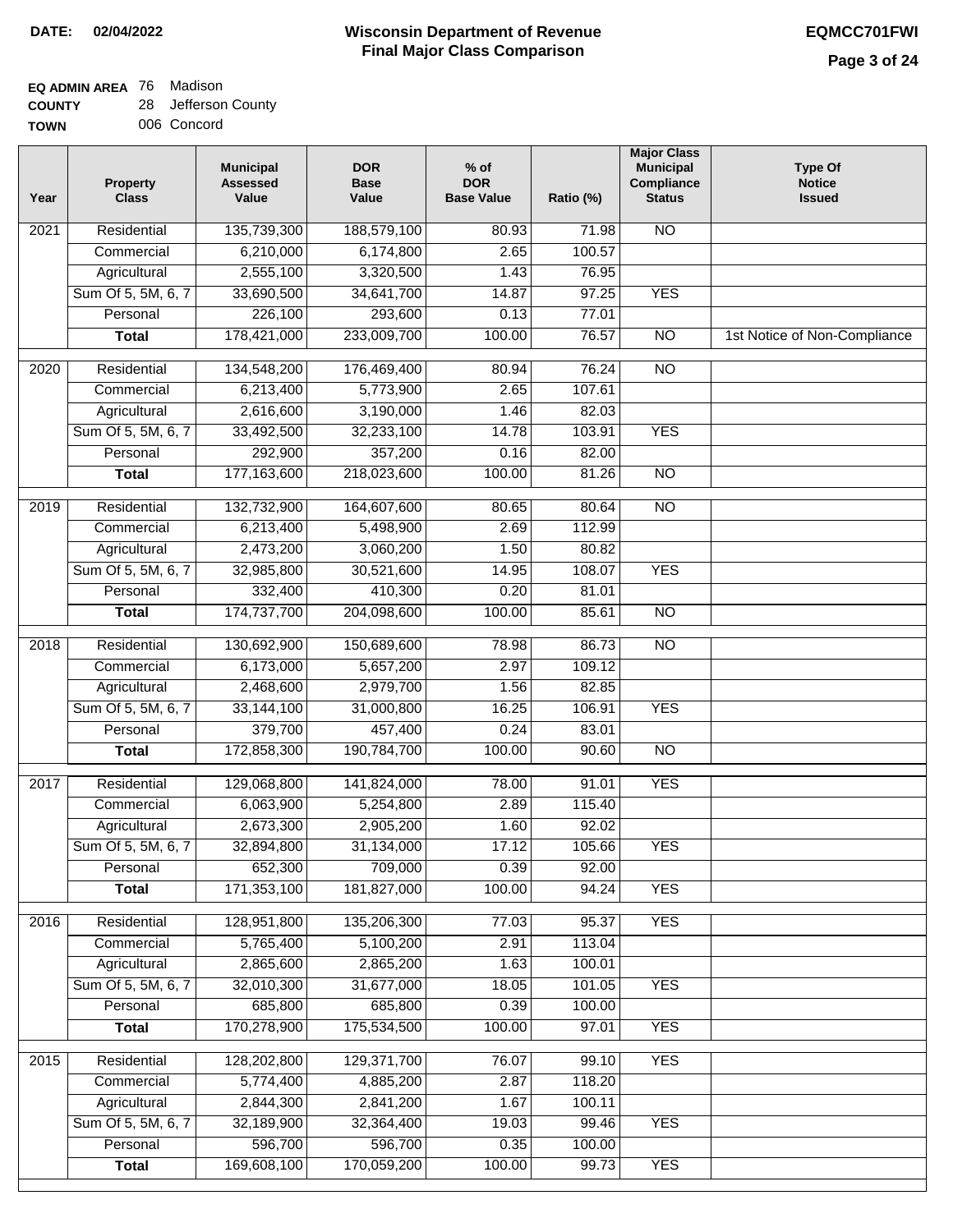#### **Wisconsin Department of Revenue Final Major Class Comparison DATE: 02/04/2022 EQMCC701FWI**

٦

#### **EQ ADMIN AREA** 76 Madison **COUNTY** 28 Jefferson County

| ------      | - - - - - - - - - . |
|-------------|---------------------|
| <b>TOWN</b> | 006 Concord         |

| Year              | <b>Property</b><br><b>Class</b> | <b>Municipal</b><br><b>Assessed</b><br>Value | <b>DOR</b><br><b>Base</b><br>Value | $%$ of<br><b>DOR</b><br><b>Base Value</b> | Ratio (%) | <b>Major Class</b><br><b>Municipal</b><br>Compliance<br><b>Status</b> | <b>Type Of</b><br><b>Notice</b><br><b>Issued</b> |
|-------------------|---------------------------------|----------------------------------------------|------------------------------------|-------------------------------------------|-----------|-----------------------------------------------------------------------|--------------------------------------------------|
| 2021              | Residential                     | 135,739,300                                  | 188,579,100                        | 80.93                                     | 71.98     | N <sub>O</sub>                                                        |                                                  |
|                   | Commercial                      | 6,210,000                                    | 6,174,800                          | 2.65                                      | 100.57    |                                                                       |                                                  |
|                   | Agricultural                    | 2,555,100                                    | 3,320,500                          | 1.43                                      | 76.95     |                                                                       |                                                  |
|                   | Sum Of 5, 5M, 6, 7              | 33,690,500                                   | 34,641,700                         | 14.87                                     | 97.25     | <b>YES</b>                                                            |                                                  |
|                   | Personal                        | 226,100                                      | 293,600                            | 0.13                                      | 77.01     |                                                                       |                                                  |
|                   | <b>Total</b>                    | 178,421,000                                  | 233,009,700                        | 100.00                                    | 76.57     | $\overline{NO}$                                                       | 1st Notice of Non-Compliance                     |
| 2020              | Residential                     | 134,548,200                                  | 176,469,400                        | 80.94                                     | 76.24     | $\overline{NO}$                                                       |                                                  |
|                   | Commercial                      | 6,213,400                                    | 5,773,900                          | 2.65                                      | 107.61    |                                                                       |                                                  |
|                   | Agricultural                    | 2,616,600                                    | 3,190,000                          | 1.46                                      | 82.03     |                                                                       |                                                  |
|                   | Sum Of 5, 5M, 6, 7              | 33,492,500                                   | 32,233,100                         | 14.78                                     | 103.91    | <b>YES</b>                                                            |                                                  |
|                   | Personal                        | 292,900                                      | 357,200                            | 0.16                                      | 82.00     |                                                                       |                                                  |
|                   | <b>Total</b>                    | 177, 163, 600                                | 218,023,600                        | 100.00                                    | 81.26     | $\overline{NO}$                                                       |                                                  |
|                   |                                 |                                              |                                    |                                           |           |                                                                       |                                                  |
| 2019              | Residential                     | 132,732,900                                  | 164,607,600                        | 80.65                                     | 80.64     | <b>NO</b>                                                             |                                                  |
|                   | Commercial                      | 6,213,400                                    | 5,498,900                          | 2.69                                      | 112.99    |                                                                       |                                                  |
|                   | Agricultural                    | 2,473,200                                    | 3,060,200                          | 1.50                                      | 80.82     |                                                                       |                                                  |
|                   | Sum Of 5, 5M, 6, 7              | 32,985,800                                   | 30,521,600                         | 14.95                                     | 108.07    | <b>YES</b>                                                            |                                                  |
|                   | Personal                        | 332,400                                      | 410,300                            | 0.20                                      | 81.01     |                                                                       |                                                  |
|                   | <b>Total</b>                    | 174,737,700                                  | 204,098,600                        | 100.00                                    | 85.61     | $\overline{NO}$                                                       |                                                  |
| $\overline{2018}$ | Residential                     | 130,692,900                                  | 150,689,600                        | 78.98                                     | 86.73     | $\overline{10}$                                                       |                                                  |
|                   | Commercial                      | 6,173,000                                    | 5,657,200                          | 2.97                                      | 109.12    |                                                                       |                                                  |
|                   | Agricultural                    | 2,468,600                                    | 2,979,700                          | 1.56                                      | 82.85     |                                                                       |                                                  |
|                   | Sum Of 5, 5M, 6, 7              | 33,144,100                                   | 31,000,800                         | 16.25                                     | 106.91    | <b>YES</b>                                                            |                                                  |
|                   | Personal                        | 379,700                                      | 457,400                            | 0.24                                      | 83.01     |                                                                       |                                                  |
|                   | <b>Total</b>                    | 172,858,300                                  | 190,784,700                        | 100.00                                    | 90.60     | <b>NO</b>                                                             |                                                  |
| 2017              | Residential                     | 129,068,800                                  | 141,824,000                        | 78.00                                     | 91.01     | <b>YES</b>                                                            |                                                  |
|                   | Commercial                      | 6,063,900                                    | 5,254,800                          | 2.89                                      | 115.40    |                                                                       |                                                  |
|                   | Agricultural                    | 2,673,300                                    | 2,905,200                          | 1.60                                      | 92.02     |                                                                       |                                                  |
|                   | Sum Of 5, 5M, 6, 7              | 32,894,800                                   | 31,134,000                         | 17.12                                     | 105.66    | <b>YES</b>                                                            |                                                  |
|                   | Personal                        | 652,300                                      | 709,000                            | 0.39                                      | 92.00     |                                                                       |                                                  |
|                   | <b>Total</b>                    | 171,353,100                                  | 181,827,000                        | 100.00                                    | 94.24     | <b>YES</b>                                                            |                                                  |
| 2016              | Residential                     | 128,951,800                                  | 135,206,300                        | 77.03                                     | 95.37     | <b>YES</b>                                                            |                                                  |
|                   | Commercial                      | 5,765,400                                    | 5,100,200                          | 2.91                                      | 113.04    |                                                                       |                                                  |
|                   | Agricultural                    | 2,865,600                                    | 2,865,200                          | 1.63                                      | 100.01    |                                                                       |                                                  |
|                   | Sum Of 5, 5M, 6, 7              | 32,010,300                                   | 31,677,000                         | 18.05                                     | 101.05    | <b>YES</b>                                                            |                                                  |
|                   | Personal                        | 685,800                                      | 685,800                            | 0.39                                      | 100.00    |                                                                       |                                                  |
|                   | <b>Total</b>                    | 170,278,900                                  | 175,534,500                        | 100.00                                    | 97.01     | <b>YES</b>                                                            |                                                  |
| 2015              | Residential                     | 128,202,800                                  | 129,371,700                        | 76.07                                     | 99.10     | <b>YES</b>                                                            |                                                  |
|                   | Commercial                      | 5,774,400                                    | 4,885,200                          | 2.87                                      | 118.20    |                                                                       |                                                  |
|                   | Agricultural                    | 2,844,300                                    | 2,841,200                          | 1.67                                      | 100.11    |                                                                       |                                                  |
|                   | Sum Of 5, 5M, 6, 7              | 32,189,900                                   | 32,364,400                         | 19.03                                     | 99.46     | <b>YES</b>                                                            |                                                  |
|                   | Personal                        | 596,700                                      | 596,700                            | 0.35                                      | 100.00    |                                                                       |                                                  |
|                   | <b>Total</b>                    | 169,608,100                                  | 170,059,200                        | 100.00                                    | 99.73     | <b>YES</b>                                                            |                                                  |
|                   |                                 |                                              |                                    |                                           |           |                                                                       |                                                  |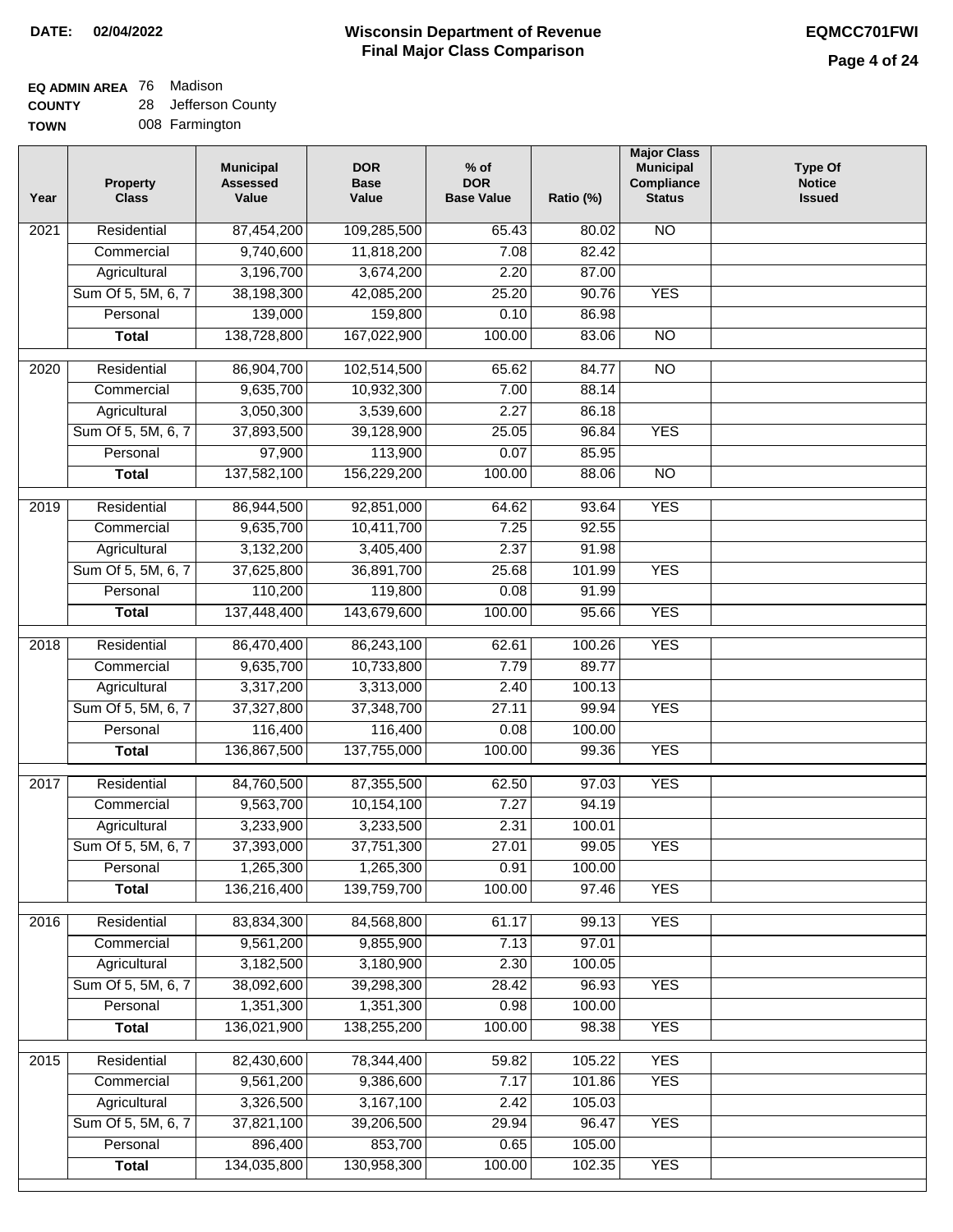## **EQ ADMIN AREA** 76 Madison

**COUNTY TOWN** 28 Jefferson County

| . . |                |
|-----|----------------|
|     | 008 Farmington |

| Year              | <b>Property</b><br><b>Class</b>    | <b>Municipal</b><br><b>Assessed</b><br>Value | <b>DOR</b><br><b>Base</b><br>Value | % of<br><b>DOR</b><br><b>Base Value</b> | Ratio (%)      | <b>Major Class</b><br><b>Municipal</b><br>Compliance<br><b>Status</b> | <b>Type Of</b><br><b>Notice</b><br><b>Issued</b> |
|-------------------|------------------------------------|----------------------------------------------|------------------------------------|-----------------------------------------|----------------|-----------------------------------------------------------------------|--------------------------------------------------|
| $\overline{202}1$ | Residential                        | 87,454,200                                   | 109,285,500                        | 65.43                                   | 80.02          | <b>NO</b>                                                             |                                                  |
|                   | Commercial                         | 9,740,600                                    | 11,818,200                         | 7.08                                    | 82.42          |                                                                       |                                                  |
|                   | Agricultural                       | 3,196,700                                    | 3,674,200                          | 2.20                                    | 87.00          |                                                                       |                                                  |
|                   | Sum Of 5, 5M, 6, 7                 | 38,198,300                                   | 42,085,200                         | 25.20                                   | 90.76          | <b>YES</b>                                                            |                                                  |
|                   | Personal                           | 139,000                                      | 159,800                            | 0.10                                    | 86.98          |                                                                       |                                                  |
|                   | <b>Total</b>                       | 138,728,800                                  | 167,022,900                        | 100.00                                  | 83.06          | $\overline{NO}$                                                       |                                                  |
| $\overline{2020}$ | Residential                        | 86,904,700                                   | 102,514,500                        | 65.62                                   | 84.77          | $\overline{NO}$                                                       |                                                  |
|                   | Commercial                         | 9,635,700                                    | 10,932,300                         | 7.00                                    | 88.14          |                                                                       |                                                  |
|                   | Agricultural                       | 3,050,300                                    | 3,539,600                          | 2.27                                    | 86.18          |                                                                       |                                                  |
|                   | Sum Of 5, 5M, 6, 7                 | 37,893,500                                   | 39,128,900                         | 25.05                                   | 96.84          | <b>YES</b>                                                            |                                                  |
|                   | Personal                           | 97,900                                       | 113,900                            | 0.07                                    | 85.95          |                                                                       |                                                  |
|                   | <b>Total</b>                       | 137,582,100                                  | 156,229,200                        | 100.00                                  | 88.06          | $\overline{NO}$                                                       |                                                  |
|                   |                                    |                                              |                                    |                                         |                |                                                                       |                                                  |
| 2019              | Residential                        | 86,944,500                                   | 92,851,000<br>10,411,700           | 64.62<br>7.25                           | 93.64<br>92.55 | <b>YES</b>                                                            |                                                  |
|                   | Commercial                         | 9,635,700<br>3,132,200                       |                                    | 2.37                                    | 91.98          |                                                                       |                                                  |
|                   | Agricultural<br>Sum Of 5, 5M, 6, 7 | 37,625,800                                   | 3,405,400<br>36,891,700            | 25.68                                   | 101.99         | <b>YES</b>                                                            |                                                  |
|                   | Personal                           | 110,200                                      | 119,800                            | 0.08                                    | 91.99          |                                                                       |                                                  |
|                   | <b>Total</b>                       | 137,448,400                                  | 143,679,600                        | 100.00                                  | 95.66          | <b>YES</b>                                                            |                                                  |
|                   |                                    |                                              |                                    |                                         |                |                                                                       |                                                  |
| 2018              | Residential                        | 86,470,400                                   | 86,243,100                         | 62.61                                   | 100.26         | <b>YES</b>                                                            |                                                  |
|                   | Commercial                         | 9,635,700                                    | 10,733,800                         | 7.79                                    | 89.77          |                                                                       |                                                  |
|                   | Agricultural                       | 3,317,200                                    | 3,313,000                          | 2.40                                    | 100.13         |                                                                       |                                                  |
|                   | Sum Of 5, 5M, 6, 7                 | 37,327,800                                   | 37,348,700                         | 27.11                                   | 99.94          | <b>YES</b>                                                            |                                                  |
|                   | Personal                           | 116,400                                      | 116,400                            | 0.08                                    | 100.00         |                                                                       |                                                  |
|                   | <b>Total</b>                       | 136,867,500                                  | 137,755,000                        | 100.00                                  | 99.36          | <b>YES</b>                                                            |                                                  |
| 2017              | Residential                        | 84,760,500                                   | 87,355,500                         | 62.50                                   | 97.03          | <b>YES</b>                                                            |                                                  |
|                   | Commercial                         | 9,563,700                                    | 10,154,100                         | 7.27                                    | 94.19          |                                                                       |                                                  |
|                   | Agricultural                       | 3,233,900                                    | 3,233,500                          | 2.31                                    | 100.01         |                                                                       |                                                  |
|                   | Sum Of 5, 5M, 6, 7                 | 37,393,000                                   | 37,751,300                         | 27.01                                   | 99.05          | <b>YES</b>                                                            |                                                  |
|                   | Personal                           | 1,265,300                                    | 1,265,300                          | 0.91                                    | 100.00         |                                                                       |                                                  |
|                   | <b>Total</b>                       | 136,216,400                                  | 139,759,700                        | 100.00                                  | 97.46          | <b>YES</b>                                                            |                                                  |
| 2016              | Residential                        | 83,834,300                                   | 84,568,800                         | 61.17                                   | 99.13          | <b>YES</b>                                                            |                                                  |
|                   | Commercial                         | 9,561,200                                    | 9,855,900                          | 7.13                                    | 97.01          |                                                                       |                                                  |
|                   | Agricultural                       | 3,182,500                                    | 3,180,900                          | 2.30                                    | 100.05         |                                                                       |                                                  |
|                   | Sum Of 5, 5M, 6, 7                 | 38,092,600                                   | 39,298,300                         | 28.42                                   | 96.93          | <b>YES</b>                                                            |                                                  |
|                   | Personal                           | 1,351,300                                    | 1,351,300                          | 0.98                                    | 100.00         |                                                                       |                                                  |
|                   | <b>Total</b>                       | 136,021,900                                  | 138,255,200                        | 100.00                                  | 98.38          | <b>YES</b>                                                            |                                                  |
| 2015              | Residential                        | 82,430,600                                   | 78,344,400                         | 59.82                                   | 105.22         | <b>YES</b>                                                            |                                                  |
|                   | Commercial                         | 9,561,200                                    | 9,386,600                          | 7.17                                    | 101.86         | <b>YES</b>                                                            |                                                  |
|                   | Agricultural                       | 3,326,500                                    | 3,167,100                          | 2.42                                    | 105.03         |                                                                       |                                                  |
|                   | Sum Of 5, 5M, 6, 7                 | 37,821,100                                   | 39,206,500                         | 29.94                                   | 96.47          | <b>YES</b>                                                            |                                                  |
|                   | Personal                           | 896,400                                      | 853,700                            | 0.65                                    | 105.00         |                                                                       |                                                  |
|                   | <b>Total</b>                       | 134,035,800                                  | 130,958,300                        | 100.00                                  | 102.35         | <b>YES</b>                                                            |                                                  |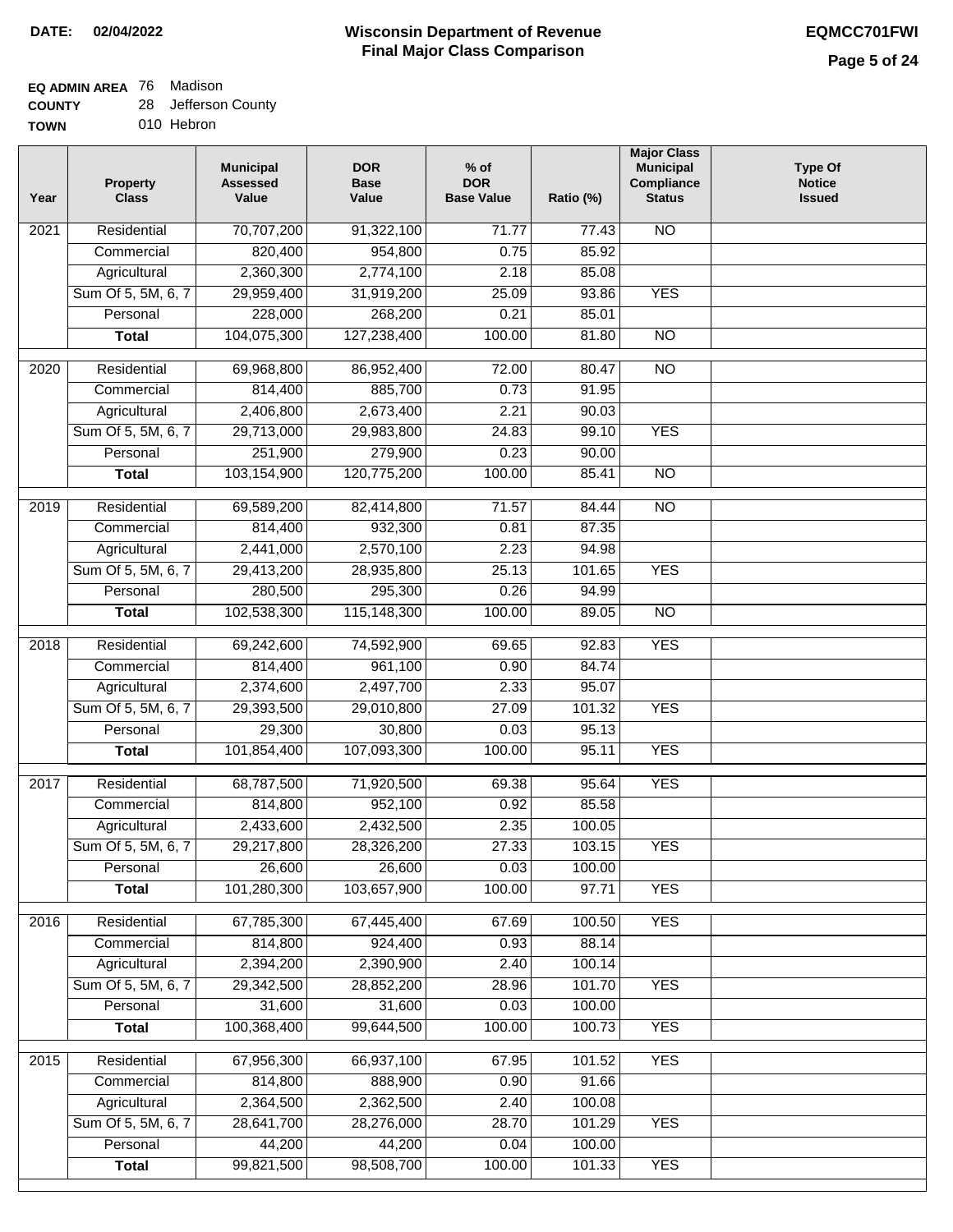## **EQ ADMIN AREA** 76 Madison

| <b>COUNTY</b> |  | 28 Jefferson County |
|---------------|--|---------------------|
|---------------|--|---------------------|

**TOWN** 010 Hebron

| Year              | <b>Property</b><br><b>Class</b> | <b>Municipal</b><br><b>Assessed</b><br>Value | <b>DOR</b><br><b>Base</b><br>Value | $%$ of<br><b>DOR</b><br><b>Base Value</b> | Ratio (%)      | <b>Major Class</b><br><b>Municipal</b><br>Compliance<br><b>Status</b> | <b>Type Of</b><br><b>Notice</b><br><b>Issued</b> |
|-------------------|---------------------------------|----------------------------------------------|------------------------------------|-------------------------------------------|----------------|-----------------------------------------------------------------------|--------------------------------------------------|
| 2021              | Residential                     | 70,707,200                                   | 91,322,100                         | 71.77                                     | 77.43          | N <sub>O</sub>                                                        |                                                  |
|                   | Commercial                      | 820,400                                      | 954,800                            | 0.75                                      | 85.92          |                                                                       |                                                  |
|                   | Agricultural                    | 2,360,300                                    | 2,774,100                          | 2.18                                      | 85.08          |                                                                       |                                                  |
|                   | Sum Of 5, 5M, 6, 7              | 29,959,400                                   | 31,919,200                         | 25.09                                     | 93.86          | <b>YES</b>                                                            |                                                  |
|                   | Personal                        | 228,000                                      | 268,200                            | 0.21                                      | 85.01          |                                                                       |                                                  |
|                   | <b>Total</b>                    | 104,075,300                                  | 127,238,400                        | 100.00                                    | 81.80          | $\overline{NO}$                                                       |                                                  |
|                   |                                 |                                              |                                    |                                           |                |                                                                       |                                                  |
| 2020              | Residential                     | 69,968,800                                   | 86,952,400                         | 72.00                                     | 80.47          | $\overline{3}$                                                        |                                                  |
|                   | Commercial                      | 814,400                                      | 885,700                            | 0.73                                      | 91.95          |                                                                       |                                                  |
|                   | Agricultural                    | 2,406,800                                    | 2,673,400                          | 2.21<br>24.83                             | 90.03<br>99.10 | <b>YES</b>                                                            |                                                  |
|                   | Sum Of 5, 5M, 6, 7<br>Personal  | 29,713,000<br>251,900                        | 29,983,800                         | 0.23                                      | 90.00          |                                                                       |                                                  |
|                   |                                 | 103,154,900                                  | 279,900<br>120,775,200             | 100.00                                    | 85.41          | $\overline{NO}$                                                       |                                                  |
|                   | <b>Total</b>                    |                                              |                                    |                                           |                |                                                                       |                                                  |
| 2019              | Residential                     | 69,589,200                                   | 82,414,800                         | 71.57                                     | 84.44          | $\overline{NO}$                                                       |                                                  |
|                   | Commercial                      | 814,400                                      | 932,300                            | 0.81                                      | 87.35          |                                                                       |                                                  |
|                   | Agricultural                    | 2,441,000                                    | 2,570,100                          | 2.23                                      | 94.98          |                                                                       |                                                  |
|                   | Sum Of 5, 5M, 6, 7              | 29,413,200                                   | 28,935,800                         | 25.13                                     | 101.65         | <b>YES</b>                                                            |                                                  |
|                   | Personal                        | 280,500                                      | 295,300                            | 0.26                                      | 94.99          |                                                                       |                                                  |
|                   | <b>Total</b>                    | 102,538,300                                  | 115,148,300                        | 100.00                                    | 89.05          | $\overline{N}$                                                        |                                                  |
| 2018              | Residential                     | 69,242,600                                   | 74,592,900                         | 69.65                                     | 92.83          | <b>YES</b>                                                            |                                                  |
|                   | Commercial                      | 814,400                                      | 961,100                            | 0.90                                      | 84.74          |                                                                       |                                                  |
|                   | Agricultural                    | 2,374,600                                    | 2,497,700                          | 2.33                                      | 95.07          |                                                                       |                                                  |
|                   | Sum Of 5, 5M, 6, 7              | 29,393,500                                   | 29,010,800                         | 27.09                                     | 101.32         | <b>YES</b>                                                            |                                                  |
|                   | Personal                        | 29,300                                       | 30,800                             | 0.03                                      | 95.13          |                                                                       |                                                  |
|                   | <b>Total</b>                    | 101,854,400                                  | 107,093,300                        | 100.00                                    | 95.11          | <b>YES</b>                                                            |                                                  |
| 2017              | Residential                     | 68,787,500                                   | 71,920,500                         | 69.38                                     | 95.64          | <b>YES</b>                                                            |                                                  |
|                   | Commercial                      | 814,800                                      | 952,100                            | 0.92                                      | 85.58          |                                                                       |                                                  |
|                   | Agricultural                    | 2,433,600                                    | 2,432,500                          | 2.35                                      | 100.05         |                                                                       |                                                  |
|                   | Sum Of 5, 5M, 6, 7              | 29,217,800                                   | 28,326,200                         | 27.33                                     | 103.15         | <b>YES</b>                                                            |                                                  |
|                   | Personal                        | 26,600                                       | 26,600                             | 0.03                                      | 100.00         |                                                                       |                                                  |
|                   | <b>Total</b>                    | 101,280,300                                  | 103,657,900                        | 100.00                                    | 97.71          | <b>YES</b>                                                            |                                                  |
|                   | Residential                     |                                              |                                    |                                           | 100.50         | <b>YES</b>                                                            |                                                  |
| 2016              | Commercial                      | 67,785,300<br>814,800                        | 67,445,400<br>924,400              | 67.69<br>0.93                             | 88.14          |                                                                       |                                                  |
|                   | Agricultural                    | 2,394,200                                    | 2,390,900                          | 2.40                                      | 100.14         |                                                                       |                                                  |
|                   | Sum Of 5, 5M, 6, 7              | 29,342,500                                   | 28,852,200                         | 28.96                                     | 101.70         | <b>YES</b>                                                            |                                                  |
|                   | Personal                        | 31,600                                       | 31,600                             | 0.03                                      | 100.00         |                                                                       |                                                  |
|                   | <b>Total</b>                    | 100,368,400                                  | 99,644,500                         | 100.00                                    | 100.73         | <b>YES</b>                                                            |                                                  |
|                   |                                 |                                              |                                    |                                           |                |                                                                       |                                                  |
| $\overline{2015}$ | Residential                     | 67,956,300                                   | 66,937,100                         | 67.95                                     | 101.52         | <b>YES</b>                                                            |                                                  |
|                   | Commercial                      | 814,800                                      | 888,900                            | 0.90                                      | 91.66          |                                                                       |                                                  |
|                   | Agricultural                    | 2,364,500                                    | 2,362,500                          | 2.40                                      | 100.08         |                                                                       |                                                  |
|                   | Sum Of 5, 5M, 6, 7              | 28,641,700                                   | 28,276,000                         | 28.70                                     | 101.29         | <b>YES</b>                                                            |                                                  |
|                   | Personal                        | 44,200                                       | 44,200                             | 0.04                                      | 100.00         |                                                                       |                                                  |
|                   | <b>Total</b>                    | 99,821,500                                   | 98,508,700                         | 100.00                                    | 101.33         | <b>YES</b>                                                            |                                                  |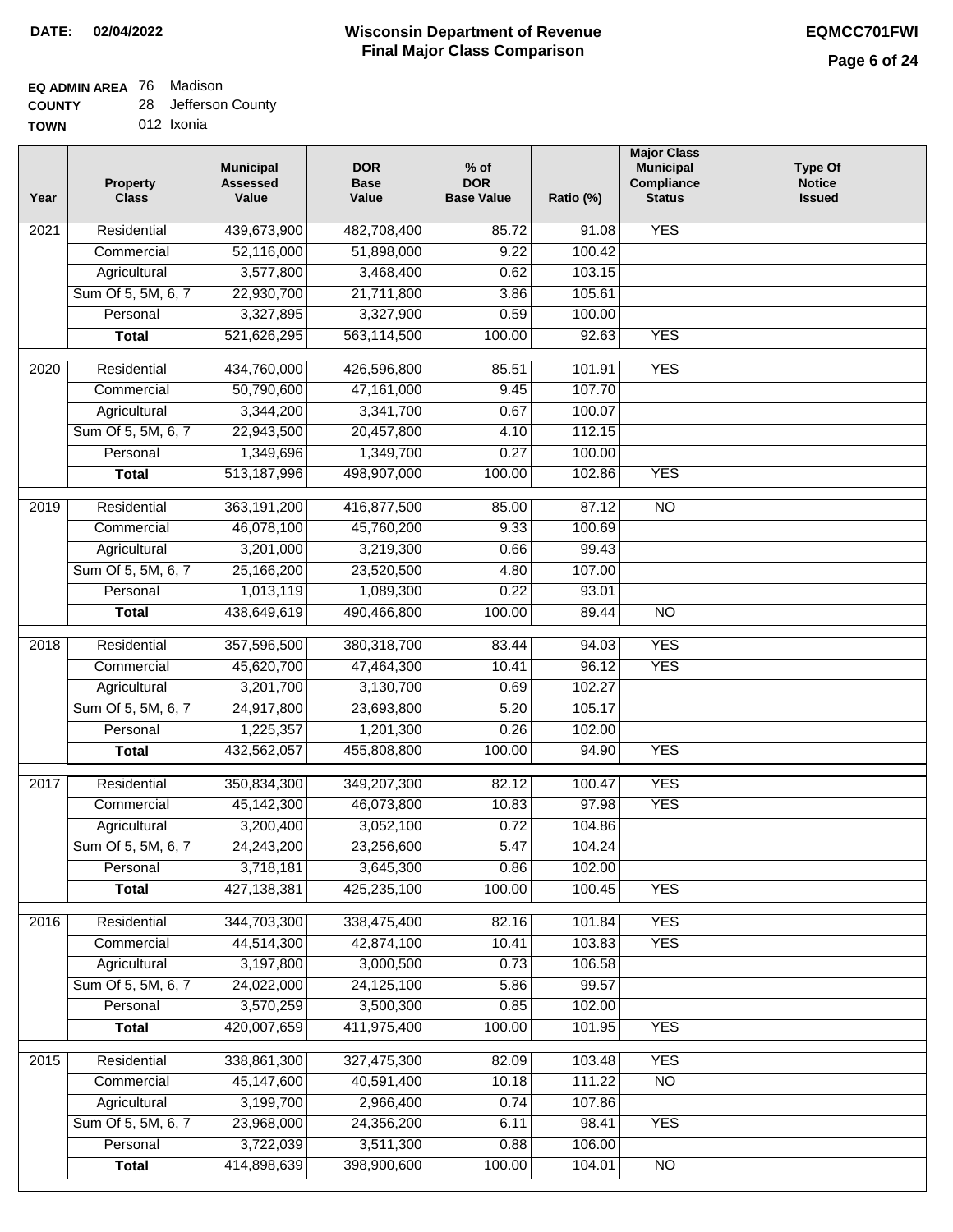## **EQ ADMIN AREA** 76 Madison

| <b>COUNTY</b> |  | Jefferson County |
|---------------|--|------------------|
|---------------|--|------------------|

**TOWN** 012 Ixonia

| Year | <b>Property</b><br><b>Class</b> | <b>Municipal</b><br><b>Assessed</b><br>Value | <b>DOR</b><br><b>Base</b><br>Value | % of<br><b>DOR</b><br><b>Base Value</b> | Ratio (%) | <b>Major Class</b><br><b>Municipal</b><br>Compliance<br><b>Status</b> | <b>Type Of</b><br><b>Notice</b><br><b>Issued</b> |
|------|---------------------------------|----------------------------------------------|------------------------------------|-----------------------------------------|-----------|-----------------------------------------------------------------------|--------------------------------------------------|
| 2021 | Residential                     | 439,673,900                                  | 482,708,400                        | 85.72                                   | 91.08     | <b>YES</b>                                                            |                                                  |
|      | Commercial                      | 52,116,000                                   | 51,898,000                         | 9.22                                    | 100.42    |                                                                       |                                                  |
|      | Agricultural                    | 3,577,800                                    | 3,468,400                          | 0.62                                    | 103.15    |                                                                       |                                                  |
|      | Sum Of 5, 5M, 6, 7              | 22,930,700                                   | 21,711,800                         | 3.86                                    | 105.61    |                                                                       |                                                  |
|      | Personal                        | 3,327,895                                    | 3,327,900                          | 0.59                                    | 100.00    |                                                                       |                                                  |
|      | <b>Total</b>                    | 521,626,295                                  | 563,114,500                        | 100.00                                  | 92.63     | <b>YES</b>                                                            |                                                  |
| 2020 | Residential                     | 434,760,000                                  | 426,596,800                        | 85.51                                   | 101.91    | <b>YES</b>                                                            |                                                  |
|      | Commercial                      | 50,790,600                                   | 47,161,000                         | 9.45                                    | 107.70    |                                                                       |                                                  |
|      | Agricultural                    | 3,344,200                                    | 3,341,700                          | 0.67                                    | 100.07    |                                                                       |                                                  |
|      | Sum Of 5, 5M, 6, 7              | 22,943,500                                   | 20,457,800                         | 4.10                                    | 112.15    |                                                                       |                                                  |
|      | Personal                        | 1,349,696                                    | 1,349,700                          | 0.27                                    | 100.00    |                                                                       |                                                  |
|      | <b>Total</b>                    | 513,187,996                                  | 498,907,000                        | 100.00                                  | 102.86    | <b>YES</b>                                                            |                                                  |
| 2019 | Residential                     | 363,191,200                                  | 416,877,500                        | 85.00                                   | 87.12     | $\overline{NO}$                                                       |                                                  |
|      | Commercial                      | 46,078,100                                   | 45,760,200                         | 9.33                                    | 100.69    |                                                                       |                                                  |
|      | Agricultural                    | 3,201,000                                    | 3,219,300                          | 0.66                                    | 99.43     |                                                                       |                                                  |
|      | Sum Of 5, 5M, 6, 7              | 25,166,200                                   | 23,520,500                         | 4.80                                    | 107.00    |                                                                       |                                                  |
|      | Personal                        | 1,013,119                                    | 1,089,300                          | 0.22                                    | 93.01     |                                                                       |                                                  |
|      | <b>Total</b>                    | 438,649,619                                  | 490,466,800                        | 100.00                                  | 89.44     | $\overline{NO}$                                                       |                                                  |
|      |                                 |                                              |                                    |                                         |           |                                                                       |                                                  |
| 2018 | Residential                     | 357,596,500                                  | 380,318,700                        | 83.44                                   | 94.03     | <b>YES</b>                                                            |                                                  |
|      | Commercial                      | 45,620,700                                   | 47,464,300                         | 10.41                                   | 96.12     | <b>YES</b>                                                            |                                                  |
|      | Agricultural                    | 3,201,700                                    | 3,130,700                          | 0.69                                    | 102.27    |                                                                       |                                                  |
|      | Sum Of 5, 5M, 6, 7              | 24,917,800                                   | 23,693,800                         | 5.20                                    | 105.17    |                                                                       |                                                  |
|      | Personal                        | 1,225,357                                    | 1,201,300                          | 0.26                                    | 102.00    |                                                                       |                                                  |
|      | <b>Total</b>                    | 432,562,057                                  | 455,808,800                        | 100.00                                  | 94.90     | <b>YES</b>                                                            |                                                  |
| 2017 | Residential                     | 350,834,300                                  | 349,207,300                        | 82.12                                   | 100.47    | <b>YES</b>                                                            |                                                  |
|      | Commercial                      | 45,142,300                                   | 46,073,800                         | 10.83                                   | 97.98     | <b>YES</b>                                                            |                                                  |
|      | Agricultural                    | 3,200,400                                    | 3,052,100                          | 0.72                                    | 104.86    |                                                                       |                                                  |
|      | Sum Of 5, 5M, 6, 7              | 24,243,200                                   | 23,256,600                         | 5.47                                    | 104.24    |                                                                       |                                                  |
|      | Personal                        | 3,718,181                                    | 3,645,300                          | 0.86                                    | 102.00    |                                                                       |                                                  |
|      | <b>Total</b>                    | 427, 138, 381                                | 425,235,100                        | 100.00                                  | 100.45    | <b>YES</b>                                                            |                                                  |
| 2016 | Residential                     | 344,703,300                                  | 338,475,400                        | 82.16                                   | 101.84    | <b>YES</b>                                                            |                                                  |
|      | Commercial                      | 44,514,300                                   | 42,874,100                         | 10.41                                   | 103.83    | <b>YES</b>                                                            |                                                  |
|      | Agricultural                    | 3,197,800                                    | 3,000,500                          | 0.73                                    | 106.58    |                                                                       |                                                  |
|      | Sum Of 5, 5M, 6, 7              | 24,022,000                                   | 24,125,100                         | 5.86                                    | 99.57     |                                                                       |                                                  |
|      | Personal                        | 3,570,259                                    | 3,500,300                          | 0.85                                    | 102.00    |                                                                       |                                                  |
|      | <b>Total</b>                    | 420,007,659                                  | 411,975,400                        | 100.00                                  | 101.95    | <b>YES</b>                                                            |                                                  |
| 2015 | Residential                     | 338,861,300                                  | 327,475,300                        | 82.09                                   | 103.48    | <b>YES</b>                                                            |                                                  |
|      | Commercial                      | 45,147,600                                   | 40,591,400                         | 10.18                                   | 111.22    | $\overline{NO}$                                                       |                                                  |
|      | Agricultural                    | 3,199,700                                    | 2,966,400                          | 0.74                                    | 107.86    |                                                                       |                                                  |
|      | Sum Of 5, 5M, 6, 7              | 23,968,000                                   | 24,356,200                         | 6.11                                    | 98.41     | <b>YES</b>                                                            |                                                  |
|      | Personal                        | 3,722,039                                    | 3,511,300                          | 0.88                                    | 106.00    |                                                                       |                                                  |
|      | <b>Total</b>                    | 414,898,639                                  | 398,900,600                        | 100.00                                  | 104.01    | $\overline{NO}$                                                       |                                                  |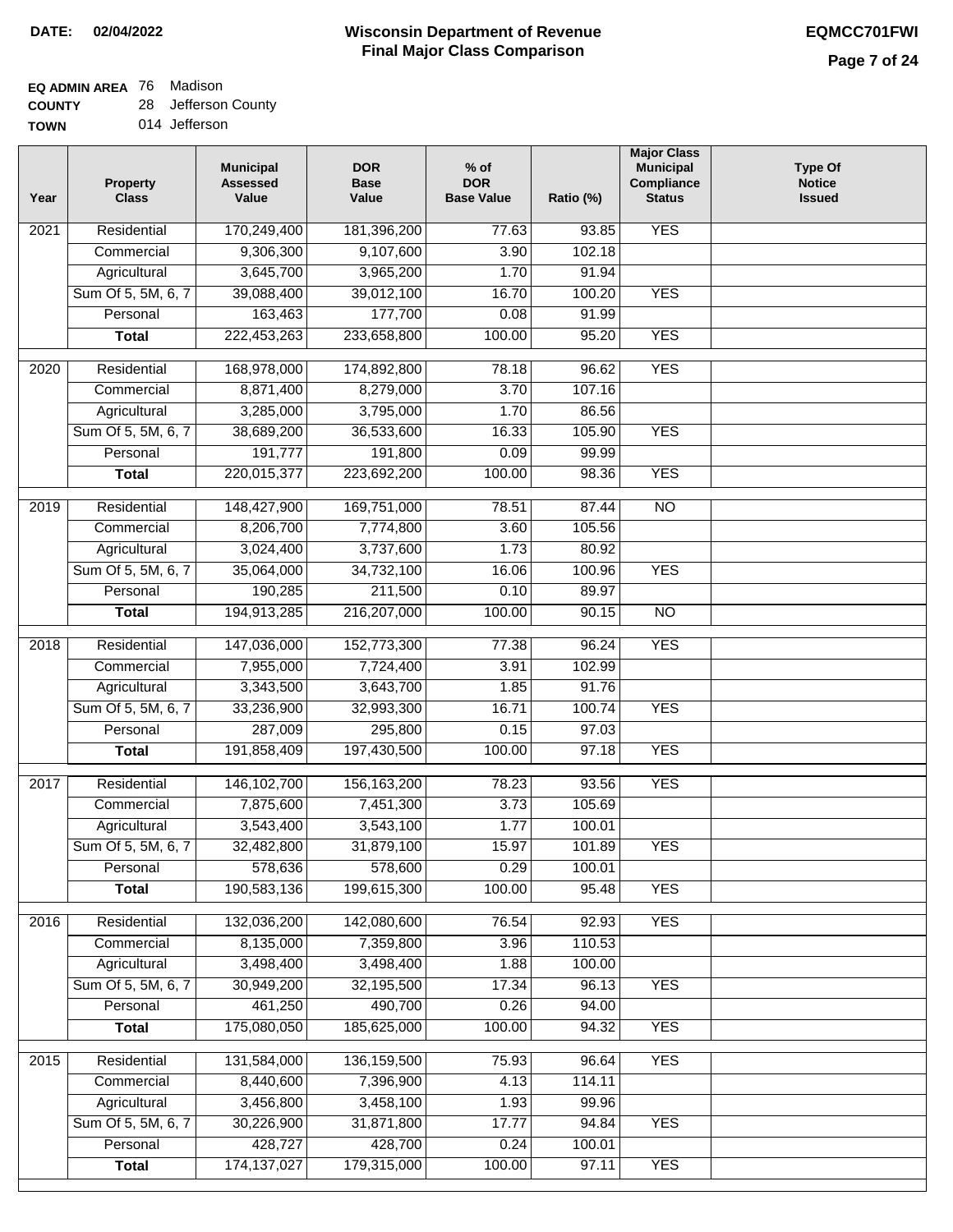## **EQ ADMIN AREA** 76 Madison

**COUNTY** 28 Jefferson County

**TOWN** 014 Jefferson

| Year              | <b>Property</b><br><b>Class</b> | <b>Municipal</b><br><b>Assessed</b><br>Value | <b>DOR</b><br><b>Base</b><br>Value | % of<br><b>DOR</b><br><b>Base Value</b> | Ratio (%) | <b>Major Class</b><br><b>Municipal</b><br>Compliance<br><b>Status</b> | <b>Type Of</b><br><b>Notice</b><br><b>Issued</b> |
|-------------------|---------------------------------|----------------------------------------------|------------------------------------|-----------------------------------------|-----------|-----------------------------------------------------------------------|--------------------------------------------------|
| $\overline{202}1$ | Residential                     | 170,249,400                                  | 181,396,200                        | 77.63                                   | 93.85     | <b>YES</b>                                                            |                                                  |
|                   | Commercial                      | 9,306,300                                    | 9,107,600                          | 3.90                                    | 102.18    |                                                                       |                                                  |
|                   | Agricultural                    | 3,645,700                                    | 3,965,200                          | 1.70                                    | 91.94     |                                                                       |                                                  |
|                   | Sum Of 5, 5M, 6, 7              | 39,088,400                                   | 39,012,100                         | 16.70                                   | 100.20    | <b>YES</b>                                                            |                                                  |
|                   | Personal                        | 163,463                                      | 177,700                            | 0.08                                    | 91.99     |                                                                       |                                                  |
|                   | <b>Total</b>                    | 222,453,263                                  | 233,658,800                        | 100.00                                  | 95.20     | <b>YES</b>                                                            |                                                  |
| $\overline{2020}$ | Residential                     | 168,978,000                                  | 174,892,800                        | 78.18                                   | 96.62     | <b>YES</b>                                                            |                                                  |
|                   | Commercial                      | 8,871,400                                    | 8,279,000                          | 3.70                                    | 107.16    |                                                                       |                                                  |
|                   | Agricultural                    | 3,285,000                                    | 3,795,000                          | 1.70                                    | 86.56     |                                                                       |                                                  |
|                   | Sum Of 5, 5M, 6, 7              | 38,689,200                                   | 36,533,600                         | 16.33                                   | 105.90    | <b>YES</b>                                                            |                                                  |
|                   | Personal                        | 191,777                                      | 191,800                            | 0.09                                    | 99.99     |                                                                       |                                                  |
|                   | <b>Total</b>                    | 220,015,377                                  | 223,692,200                        | 100.00                                  | 98.36     | <b>YES</b>                                                            |                                                  |
|                   |                                 |                                              |                                    |                                         |           |                                                                       |                                                  |
| $\frac{2019}{ }$  | Residential                     | 148,427,900                                  | 169,751,000                        | 78.51                                   | 87.44     | $\overline{3}$                                                        |                                                  |
|                   | Commercial                      | 8,206,700                                    | 7,774,800                          | 3.60                                    | 105.56    |                                                                       |                                                  |
|                   | Agricultural                    | 3,024,400                                    | 3,737,600                          | 1.73                                    | 80.92     |                                                                       |                                                  |
|                   | Sum Of 5, 5M, 6, 7              | 35,064,000                                   | 34,732,100                         | 16.06                                   | 100.96    | <b>YES</b>                                                            |                                                  |
|                   | Personal                        | 190,285                                      | 211,500                            | 0.10                                    | 89.97     |                                                                       |                                                  |
|                   | <b>Total</b>                    | 194,913,285                                  | 216,207,000                        | 100.00                                  | 90.15     | $\overline{NO}$                                                       |                                                  |
| 2018              | Residential                     | 147,036,000                                  | 152,773,300                        | 77.38                                   | 96.24     | <b>YES</b>                                                            |                                                  |
|                   | Commercial                      | 7,955,000                                    | 7,724,400                          | 3.91                                    | 102.99    |                                                                       |                                                  |
|                   | Agricultural                    | 3,343,500                                    | 3,643,700                          | 1.85                                    | 91.76     |                                                                       |                                                  |
|                   | Sum Of 5, 5M, 6, 7              | 33,236,900                                   | 32,993,300                         | 16.71                                   | 100.74    | <b>YES</b>                                                            |                                                  |
|                   | Personal                        | 287,009                                      | 295,800                            | 0.15                                    | 97.03     |                                                                       |                                                  |
|                   | <b>Total</b>                    | 191,858,409                                  | 197,430,500                        | 100.00                                  | 97.18     | <b>YES</b>                                                            |                                                  |
| $\overline{2017}$ | Residential                     | 146, 102, 700                                | 156, 163, 200                      | 78.23                                   | 93.56     | <b>YES</b>                                                            |                                                  |
|                   | Commercial                      | 7,875,600                                    | 7,451,300                          | 3.73                                    | 105.69    |                                                                       |                                                  |
|                   | Agricultural                    | 3,543,400                                    | 3,543,100                          | 1.77                                    | 100.01    |                                                                       |                                                  |
|                   | Sum Of 5, 5M, 6, 7              | 32,482,800                                   | 31,879,100                         | 15.97                                   | 101.89    | <b>YES</b>                                                            |                                                  |
|                   | Personal                        | 578,636                                      | 578,600                            | 0.29                                    | 100.01    |                                                                       |                                                  |
|                   | <b>Total</b>                    | 190,583,136                                  | 199,615,300                        | 100.00                                  | 95.48     | <b>YES</b>                                                            |                                                  |
| 2016              | Residential                     | 132,036,200                                  | 142,080,600                        | 76.54                                   | 92.93     | <b>YES</b>                                                            |                                                  |
|                   | Commercial                      | 8,135,000                                    | 7,359,800                          | 3.96                                    | 110.53    |                                                                       |                                                  |
|                   | Agricultural                    | 3,498,400                                    | 3,498,400                          | 1.88                                    | 100.00    |                                                                       |                                                  |
|                   | Sum Of 5, 5M, 6, 7              | 30,949,200                                   | 32,195,500                         | 17.34                                   | 96.13     | <b>YES</b>                                                            |                                                  |
|                   | Personal                        | 461,250                                      | 490,700                            | 0.26                                    | 94.00     |                                                                       |                                                  |
|                   | <b>Total</b>                    | 175,080,050                                  | 185,625,000                        | 100.00                                  | 94.32     | <b>YES</b>                                                            |                                                  |
|                   |                                 |                                              |                                    |                                         |           |                                                                       |                                                  |
| 2015              | Residential                     | 131,584,000                                  | 136, 159, 500                      | 75.93                                   | 96.64     | <b>YES</b>                                                            |                                                  |
|                   | Commercial                      | 8,440,600                                    | 7,396,900                          | 4.13                                    | 114.11    |                                                                       |                                                  |
|                   | Agricultural                    | 3,456,800                                    | 3,458,100                          | 1.93                                    | 99.96     |                                                                       |                                                  |
|                   | Sum Of 5, 5M, 6, 7              | 30,226,900                                   | 31,871,800                         | 17.77                                   | 94.84     | <b>YES</b>                                                            |                                                  |
|                   | Personal                        | 428,727                                      | 428,700                            | 0.24                                    | 100.01    |                                                                       |                                                  |
|                   | <b>Total</b>                    | 174, 137, 027                                | 179,315,000                        | 100.00                                  | 97.11     | <b>YES</b>                                                            |                                                  |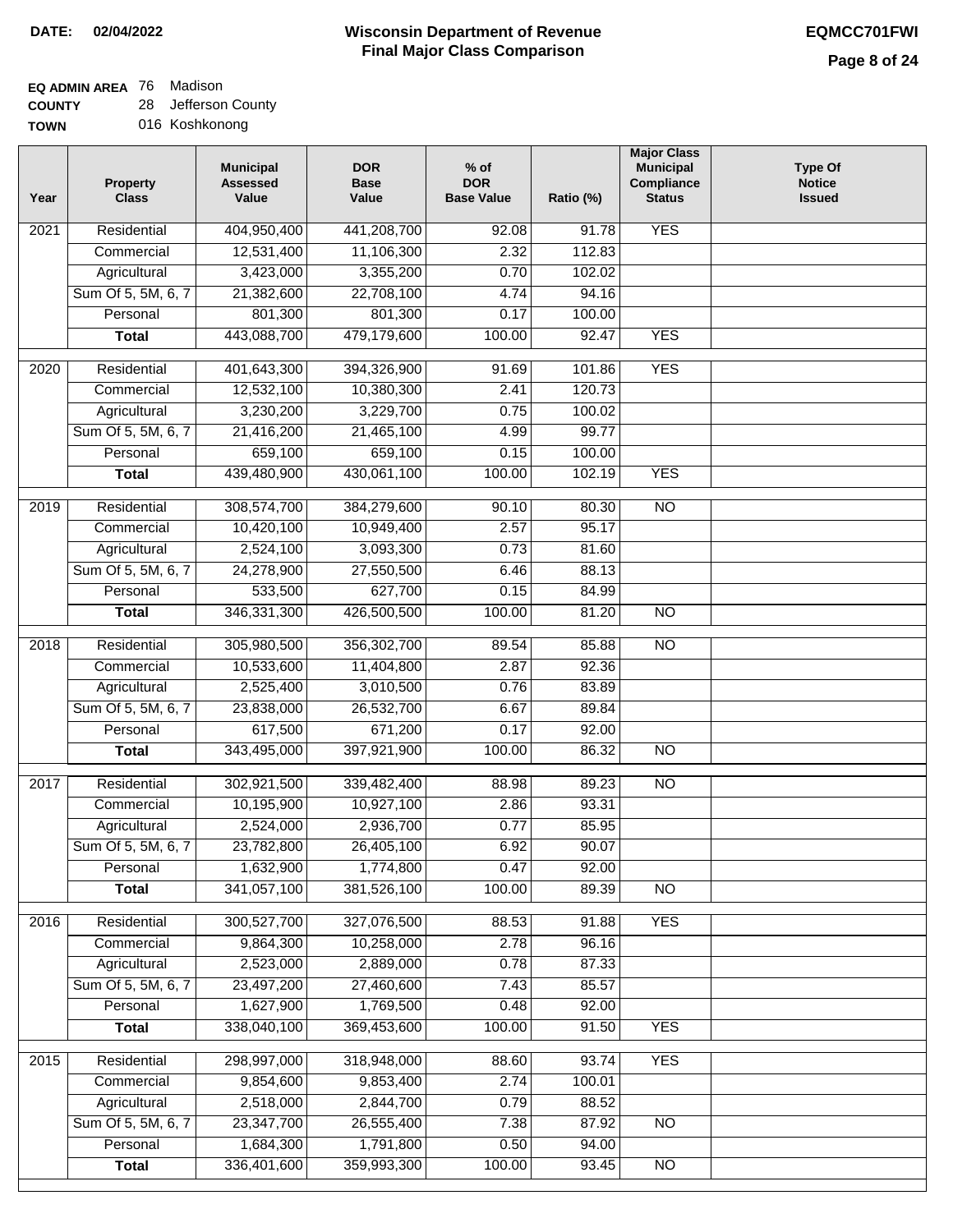## **EQ ADMIN AREA** 76 Madison

**COUNTY TOWN** 28 Jefferson County 016 Koshkonong

| Year | <b>Property</b><br><b>Class</b> | <b>Municipal</b><br><b>Assessed</b><br>Value | <b>DOR</b><br><b>Base</b><br>Value | $%$ of<br><b>DOR</b><br><b>Base Value</b> | Ratio (%) | <b>Major Class</b><br><b>Municipal</b><br>Compliance<br><b>Status</b> | <b>Type Of</b><br><b>Notice</b><br><b>Issued</b> |
|------|---------------------------------|----------------------------------------------|------------------------------------|-------------------------------------------|-----------|-----------------------------------------------------------------------|--------------------------------------------------|
| 2021 | Residential                     | 404,950,400                                  | 441,208,700                        | 92.08                                     | 91.78     | <b>YES</b>                                                            |                                                  |
|      | Commercial                      | 12,531,400                                   | 11,106,300                         | 2.32                                      | 112.83    |                                                                       |                                                  |
|      | Agricultural                    | 3,423,000                                    | 3,355,200                          | 0.70                                      | 102.02    |                                                                       |                                                  |
|      | Sum Of 5, 5M, 6, 7              | 21,382,600                                   | 22,708,100                         | 4.74                                      | 94.16     |                                                                       |                                                  |
|      | Personal                        | 801,300                                      | 801,300                            | 0.17                                      | 100.00    |                                                                       |                                                  |
|      | <b>Total</b>                    | 443,088,700                                  | 479,179,600                        | 100.00                                    | 92.47     | <b>YES</b>                                                            |                                                  |
| 2020 | Residential                     | 401,643,300                                  | 394,326,900                        | 91.69                                     | 101.86    | <b>YES</b>                                                            |                                                  |
|      | Commercial                      | 12,532,100                                   | 10,380,300                         | 2.41                                      | 120.73    |                                                                       |                                                  |
|      | Agricultural                    | 3,230,200                                    | 3,229,700                          | 0.75                                      | 100.02    |                                                                       |                                                  |
|      | Sum Of 5, 5M, 6, 7              | 21,416,200                                   | 21,465,100                         | 4.99                                      | 99.77     |                                                                       |                                                  |
|      | Personal                        | 659,100                                      | 659,100                            | 0.15                                      | 100.00    |                                                                       |                                                  |
|      | <b>Total</b>                    | 439,480,900                                  | 430,061,100                        | 100.00                                    | 102.19    | <b>YES</b>                                                            |                                                  |
| 2019 | Residential                     | 308,574,700                                  | 384,279,600                        | 90.10                                     | 80.30     | $\overline{10}$                                                       |                                                  |
|      | Commercial                      | 10,420,100                                   | 10,949,400                         | 2.57                                      | 95.17     |                                                                       |                                                  |
|      | Agricultural                    | 2,524,100                                    | 3,093,300                          | 0.73                                      | 81.60     |                                                                       |                                                  |
|      | Sum Of 5, 5M, 6, 7              | 24,278,900                                   | 27,550,500                         | 6.46                                      | 88.13     |                                                                       |                                                  |
|      | Personal                        | 533,500                                      | 627,700                            | 0.15                                      | 84.99     |                                                                       |                                                  |
|      | <b>Total</b>                    | 346,331,300                                  | 426,500,500                        | 100.00                                    | 81.20     | $\overline{NO}$                                                       |                                                  |
| 2018 | Residential                     | 305,980,500                                  | 356,302,700                        | 89.54                                     | 85.88     | <b>NO</b>                                                             |                                                  |
|      | Commercial                      | 10,533,600                                   | 11,404,800                         | 2.87                                      | 92.36     |                                                                       |                                                  |
|      | Agricultural                    | 2,525,400                                    | 3,010,500                          | 0.76                                      | 83.89     |                                                                       |                                                  |
|      | Sum Of 5, 5M, 6, 7              | 23,838,000                                   | 26,532,700                         | 6.67                                      | 89.84     |                                                                       |                                                  |
|      | Personal                        | 617,500                                      | 671,200                            | 0.17                                      | 92.00     |                                                                       |                                                  |
|      | <b>Total</b>                    | 343,495,000                                  | 397,921,900                        | 100.00                                    | 86.32     | <b>NO</b>                                                             |                                                  |
| 2017 | Residential                     | 302,921,500                                  | 339,482,400                        | 88.98                                     | 89.23     | <b>NO</b>                                                             |                                                  |
|      | Commercial                      | 10,195,900                                   | 10,927,100                         | 2.86                                      | 93.31     |                                                                       |                                                  |
|      | Agricultural                    | 2,524,000                                    | 2,936,700                          | 0.77                                      | 85.95     |                                                                       |                                                  |
|      | Sum Of 5, 5M, 6, 7              | 23,782,800                                   | 26,405,100                         | 6.92                                      | 90.07     |                                                                       |                                                  |
|      | Personal                        | 1,632,900                                    | 1,774,800                          | 0.47                                      | 92.00     |                                                                       |                                                  |
|      | <b>Total</b>                    | 341,057,100                                  | 381,526,100                        | 100.00                                    | 89.39     | <b>NO</b>                                                             |                                                  |
| 2016 | Residential                     | 300,527,700                                  | 327,076,500                        | 88.53                                     | 91.88     | <b>YES</b>                                                            |                                                  |
|      | Commercial                      | 9,864,300                                    | 10,258,000                         | 2.78                                      | 96.16     |                                                                       |                                                  |
|      | Agricultural                    | 2,523,000                                    | 2,889,000                          | 0.78                                      | 87.33     |                                                                       |                                                  |
|      | Sum Of 5, 5M, 6, 7              | 23,497,200                                   | 27,460,600                         | 7.43                                      | 85.57     |                                                                       |                                                  |
|      | Personal                        | 1,627,900                                    | 1,769,500                          | 0.48                                      | 92.00     |                                                                       |                                                  |
|      | <b>Total</b>                    | 338,040,100                                  | 369,453,600                        | 100.00                                    | 91.50     | <b>YES</b>                                                            |                                                  |
| 2015 | Residential                     | 298,997,000                                  | 318,948,000                        | 88.60                                     | 93.74     | <b>YES</b>                                                            |                                                  |
|      | Commercial                      | 9,854,600                                    | 9,853,400                          | 2.74                                      | 100.01    |                                                                       |                                                  |
|      | Agricultural                    | 2,518,000                                    | 2,844,700                          | 0.79                                      | 88.52     |                                                                       |                                                  |
|      | Sum Of 5, 5M, 6, 7              | 23,347,700                                   | 26,555,400                         | 7.38                                      | 87.92     | <b>NO</b>                                                             |                                                  |
|      | Personal                        | 1,684,300                                    | 1,791,800                          | 0.50                                      | 94.00     |                                                                       |                                                  |
|      | <b>Total</b>                    | 336,401,600                                  | 359,993,300                        | 100.00                                    | 93.45     | NO                                                                    |                                                  |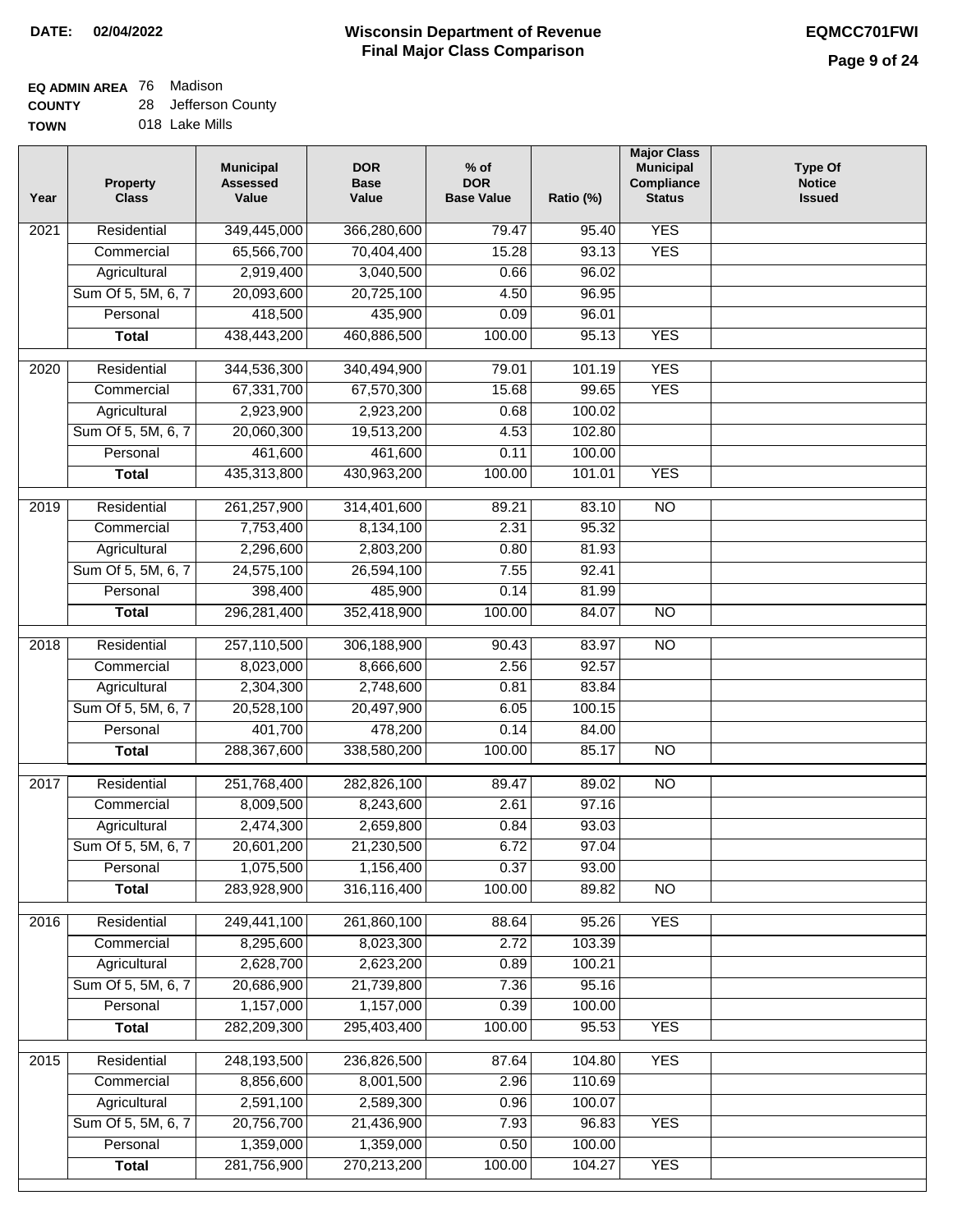## **EQ ADMIN AREA** 76 Madison

**COUNTY TOWN** 28 Jefferson County

| Year              | <b>Property</b><br><b>Class</b> | <b>Municipal</b><br><b>Assessed</b><br>Value | <b>DOR</b><br><b>Base</b><br>Value | $%$ of<br><b>DOR</b><br><b>Base Value</b> | Ratio (%) | <b>Major Class</b><br><b>Municipal</b><br>Compliance<br><b>Status</b> | <b>Type Of</b><br><b>Notice</b><br><b>Issued</b> |
|-------------------|---------------------------------|----------------------------------------------|------------------------------------|-------------------------------------------|-----------|-----------------------------------------------------------------------|--------------------------------------------------|
| 2021              | Residential                     | 349,445,000                                  | 366,280,600                        | 79.47                                     | 95.40     | <b>YES</b>                                                            |                                                  |
|                   | Commercial                      | 65,566,700                                   | 70,404,400                         | 15.28                                     | 93.13     | <b>YES</b>                                                            |                                                  |
|                   | Agricultural                    | 2,919,400                                    | 3,040,500                          | 0.66                                      | 96.02     |                                                                       |                                                  |
|                   | Sum Of 5, 5M, 6, 7              | 20,093,600                                   | 20,725,100                         | 4.50                                      | 96.95     |                                                                       |                                                  |
|                   | Personal                        | 418,500                                      | 435,900                            | 0.09                                      | 96.01     |                                                                       |                                                  |
|                   | <b>Total</b>                    | 438,443,200                                  | 460,886,500                        | 100.00                                    | 95.13     | <b>YES</b>                                                            |                                                  |
| 2020              | Residential                     | 344,536,300                                  | 340,494,900                        | 79.01                                     | 101.19    | <b>YES</b>                                                            |                                                  |
|                   | Commercial                      | 67,331,700                                   | 67,570,300                         | 15.68                                     | 99.65     | <b>YES</b>                                                            |                                                  |
|                   | Agricultural                    | 2,923,900                                    | 2,923,200                          | 0.68                                      | 100.02    |                                                                       |                                                  |
|                   | Sum Of 5, 5M, 6, 7              | 20,060,300                                   | 19,513,200                         | 4.53                                      | 102.80    |                                                                       |                                                  |
|                   | Personal                        | 461,600                                      | 461,600                            | 0.11                                      | 100.00    |                                                                       |                                                  |
|                   | <b>Total</b>                    | 435,313,800                                  | 430,963,200                        | 100.00                                    | 101.01    | <b>YES</b>                                                            |                                                  |
|                   |                                 |                                              |                                    |                                           |           |                                                                       |                                                  |
| 2019              | Residential                     | 261,257,900                                  | 314,401,600                        | 89.21                                     | 83.10     | $\overline{NO}$                                                       |                                                  |
|                   | Commercial                      | 7,753,400                                    | 8,134,100                          | 2.31                                      | 95.32     |                                                                       |                                                  |
|                   | Agricultural                    | 2,296,600                                    | 2,803,200                          | 0.80                                      | 81.93     |                                                                       |                                                  |
|                   | Sum Of 5, 5M, 6, 7              | 24,575,100                                   | 26,594,100                         | 7.55                                      | 92.41     |                                                                       |                                                  |
|                   | Personal                        | 398,400                                      | 485,900                            | 0.14                                      | 81.99     |                                                                       |                                                  |
|                   | <b>Total</b>                    | 296, 281, 400                                | 352,418,900                        | 100.00                                    | 84.07     | <b>NO</b>                                                             |                                                  |
| $\overline{2018}$ | Residential                     | 257,110,500                                  | 306,188,900                        | 90.43                                     | 83.97     | $\overline{NO}$                                                       |                                                  |
|                   | Commercial                      | 8,023,000                                    | 8,666,600                          | 2.56                                      | 92.57     |                                                                       |                                                  |
|                   | Agricultural                    | 2,304,300                                    | 2,748,600                          | 0.81                                      | 83.84     |                                                                       |                                                  |
|                   | Sum Of 5, 5M, 6, 7              | 20,528,100                                   | 20,497,900                         | 6.05                                      | 100.15    |                                                                       |                                                  |
|                   | Personal                        | 401,700                                      | 478,200                            | 0.14                                      | 84.00     |                                                                       |                                                  |
|                   | <b>Total</b>                    | 288,367,600                                  | 338,580,200                        | 100.00                                    | 85.17     | $\overline{10}$                                                       |                                                  |
| 2017              | Residential                     | 251,768,400                                  | 282,826,100                        | 89.47                                     | 89.02     | $\overline{NO}$                                                       |                                                  |
|                   | Commercial                      | 8,009,500                                    | 8,243,600                          | 2.61                                      | 97.16     |                                                                       |                                                  |
|                   | Agricultural                    | 2,474,300                                    | 2,659,800                          | 0.84                                      | 93.03     |                                                                       |                                                  |
|                   | Sum Of 5, 5M, 6, 7              | 20,601,200                                   | 21,230,500                         | 6.72                                      | 97.04     |                                                                       |                                                  |
|                   | Personal                        | 1,075,500                                    | 1,156,400                          | 0.37                                      | 93.00     |                                                                       |                                                  |
|                   | <b>Total</b>                    | 283,928,900                                  | 316,116,400                        | 100.00                                    | 89.82     | $\overline{NO}$                                                       |                                                  |
| 2016              | Residential                     | 249,441,100                                  | 261,860,100                        | 88.64                                     | 95.26     | <b>YES</b>                                                            |                                                  |
|                   | Commercial                      | 8,295,600                                    | 8,023,300                          | 2.72                                      | 103.39    |                                                                       |                                                  |
|                   | Agricultural                    | 2,628,700                                    | 2,623,200                          | 0.89                                      | 100.21    |                                                                       |                                                  |
|                   | Sum Of 5, 5M, 6, 7              | 20,686,900                                   | 21,739,800                         | 7.36                                      | 95.16     |                                                                       |                                                  |
|                   | Personal                        | 1,157,000                                    | 1,157,000                          | 0.39                                      | 100.00    |                                                                       |                                                  |
|                   | <b>Total</b>                    | 282,209,300                                  | 295,403,400                        | 100.00                                    | 95.53     | <b>YES</b>                                                            |                                                  |
|                   |                                 |                                              |                                    |                                           |           |                                                                       |                                                  |
| 2015              | Residential                     | 248,193,500                                  | 236,826,500                        | 87.64                                     | 104.80    | <b>YES</b>                                                            |                                                  |
|                   | Commercial                      | 8,856,600                                    | 8,001,500                          | 2.96                                      | 110.69    |                                                                       |                                                  |
|                   | Agricultural                    | 2,591,100                                    | 2,589,300                          | 0.96                                      | 100.07    |                                                                       |                                                  |
|                   | Sum Of 5, 5M, 6, 7              | 20,756,700                                   | 21,436,900                         | 7.93                                      | 96.83     | <b>YES</b>                                                            |                                                  |
|                   | Personal                        | 1,359,000                                    | 1,359,000                          | 0.50                                      | 100.00    |                                                                       |                                                  |
|                   | <b>Total</b>                    | 281,756,900                                  | 270,213,200                        | 100.00                                    | 104.27    | <b>YES</b>                                                            |                                                  |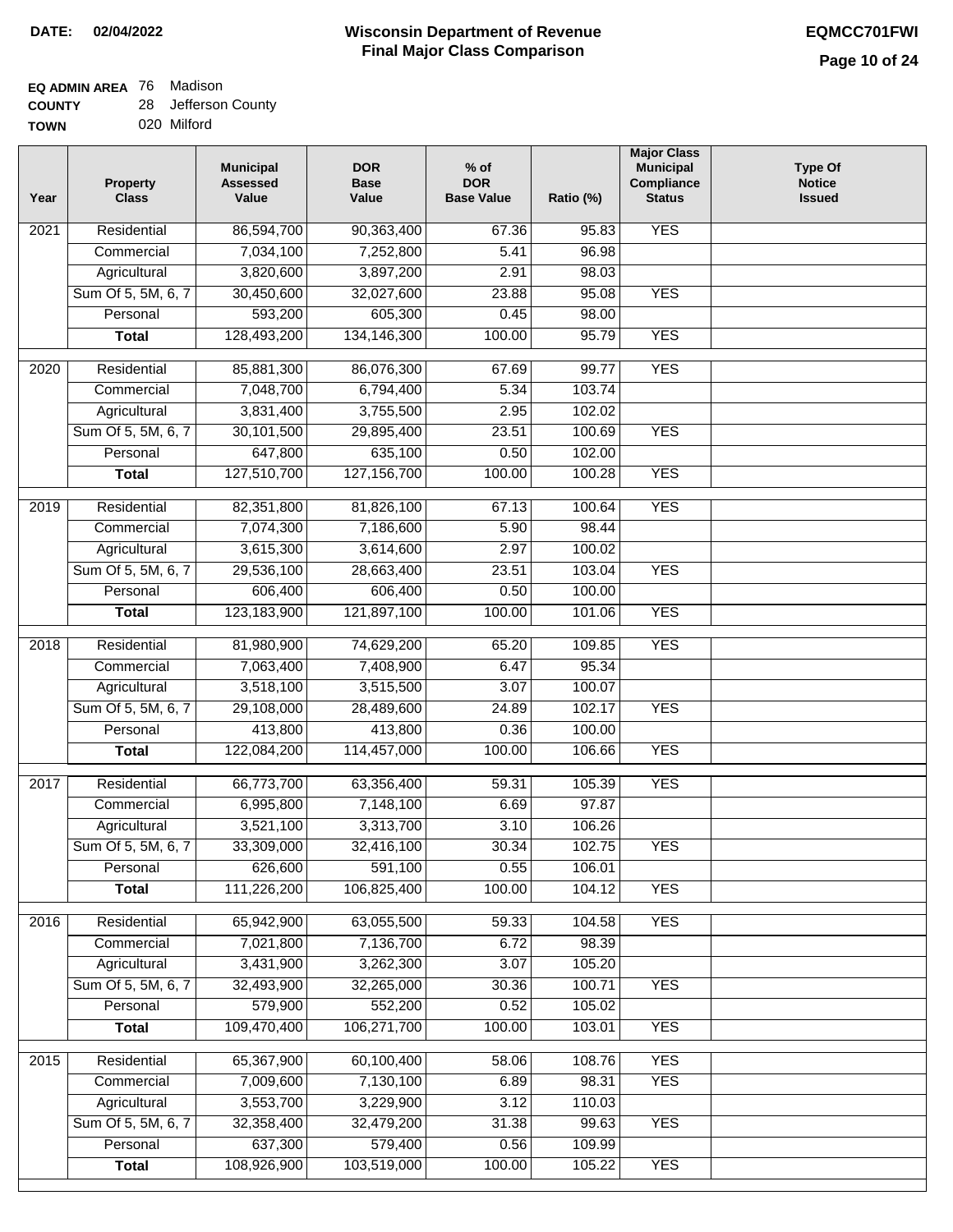#### **EQ ADMIN AREA** 76 Madison **COUNTY** 28 Jefferson County

| -------- |             |
|----------|-------------|
| TOWN     | 020 Milford |

| Year              | <b>Property</b><br><b>Class</b> | <b>Municipal</b><br><b>Assessed</b><br>Value | <b>DOR</b><br><b>Base</b><br>Value | $%$ of<br><b>DOR</b><br><b>Base Value</b> | Ratio (%) | <b>Major Class</b><br><b>Municipal</b><br>Compliance<br><b>Status</b> | <b>Type Of</b><br><b>Notice</b><br><b>Issued</b> |
|-------------------|---------------------------------|----------------------------------------------|------------------------------------|-------------------------------------------|-----------|-----------------------------------------------------------------------|--------------------------------------------------|
| 2021              | Residential                     | 86,594,700                                   | 90,363,400                         | 67.36                                     | 95.83     | <b>YES</b>                                                            |                                                  |
|                   | Commercial                      | 7,034,100                                    | 7,252,800                          | 5.41                                      | 96.98     |                                                                       |                                                  |
|                   | Agricultural                    | 3,820,600                                    | 3,897,200                          | 2.91                                      | 98.03     |                                                                       |                                                  |
|                   | Sum Of 5, 5M, 6, 7              | 30,450,600                                   | 32,027,600                         | 23.88                                     | 95.08     | <b>YES</b>                                                            |                                                  |
|                   | Personal                        | 593,200                                      | 605,300                            | 0.45                                      | 98.00     |                                                                       |                                                  |
|                   | <b>Total</b>                    | 128,493,200                                  | 134, 146, 300                      | 100.00                                    | 95.79     | <b>YES</b>                                                            |                                                  |
| 2020              | Residential                     | 85,881,300                                   | 86,076,300                         | 67.69                                     | 99.77     | <b>YES</b>                                                            |                                                  |
|                   | Commercial                      | 7,048,700                                    | 6,794,400                          | 5.34                                      | 103.74    |                                                                       |                                                  |
|                   | Agricultural                    | 3,831,400                                    | 3,755,500                          | 2.95                                      | 102.02    |                                                                       |                                                  |
|                   | Sum Of 5, 5M, 6, 7              | 30,101,500                                   | 29,895,400                         | 23.51                                     | 100.69    | <b>YES</b>                                                            |                                                  |
|                   | Personal                        | 647,800                                      | 635,100                            | 0.50                                      | 102.00    |                                                                       |                                                  |
|                   | <b>Total</b>                    | 127,510,700                                  | 127, 156, 700                      | 100.00                                    | 100.28    | <b>YES</b>                                                            |                                                  |
|                   |                                 |                                              |                                    |                                           |           |                                                                       |                                                  |
| 2019              | Residential                     | 82,351,800                                   | 81,826,100                         | 67.13                                     | 100.64    | <b>YES</b>                                                            |                                                  |
|                   | Commercial                      | 7,074,300                                    | 7,186,600                          | 5.90                                      | 98.44     |                                                                       |                                                  |
|                   | Agricultural                    | 3,615,300                                    | 3,614,600                          | 2.97                                      | 100.02    |                                                                       |                                                  |
|                   | Sum Of 5, 5M, 6, 7              | 29,536,100                                   | 28,663,400                         | 23.51                                     | 103.04    | <b>YES</b>                                                            |                                                  |
|                   | Personal                        | 606,400                                      | 606,400                            | 0.50                                      | 100.00    |                                                                       |                                                  |
|                   | <b>Total</b>                    | 123,183,900                                  | 121,897,100                        | 100.00                                    | 101.06    | <b>YES</b>                                                            |                                                  |
| $\overline{2018}$ | Residential                     | 81,980,900                                   | 74,629,200                         | 65.20                                     | 109.85    | <b>YES</b>                                                            |                                                  |
|                   | Commercial                      | 7,063,400                                    | 7,408,900                          | 6.47                                      | 95.34     |                                                                       |                                                  |
|                   | Agricultural                    | 3,518,100                                    | 3,515,500                          | 3.07                                      | 100.07    |                                                                       |                                                  |
|                   | Sum Of 5, 5M, 6, 7              | 29,108,000                                   | 28,489,600                         | 24.89                                     | 102.17    | <b>YES</b>                                                            |                                                  |
|                   | Personal                        | 413,800                                      | 413,800                            | 0.36                                      | 100.00    |                                                                       |                                                  |
|                   | <b>Total</b>                    | 122,084,200                                  | 114,457,000                        | 100.00                                    | 106.66    | <b>YES</b>                                                            |                                                  |
| 2017              | Residential                     | 66,773,700                                   | 63,356,400                         | 59.31                                     | 105.39    | <b>YES</b>                                                            |                                                  |
|                   | Commercial                      | 6,995,800                                    | 7,148,100                          | 6.69                                      | 97.87     |                                                                       |                                                  |
|                   | Agricultural                    | 3,521,100                                    | 3,313,700                          | 3.10                                      | 106.26    |                                                                       |                                                  |
|                   | Sum Of 5, 5M, 6, 7              | 33,309,000                                   | 32,416,100                         | 30.34                                     | 102.75    | <b>YES</b>                                                            |                                                  |
|                   | Personal                        | 626,600                                      | 591,100                            | 0.55                                      | 106.01    |                                                                       |                                                  |
|                   | <b>Total</b>                    | 111,226,200                                  | 106,825,400                        | 100.00                                    | 104.12    | <b>YES</b>                                                            |                                                  |
| 2016              | Residential                     | 65,942,900                                   | 63,055,500                         | 59.33                                     | 104.58    | <b>YES</b>                                                            |                                                  |
|                   | Commercial                      | 7,021,800                                    | 7,136,700                          | 6.72                                      | 98.39     |                                                                       |                                                  |
|                   | Agricultural                    | 3,431,900                                    | 3,262,300                          | 3.07                                      | 105.20    |                                                                       |                                                  |
|                   | Sum Of 5, 5M, 6, 7              | 32,493,900                                   | 32,265,000                         | 30.36                                     | 100.71    | <b>YES</b>                                                            |                                                  |
|                   | Personal                        | 579,900                                      | 552,200                            | 0.52                                      | 105.02    |                                                                       |                                                  |
|                   | <b>Total</b>                    | 109,470,400                                  | 106,271,700                        | 100.00                                    | 103.01    | <b>YES</b>                                                            |                                                  |
|                   |                                 |                                              |                                    |                                           |           |                                                                       |                                                  |
| 2015              | Residential                     | 65,367,900                                   | 60,100,400                         | 58.06                                     | 108.76    | <b>YES</b>                                                            |                                                  |
|                   | Commercial                      | 7,009,600                                    | 7,130,100                          | 6.89                                      | 98.31     | <b>YES</b>                                                            |                                                  |
|                   | Agricultural                    | 3,553,700                                    | 3,229,900                          | 3.12                                      | 110.03    |                                                                       |                                                  |
|                   | Sum Of 5, 5M, 6, 7              | 32,358,400                                   | 32,479,200                         | 31.38                                     | 99.63     | <b>YES</b>                                                            |                                                  |
|                   | Personal                        | 637,300                                      | 579,400                            | 0.56                                      | 109.99    |                                                                       |                                                  |
|                   | <b>Total</b>                    | 108,926,900                                  | 103,519,000                        | 100.00                                    | 105.22    | <b>YES</b>                                                            |                                                  |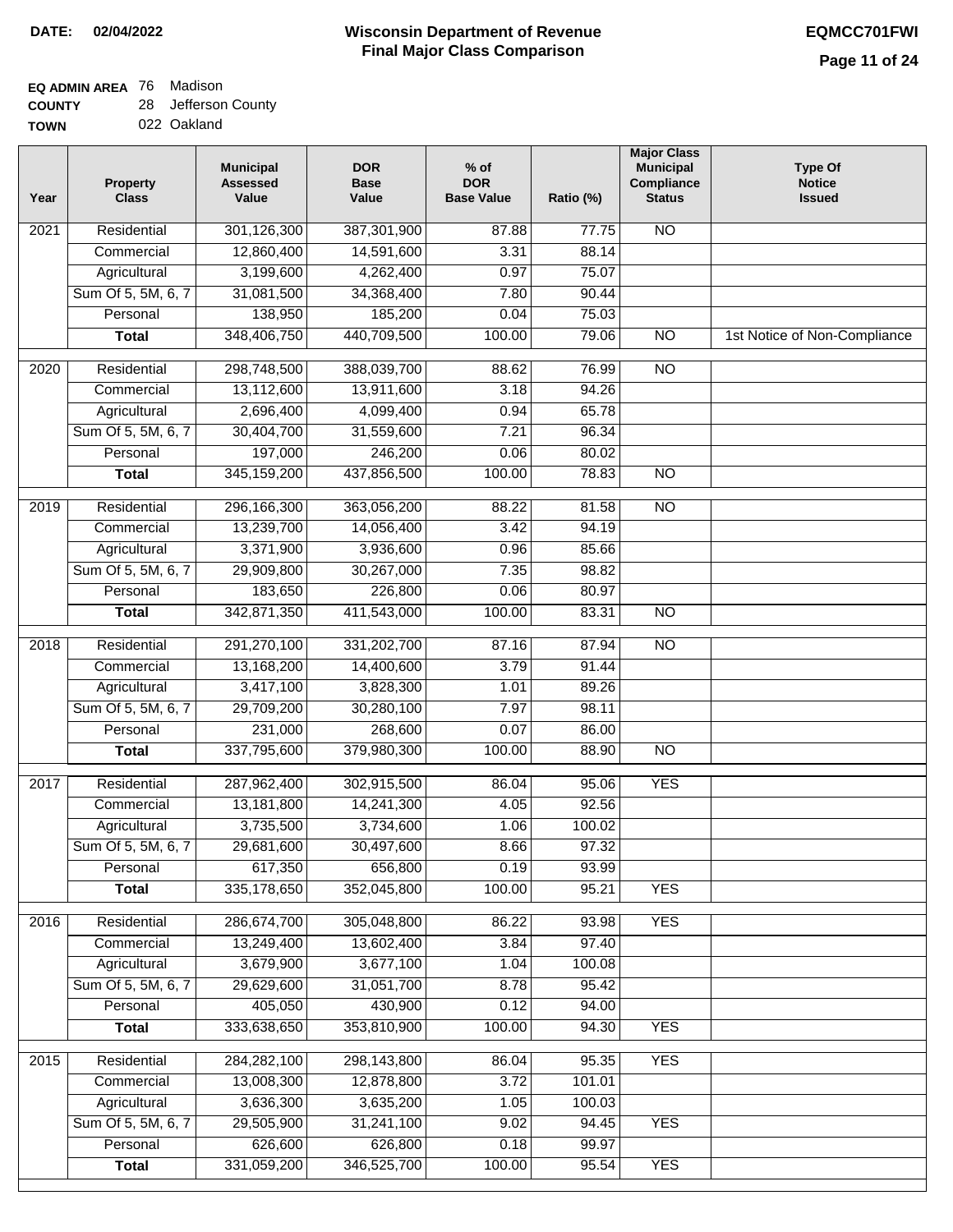## **EQ ADMIN AREA** 76 Madison

**COUNTY TOWN** 28 Jefferson County

022 Oakland

| Year              | Property<br><b>Class</b> | <b>Municipal</b><br><b>Assessed</b><br>Value | <b>DOR</b><br><b>Base</b><br>Value | $%$ of<br><b>DOR</b><br><b>Base Value</b> | Ratio (%) | <b>Major Class</b><br><b>Municipal</b><br>Compliance<br><b>Status</b> | <b>Type Of</b><br><b>Notice</b><br><b>Issued</b> |
|-------------------|--------------------------|----------------------------------------------|------------------------------------|-------------------------------------------|-----------|-----------------------------------------------------------------------|--------------------------------------------------|
| $\overline{202}1$ | Residential              | 301,126,300                                  | 387,301,900                        | 87.88                                     | 77.75     | N <sub>O</sub>                                                        |                                                  |
|                   | Commercial               | 12,860,400                                   | 14,591,600                         | 3.31                                      | 88.14     |                                                                       |                                                  |
|                   | Agricultural             | 3,199,600                                    | 4,262,400                          | 0.97                                      | 75.07     |                                                                       |                                                  |
|                   | Sum Of 5, 5M, 6, 7       | 31,081,500                                   | 34,368,400                         | 7.80                                      | 90.44     |                                                                       |                                                  |
|                   | Personal                 | 138,950                                      | 185,200                            | 0.04                                      | 75.03     |                                                                       |                                                  |
|                   | <b>Total</b>             | 348,406,750                                  | 440,709,500                        | 100.00                                    | 79.06     | <b>NO</b>                                                             | 1st Notice of Non-Compliance                     |
| 2020              | Residential              | 298,748,500                                  | 388,039,700                        | 88.62                                     | 76.99     | $\overline{N}$                                                        |                                                  |
|                   | Commercial               | 13,112,600                                   | 13,911,600                         | 3.18                                      | 94.26     |                                                                       |                                                  |
|                   | Agricultural             | 2,696,400                                    | 4,099,400                          | 0.94                                      | 65.78     |                                                                       |                                                  |
|                   | Sum Of 5, 5M, 6, 7       | 30,404,700                                   | 31,559,600                         | 7.21                                      | 96.34     |                                                                       |                                                  |
|                   | Personal                 | 197,000                                      | 246,200                            | 0.06                                      | 80.02     |                                                                       |                                                  |
|                   | <b>Total</b>             | 345, 159, 200                                | 437,856,500                        | 100.00                                    | 78.83     | N <sub>O</sub>                                                        |                                                  |
| 2019              | Residential              | 296,166,300                                  | 363,056,200                        | 88.22                                     | 81.58     | $\overline{10}$                                                       |                                                  |
|                   | Commercial               | 13,239,700                                   | 14,056,400                         | 3.42                                      | 94.19     |                                                                       |                                                  |
|                   | Agricultural             | 3,371,900                                    | 3,936,600                          | 0.96                                      | 85.66     |                                                                       |                                                  |
|                   | Sum Of 5, 5M, 6, 7       | 29,909,800                                   | 30,267,000                         | 7.35                                      | 98.82     |                                                                       |                                                  |
|                   | Personal                 | 183,650                                      | 226,800                            | 0.06                                      | 80.97     |                                                                       |                                                  |
|                   | <b>Total</b>             | 342,871,350                                  | 411,543,000                        | 100.00                                    | 83.31     | $\overline{NO}$                                                       |                                                  |
| 2018              | Residential              | 291,270,100                                  | 331,202,700                        | 87.16                                     | 87.94     | N <sub>O</sub>                                                        |                                                  |
|                   | Commercial               | 13,168,200                                   | 14,400,600                         | 3.79                                      | 91.44     |                                                                       |                                                  |
|                   | Agricultural             | 3,417,100                                    | 3,828,300                          | 1.01                                      | 89.26     |                                                                       |                                                  |
|                   | Sum Of 5, 5M, 6, 7       | 29,709,200                                   | 30,280,100                         | 7.97                                      | 98.11     |                                                                       |                                                  |
|                   | Personal                 | 231,000                                      | 268,600                            | 0.07                                      | 86.00     |                                                                       |                                                  |
|                   | <b>Total</b>             | 337,795,600                                  | 379,980,300                        | 100.00                                    | 88.90     | $\overline{10}$                                                       |                                                  |
| $\overline{2017}$ | Residential              | 287,962,400                                  | 302,915,500                        | 86.04                                     | 95.06     | <b>YES</b>                                                            |                                                  |
|                   | Commercial               | 13,181,800                                   | 14,241,300                         | 4.05                                      | 92.56     |                                                                       |                                                  |
|                   | Agricultural             | 3,735,500                                    | 3,734,600                          | 1.06                                      | 100.02    |                                                                       |                                                  |
|                   | Sum Of 5, 5M, 6, 7       | 29,681,600                                   | 30,497,600                         | 8.66                                      | 97.32     |                                                                       |                                                  |
|                   | Personal                 | 617,350                                      | 656,800                            | 0.19                                      | 93.99     |                                                                       |                                                  |
|                   | <b>Total</b>             | 335,178,650                                  | 352,045,800                        | 100.00                                    | 95.21     | <b>YES</b>                                                            |                                                  |
| 2016              | Residential              | 286,674,700                                  | 305,048,800                        | 86.22                                     | 93.98     | <b>YES</b>                                                            |                                                  |
|                   | Commercial               | 13,249,400                                   | 13,602,400                         | 3.84                                      | 97.40     |                                                                       |                                                  |
|                   | Agricultural             | 3,679,900                                    | 3,677,100                          | 1.04                                      | 100.08    |                                                                       |                                                  |
|                   | Sum Of 5, 5M, 6, 7       | 29,629,600                                   | 31,051,700                         | 8.78                                      | 95.42     |                                                                       |                                                  |
|                   | Personal                 | 405,050                                      | 430,900                            | 0.12                                      | 94.00     |                                                                       |                                                  |
|                   | <b>Total</b>             | 333,638,650                                  | 353,810,900                        | 100.00                                    | 94.30     | <b>YES</b>                                                            |                                                  |
| 2015              | Residential              | 284,282,100                                  | 298,143,800                        | 86.04                                     | 95.35     | <b>YES</b>                                                            |                                                  |
|                   | Commercial               | 13,008,300                                   | 12,878,800                         | 3.72                                      | 101.01    |                                                                       |                                                  |
|                   | Agricultural             | 3,636,300                                    | 3,635,200                          | 1.05                                      | 100.03    |                                                                       |                                                  |
|                   | Sum Of 5, 5M, 6, 7       | 29,505,900                                   | 31,241,100                         | 9.02                                      | 94.45     | <b>YES</b>                                                            |                                                  |
|                   | Personal                 | 626,600                                      | 626,800                            | 0.18                                      | 99.97     |                                                                       |                                                  |
|                   | <b>Total</b>             | 331,059,200                                  | 346,525,700                        | 100.00                                    | 95.54     | <b>YES</b>                                                            |                                                  |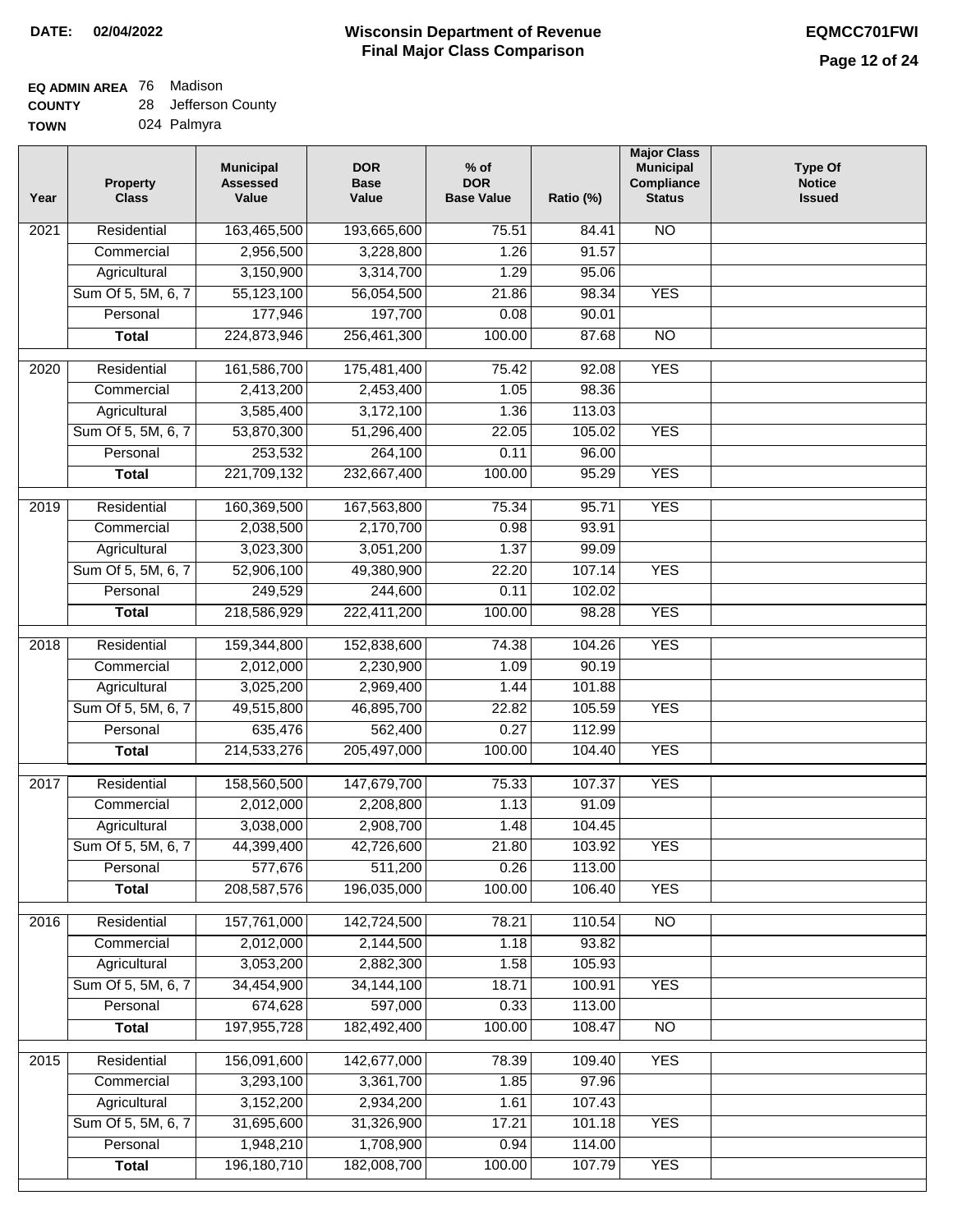# **EQ ADMIN AREA** 76 Madison

**COUNTY TOWN** 28 Jefferson County 024 Palmyra

| Residential<br><b>NO</b><br>163,465,500<br>193,665,600<br>75.51<br>2021<br>84.41<br>2,956,500<br>3,228,800<br>1.26<br>91.57<br>Commercial<br>3,150,900<br>3,314,700<br>Agricultural<br>1.29<br>95.06<br>Sum Of 5, 5M, 6, 7<br>55,123,100<br>56,054,500<br>98.34<br><b>YES</b><br>21.86<br>177,946<br>197,700<br>Personal<br>0.08<br>90.01<br>224,873,946<br>256,461,300<br>100.00<br>87.68<br>$\overline{NO}$<br><b>Total</b><br><b>YES</b><br>2020<br>Residential<br>161,586,700<br>175,481,400<br>75.42<br>92.08<br>98.36<br>2,413,200<br>2,453,400<br>1.05<br>Commercial<br>Agricultural<br>3,585,400<br>3,172,100<br>1.36<br>113.03<br>Sum Of 5, 5M, 6, 7<br>53,870,300<br>105.02<br>51,296,400<br>22.05<br><b>YES</b><br>253,532<br>264,100<br>96.00<br>Personal<br>0.11<br><b>YES</b><br>221,709,132<br>232,667,400<br>100.00<br>95.29<br><b>Total</b><br>Residential<br>160,369,500<br>167,563,800<br>75.34<br>95.71<br><b>YES</b><br>2019<br>2,170,700<br>93.91<br>Commercial<br>2,038,500<br>0.98<br>3,023,300<br>3,051,200<br>1.37<br>99.09<br>Agricultural<br>Sum Of 5, 5M, 6, 7<br>52,906,100<br>49,380,900<br>22.20<br>107.14<br><b>YES</b><br>249,529<br>244,600<br>Personal<br>0.11<br>102.02<br>222,411,200<br><b>YES</b><br>218,586,929<br>100.00<br>98.28<br><b>Total</b><br>$\overline{2018}$<br>Residential<br>159,344,800<br>152,838,600<br><b>YES</b><br>74.38<br>104.26<br>90.19<br>Commercial<br>2,012,000<br>2,230,900<br>1.09<br>3,025,200<br>2,969,400<br>Agricultural<br>101.88<br>1.44<br>Sum Of 5, 5M, 6, 7<br>49,515,800<br>46,895,700<br>22.82<br>105.59<br><b>YES</b><br>562,400<br>Personal<br>635,476<br>0.27<br>112.99 | <b>Issued</b> |
|------------------------------------------------------------------------------------------------------------------------------------------------------------------------------------------------------------------------------------------------------------------------------------------------------------------------------------------------------------------------------------------------------------------------------------------------------------------------------------------------------------------------------------------------------------------------------------------------------------------------------------------------------------------------------------------------------------------------------------------------------------------------------------------------------------------------------------------------------------------------------------------------------------------------------------------------------------------------------------------------------------------------------------------------------------------------------------------------------------------------------------------------------------------------------------------------------------------------------------------------------------------------------------------------------------------------------------------------------------------------------------------------------------------------------------------------------------------------------------------------------------------------------------------------------------------------------------------------------------------------------------------------------------|---------------|
|                                                                                                                                                                                                                                                                                                                                                                                                                                                                                                                                                                                                                                                                                                                                                                                                                                                                                                                                                                                                                                                                                                                                                                                                                                                                                                                                                                                                                                                                                                                                                                                                                                                            |               |
|                                                                                                                                                                                                                                                                                                                                                                                                                                                                                                                                                                                                                                                                                                                                                                                                                                                                                                                                                                                                                                                                                                                                                                                                                                                                                                                                                                                                                                                                                                                                                                                                                                                            |               |
|                                                                                                                                                                                                                                                                                                                                                                                                                                                                                                                                                                                                                                                                                                                                                                                                                                                                                                                                                                                                                                                                                                                                                                                                                                                                                                                                                                                                                                                                                                                                                                                                                                                            |               |
|                                                                                                                                                                                                                                                                                                                                                                                                                                                                                                                                                                                                                                                                                                                                                                                                                                                                                                                                                                                                                                                                                                                                                                                                                                                                                                                                                                                                                                                                                                                                                                                                                                                            |               |
|                                                                                                                                                                                                                                                                                                                                                                                                                                                                                                                                                                                                                                                                                                                                                                                                                                                                                                                                                                                                                                                                                                                                                                                                                                                                                                                                                                                                                                                                                                                                                                                                                                                            |               |
|                                                                                                                                                                                                                                                                                                                                                                                                                                                                                                                                                                                                                                                                                                                                                                                                                                                                                                                                                                                                                                                                                                                                                                                                                                                                                                                                                                                                                                                                                                                                                                                                                                                            |               |
|                                                                                                                                                                                                                                                                                                                                                                                                                                                                                                                                                                                                                                                                                                                                                                                                                                                                                                                                                                                                                                                                                                                                                                                                                                                                                                                                                                                                                                                                                                                                                                                                                                                            |               |
|                                                                                                                                                                                                                                                                                                                                                                                                                                                                                                                                                                                                                                                                                                                                                                                                                                                                                                                                                                                                                                                                                                                                                                                                                                                                                                                                                                                                                                                                                                                                                                                                                                                            |               |
|                                                                                                                                                                                                                                                                                                                                                                                                                                                                                                                                                                                                                                                                                                                                                                                                                                                                                                                                                                                                                                                                                                                                                                                                                                                                                                                                                                                                                                                                                                                                                                                                                                                            |               |
|                                                                                                                                                                                                                                                                                                                                                                                                                                                                                                                                                                                                                                                                                                                                                                                                                                                                                                                                                                                                                                                                                                                                                                                                                                                                                                                                                                                                                                                                                                                                                                                                                                                            |               |
|                                                                                                                                                                                                                                                                                                                                                                                                                                                                                                                                                                                                                                                                                                                                                                                                                                                                                                                                                                                                                                                                                                                                                                                                                                                                                                                                                                                                                                                                                                                                                                                                                                                            |               |
|                                                                                                                                                                                                                                                                                                                                                                                                                                                                                                                                                                                                                                                                                                                                                                                                                                                                                                                                                                                                                                                                                                                                                                                                                                                                                                                                                                                                                                                                                                                                                                                                                                                            |               |
|                                                                                                                                                                                                                                                                                                                                                                                                                                                                                                                                                                                                                                                                                                                                                                                                                                                                                                                                                                                                                                                                                                                                                                                                                                                                                                                                                                                                                                                                                                                                                                                                                                                            |               |
|                                                                                                                                                                                                                                                                                                                                                                                                                                                                                                                                                                                                                                                                                                                                                                                                                                                                                                                                                                                                                                                                                                                                                                                                                                                                                                                                                                                                                                                                                                                                                                                                                                                            |               |
|                                                                                                                                                                                                                                                                                                                                                                                                                                                                                                                                                                                                                                                                                                                                                                                                                                                                                                                                                                                                                                                                                                                                                                                                                                                                                                                                                                                                                                                                                                                                                                                                                                                            |               |
|                                                                                                                                                                                                                                                                                                                                                                                                                                                                                                                                                                                                                                                                                                                                                                                                                                                                                                                                                                                                                                                                                                                                                                                                                                                                                                                                                                                                                                                                                                                                                                                                                                                            |               |
|                                                                                                                                                                                                                                                                                                                                                                                                                                                                                                                                                                                                                                                                                                                                                                                                                                                                                                                                                                                                                                                                                                                                                                                                                                                                                                                                                                                                                                                                                                                                                                                                                                                            |               |
|                                                                                                                                                                                                                                                                                                                                                                                                                                                                                                                                                                                                                                                                                                                                                                                                                                                                                                                                                                                                                                                                                                                                                                                                                                                                                                                                                                                                                                                                                                                                                                                                                                                            |               |
|                                                                                                                                                                                                                                                                                                                                                                                                                                                                                                                                                                                                                                                                                                                                                                                                                                                                                                                                                                                                                                                                                                                                                                                                                                                                                                                                                                                                                                                                                                                                                                                                                                                            |               |
|                                                                                                                                                                                                                                                                                                                                                                                                                                                                                                                                                                                                                                                                                                                                                                                                                                                                                                                                                                                                                                                                                                                                                                                                                                                                                                                                                                                                                                                                                                                                                                                                                                                            |               |
|                                                                                                                                                                                                                                                                                                                                                                                                                                                                                                                                                                                                                                                                                                                                                                                                                                                                                                                                                                                                                                                                                                                                                                                                                                                                                                                                                                                                                                                                                                                                                                                                                                                            |               |
|                                                                                                                                                                                                                                                                                                                                                                                                                                                                                                                                                                                                                                                                                                                                                                                                                                                                                                                                                                                                                                                                                                                                                                                                                                                                                                                                                                                                                                                                                                                                                                                                                                                            |               |
|                                                                                                                                                                                                                                                                                                                                                                                                                                                                                                                                                                                                                                                                                                                                                                                                                                                                                                                                                                                                                                                                                                                                                                                                                                                                                                                                                                                                                                                                                                                                                                                                                                                            |               |
|                                                                                                                                                                                                                                                                                                                                                                                                                                                                                                                                                                                                                                                                                                                                                                                                                                                                                                                                                                                                                                                                                                                                                                                                                                                                                                                                                                                                                                                                                                                                                                                                                                                            |               |
| 100.00<br>214,533,276<br>205,497,000<br>104.40<br><b>YES</b><br><b>Total</b>                                                                                                                                                                                                                                                                                                                                                                                                                                                                                                                                                                                                                                                                                                                                                                                                                                                                                                                                                                                                                                                                                                                                                                                                                                                                                                                                                                                                                                                                                                                                                                               |               |
| <b>YES</b><br>2017<br>Residential<br>158,560,500<br>147,679,700<br>75.33<br>107.37                                                                                                                                                                                                                                                                                                                                                                                                                                                                                                                                                                                                                                                                                                                                                                                                                                                                                                                                                                                                                                                                                                                                                                                                                                                                                                                                                                                                                                                                                                                                                                         |               |
| 2,012,000<br>2,208,800<br>1.13<br>Commercial<br>91.09                                                                                                                                                                                                                                                                                                                                                                                                                                                                                                                                                                                                                                                                                                                                                                                                                                                                                                                                                                                                                                                                                                                                                                                                                                                                                                                                                                                                                                                                                                                                                                                                      |               |
| 2,908,700<br>104.45<br>3,038,000<br>1.48<br>Agricultural                                                                                                                                                                                                                                                                                                                                                                                                                                                                                                                                                                                                                                                                                                                                                                                                                                                                                                                                                                                                                                                                                                                                                                                                                                                                                                                                                                                                                                                                                                                                                                                                   |               |
| Sum Of 5, 5M, 6, 7<br>42,726,600<br>21.80<br>103.92<br><b>YES</b><br>44,399,400                                                                                                                                                                                                                                                                                                                                                                                                                                                                                                                                                                                                                                                                                                                                                                                                                                                                                                                                                                                                                                                                                                                                                                                                                                                                                                                                                                                                                                                                                                                                                                            |               |
| 577,676<br>511,200<br>0.26<br>Personal<br>113.00                                                                                                                                                                                                                                                                                                                                                                                                                                                                                                                                                                                                                                                                                                                                                                                                                                                                                                                                                                                                                                                                                                                                                                                                                                                                                                                                                                                                                                                                                                                                                                                                           |               |
| 208, 587, 576<br>196,035,000<br>100.00<br>106.40<br><b>YES</b><br><b>Total</b>                                                                                                                                                                                                                                                                                                                                                                                                                                                                                                                                                                                                                                                                                                                                                                                                                                                                                                                                                                                                                                                                                                                                                                                                                                                                                                                                                                                                                                                                                                                                                                             |               |
| Residential<br>157,761,000<br>142,724,500<br>110.54<br>N <sub>O</sub><br>2016<br>78.21                                                                                                                                                                                                                                                                                                                                                                                                                                                                                                                                                                                                                                                                                                                                                                                                                                                                                                                                                                                                                                                                                                                                                                                                                                                                                                                                                                                                                                                                                                                                                                     |               |
| Commercial<br>2,012,000<br>2,144,500<br>1.18<br>93.82                                                                                                                                                                                                                                                                                                                                                                                                                                                                                                                                                                                                                                                                                                                                                                                                                                                                                                                                                                                                                                                                                                                                                                                                                                                                                                                                                                                                                                                                                                                                                                                                      |               |
| 3,053,200<br>Agricultural<br>2,882,300<br>1.58<br>105.93                                                                                                                                                                                                                                                                                                                                                                                                                                                                                                                                                                                                                                                                                                                                                                                                                                                                                                                                                                                                                                                                                                                                                                                                                                                                                                                                                                                                                                                                                                                                                                                                   |               |
| Sum Of 5, 5M, 6, 7<br>34, 144, 100<br>18.71<br>100.91<br><b>YES</b><br>34,454,900                                                                                                                                                                                                                                                                                                                                                                                                                                                                                                                                                                                                                                                                                                                                                                                                                                                                                                                                                                                                                                                                                                                                                                                                                                                                                                                                                                                                                                                                                                                                                                          |               |
| 674,628<br>597,000<br>113.00<br>Personal<br>0.33                                                                                                                                                                                                                                                                                                                                                                                                                                                                                                                                                                                                                                                                                                                                                                                                                                                                                                                                                                                                                                                                                                                                                                                                                                                                                                                                                                                                                                                                                                                                                                                                           |               |
| 197, 955, 728<br>182,492,400<br>100.00<br>108.47<br>$\overline{NO}$<br><b>Total</b>                                                                                                                                                                                                                                                                                                                                                                                                                                                                                                                                                                                                                                                                                                                                                                                                                                                                                                                                                                                                                                                                                                                                                                                                                                                                                                                                                                                                                                                                                                                                                                        |               |
| <b>YES</b><br>Residential<br>156,091,600<br>142,677,000<br>78.39<br>109.40<br>2015                                                                                                                                                                                                                                                                                                                                                                                                                                                                                                                                                                                                                                                                                                                                                                                                                                                                                                                                                                                                                                                                                                                                                                                                                                                                                                                                                                                                                                                                                                                                                                         |               |
| Commercial<br>3,293,100<br>3,361,700<br>97.96<br>1.85                                                                                                                                                                                                                                                                                                                                                                                                                                                                                                                                                                                                                                                                                                                                                                                                                                                                                                                                                                                                                                                                                                                                                                                                                                                                                                                                                                                                                                                                                                                                                                                                      |               |
| Agricultural<br>3,152,200<br>2,934,200<br>107.43<br>1.61                                                                                                                                                                                                                                                                                                                                                                                                                                                                                                                                                                                                                                                                                                                                                                                                                                                                                                                                                                                                                                                                                                                                                                                                                                                                                                                                                                                                                                                                                                                                                                                                   |               |
| Sum Of 5, 5M, 6, 7<br>31,695,600<br>31,326,900<br><b>YES</b><br>17.21<br>101.18                                                                                                                                                                                                                                                                                                                                                                                                                                                                                                                                                                                                                                                                                                                                                                                                                                                                                                                                                                                                                                                                                                                                                                                                                                                                                                                                                                                                                                                                                                                                                                            |               |
| 1,708,900<br>Personal<br>1,948,210<br>114.00<br>0.94                                                                                                                                                                                                                                                                                                                                                                                                                                                                                                                                                                                                                                                                                                                                                                                                                                                                                                                                                                                                                                                                                                                                                                                                                                                                                                                                                                                                                                                                                                                                                                                                       |               |
| 196, 180, 710<br>182,008,700<br><b>Total</b><br>100.00<br>107.79<br><b>YES</b>                                                                                                                                                                                                                                                                                                                                                                                                                                                                                                                                                                                                                                                                                                                                                                                                                                                                                                                                                                                                                                                                                                                                                                                                                                                                                                                                                                                                                                                                                                                                                                             |               |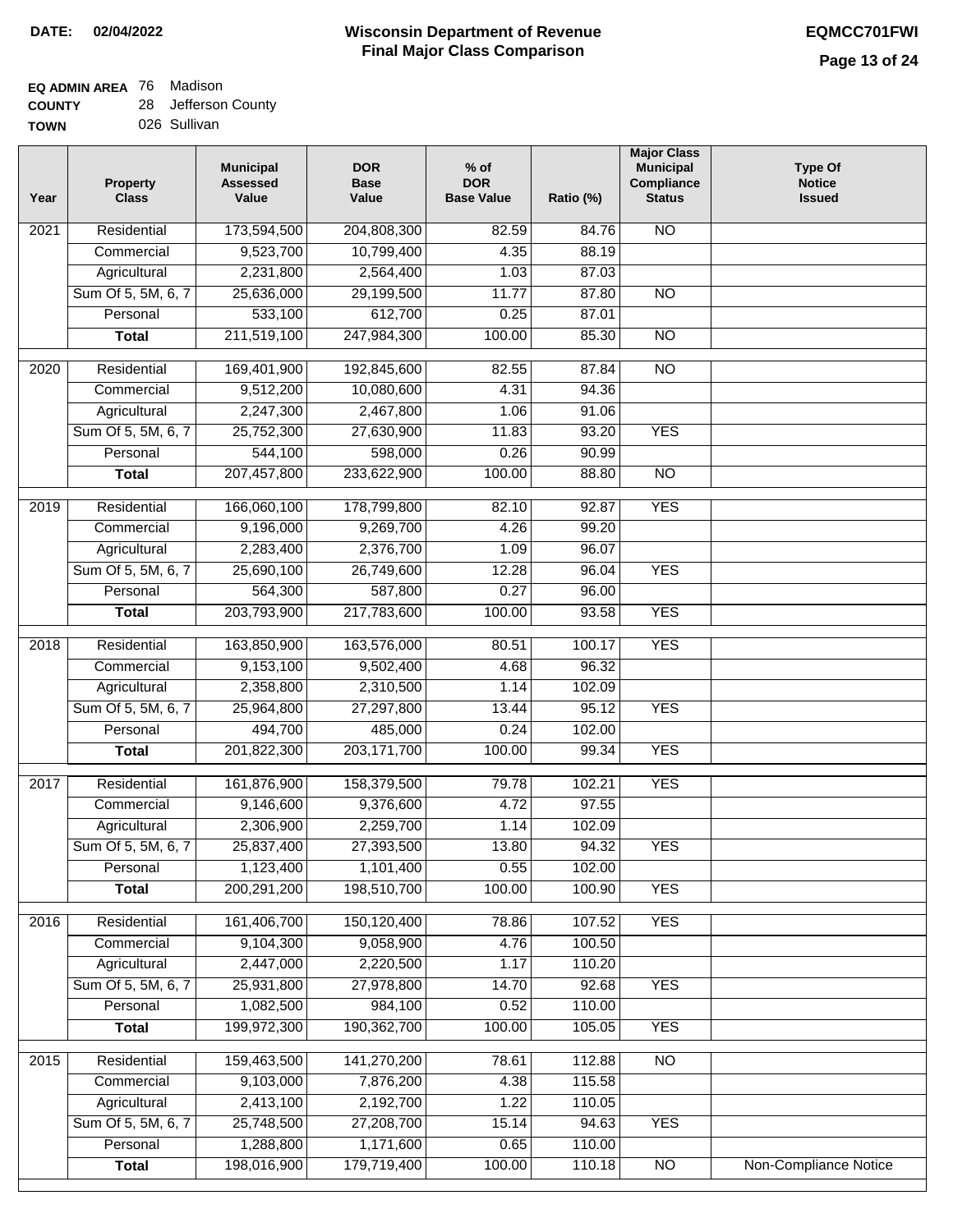#### **Wisconsin Department of Revenue Final Major Class Comparison DATE: 02/04/2022 EQMCC701FWI**

#### **EQ ADMIN AREA** 76 Madison **COUNTY** 28 Jefferson County

| <b>UUUNII</b> | 2U | <b>UGIIGIJUII UUU</b> |
|---------------|----|-----------------------|
| <b>TOWN</b>   |    | 026 Sullivan          |

| Year              | <b>Property</b><br><b>Class</b> | <b>Municipal</b><br><b>Assessed</b><br>Value | <b>DOR</b><br><b>Base</b><br>Value | $%$ of<br><b>DOR</b><br><b>Base Value</b> | Ratio (%) | <b>Major Class</b><br><b>Municipal</b><br>Compliance<br><b>Status</b> | <b>Type Of</b><br><b>Notice</b><br><b>Issued</b> |
|-------------------|---------------------------------|----------------------------------------------|------------------------------------|-------------------------------------------|-----------|-----------------------------------------------------------------------|--------------------------------------------------|
| 2021              | Residential                     | 173,594,500                                  | 204,808,300                        | 82.59                                     | 84.76     | <b>NO</b>                                                             |                                                  |
|                   | Commercial                      | 9,523,700                                    | 10,799,400                         | 4.35                                      | 88.19     |                                                                       |                                                  |
|                   | Agricultural                    | 2,231,800                                    | 2,564,400                          | 1.03                                      | 87.03     |                                                                       |                                                  |
|                   | Sum Of 5, 5M, 6, 7              | 25,636,000                                   | 29,199,500                         | 11.77                                     | 87.80     | $\overline{NO}$                                                       |                                                  |
|                   | Personal                        | 533,100                                      | 612,700                            | 0.25                                      | 87.01     |                                                                       |                                                  |
|                   | <b>Total</b>                    | 211,519,100                                  | 247,984,300                        | 100.00                                    | 85.30     | $\overline{NO}$                                                       |                                                  |
| $\overline{20}20$ | Residential                     | 169,401,900                                  | 192,845,600                        | 82.55                                     | 87.84     | $\overline{10}$                                                       |                                                  |
|                   | Commercial                      | 9,512,200                                    | 10,080,600                         | 4.31                                      | 94.36     |                                                                       |                                                  |
|                   | Agricultural                    | 2,247,300                                    | 2,467,800                          | 1.06                                      | 91.06     |                                                                       |                                                  |
|                   | Sum Of 5, 5M, 6, 7              | 25,752,300                                   | 27,630,900                         | 11.83                                     | 93.20     | <b>YES</b>                                                            |                                                  |
|                   | Personal                        | 544,100                                      | 598,000                            | 0.26                                      | 90.99     |                                                                       |                                                  |
|                   | <b>Total</b>                    | 207,457,800                                  | 233,622,900                        | 100.00                                    | 88.80     | <b>NO</b>                                                             |                                                  |
| 2019              | Residential                     | 166,060,100                                  | 178,799,800                        | 82.10                                     | 92.87     | <b>YES</b>                                                            |                                                  |
|                   | Commercial                      | 9,196,000                                    | 9,269,700                          | 4.26                                      | 99.20     |                                                                       |                                                  |
|                   | Agricultural                    | 2,283,400                                    | 2,376,700                          | 1.09                                      | 96.07     |                                                                       |                                                  |
|                   | Sum Of 5, 5M, 6, 7              | 25,690,100                                   | 26,749,600                         | 12.28                                     | 96.04     | <b>YES</b>                                                            |                                                  |
|                   | Personal                        | 564,300                                      | 587,800                            | 0.27                                      | 96.00     |                                                                       |                                                  |
|                   | <b>Total</b>                    | 203,793,900                                  | 217,783,600                        | 100.00                                    | 93.58     | <b>YES</b>                                                            |                                                  |
|                   |                                 |                                              |                                    |                                           |           |                                                                       |                                                  |
| 2018              | Residential                     | 163,850,900                                  | 163,576,000                        | 80.51                                     | 100.17    | <b>YES</b>                                                            |                                                  |
|                   | Commercial                      | 9,153,100                                    | 9,502,400                          | 4.68                                      | 96.32     |                                                                       |                                                  |
|                   | Agricultural                    | 2,358,800                                    | 2,310,500                          | 1.14                                      | 102.09    |                                                                       |                                                  |
|                   | Sum Of 5, 5M, 6, 7              | 25,964,800                                   | 27,297,800                         | 13.44                                     | 95.12     | <b>YES</b>                                                            |                                                  |
|                   | Personal                        | 494,700                                      | 485,000                            | 0.24                                      | 102.00    |                                                                       |                                                  |
|                   | <b>Total</b>                    | 201,822,300                                  | 203, 171, 700                      | 100.00                                    | 99.34     | <b>YES</b>                                                            |                                                  |
| 2017              | Residential                     | 161,876,900                                  | 158,379,500                        | 79.78                                     | 102.21    | <b>YES</b>                                                            |                                                  |
|                   | Commercial                      | 9,146,600                                    | 9,376,600                          | 4.72                                      | 97.55     |                                                                       |                                                  |
|                   | Agricultural                    | 2,306,900                                    | 2,259,700                          | 1.14                                      | 102.09    |                                                                       |                                                  |
|                   | Sum Of 5, 5M, 6, 7              | 25,837,400                                   | 27,393,500                         | 13.80                                     | 94.32     | <b>YES</b>                                                            |                                                  |
|                   | Personal                        | 1,123,400                                    | 1,101,400                          | 0.55                                      | 102.00    |                                                                       |                                                  |
|                   | <b>Total</b>                    | 200, 291, 200                                | 198,510,700                        | 100.00                                    | 100.90    | <b>YES</b>                                                            |                                                  |
| 2016              | Residential                     | 161,406,700                                  | 150,120,400                        | 78.86                                     | 107.52    | <b>YES</b>                                                            |                                                  |
|                   | Commercial                      | 9,104,300                                    | 9,058,900                          | 4.76                                      | 100.50    |                                                                       |                                                  |
|                   | Agricultural                    | 2,447,000                                    | 2,220,500                          | 1.17                                      | 110.20    |                                                                       |                                                  |
|                   | Sum Of 5, 5M, 6, 7              | 25,931,800                                   | 27,978,800                         | 14.70                                     | 92.68     | <b>YES</b>                                                            |                                                  |
|                   | Personal                        | 1,082,500                                    | 984,100                            | 0.52                                      | 110.00    |                                                                       |                                                  |
|                   | <b>Total</b>                    | 199,972,300                                  | 190,362,700                        | 100.00                                    | 105.05    | <b>YES</b>                                                            |                                                  |
| 2015              | Residential                     | 159,463,500                                  | 141,270,200                        | 78.61                                     | 112.88    | $\overline{NO}$                                                       |                                                  |
|                   | Commercial                      | 9,103,000                                    | 7,876,200                          | 4.38                                      | 115.58    |                                                                       |                                                  |
|                   | Agricultural                    | 2,413,100                                    | 2,192,700                          | 1.22                                      | 110.05    |                                                                       |                                                  |
|                   | Sum Of 5, 5M, 6, 7              | 25,748,500                                   | 27,208,700                         | 15.14                                     | 94.63     | <b>YES</b>                                                            |                                                  |
|                   | Personal                        | 1,288,800                                    | 1,171,600                          | 0.65                                      | 110.00    |                                                                       |                                                  |
|                   | <b>Total</b>                    | 198,016,900                                  | 179,719,400                        | 100.00                                    | 110.18    | $\overline{NO}$                                                       | Non-Compliance Notice                            |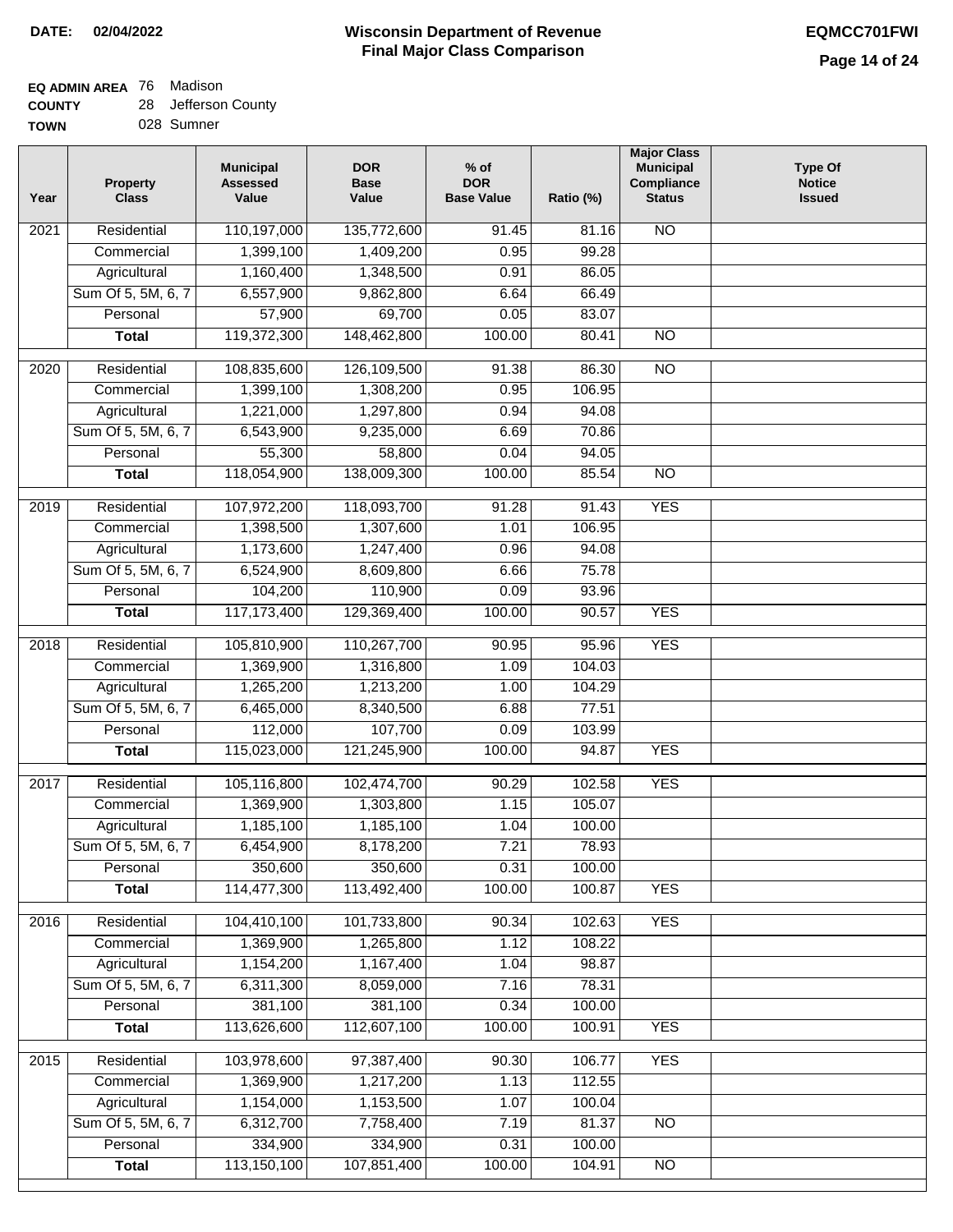### **EQ ADMIN AREA** 76 Madison **COUNTY**

| <b>COUNTY</b> | 28 Jefferson County |
|---------------|---------------------|
| <b>TOWN</b>   | 028 Sumner          |

| Year | <b>Property</b><br><b>Class</b> | <b>Municipal</b><br><b>Assessed</b><br>Value | <b>DOR</b><br><b>Base</b><br>Value | $%$ of<br><b>DOR</b><br><b>Base Value</b> | Ratio (%) | <b>Major Class</b><br><b>Municipal</b><br>Compliance<br><b>Status</b> | <b>Type Of</b><br><b>Notice</b><br><b>Issued</b> |
|------|---------------------------------|----------------------------------------------|------------------------------------|-------------------------------------------|-----------|-----------------------------------------------------------------------|--------------------------------------------------|
| 2021 | Residential                     | 110,197,000                                  | 135,772,600                        | 91.45                                     | 81.16     | <b>NO</b>                                                             |                                                  |
|      | Commercial                      | 1,399,100                                    | 1,409,200                          | 0.95                                      | 99.28     |                                                                       |                                                  |
|      | Agricultural                    | 1,160,400                                    | 1,348,500                          | 0.91                                      | 86.05     |                                                                       |                                                  |
|      | Sum Of 5, 5M, 6, 7              | 6,557,900                                    | 9,862,800                          | 6.64                                      | 66.49     |                                                                       |                                                  |
|      | Personal                        | 57,900                                       | 69,700                             | 0.05                                      | 83.07     |                                                                       |                                                  |
|      | <b>Total</b>                    | 119,372,300                                  | 148,462,800                        | 100.00                                    | 80.41     | $\overline{NO}$                                                       |                                                  |
| 2020 | Residential                     | 108,835,600                                  | 126,109,500                        | 91.38                                     | 86.30     | $\overline{10}$                                                       |                                                  |
|      | Commercial                      | 1,399,100                                    | 1,308,200                          | 0.95                                      | 106.95    |                                                                       |                                                  |
|      | Agricultural                    | 1,221,000                                    | 1,297,800                          | 0.94                                      | 94.08     |                                                                       |                                                  |
|      | Sum Of 5, 5M, 6, 7              | 6,543,900                                    | 9,235,000                          | 6.69                                      | 70.86     |                                                                       |                                                  |
|      | Personal                        | 55,300                                       | 58,800                             | 0.04                                      | 94.05     |                                                                       |                                                  |
|      | <b>Total</b>                    | 118,054,900                                  | 138,009,300                        | 100.00                                    | 85.54     | $\overline{NO}$                                                       |                                                  |
|      |                                 |                                              |                                    |                                           |           |                                                                       |                                                  |
| 2019 | Residential                     | 107,972,200                                  | 118,093,700                        | 91.28                                     | 91.43     | <b>YES</b>                                                            |                                                  |
|      | Commercial                      | 1,398,500                                    | 1,307,600                          | 1.01                                      | 106.95    |                                                                       |                                                  |
|      | Agricultural                    | 1,173,600                                    | 1,247,400                          | 0.96                                      | 94.08     |                                                                       |                                                  |
|      | Sum Of 5, 5M, 6, 7              | 6,524,900                                    | 8,609,800                          | 6.66                                      | 75.78     |                                                                       |                                                  |
|      | Personal                        | 104,200                                      | 110,900                            | 0.09                                      | 93.96     |                                                                       |                                                  |
|      | <b>Total</b>                    | 117, 173, 400                                | 129,369,400                        | 100.00                                    | 90.57     | <b>YES</b>                                                            |                                                  |
| 2018 | Residential                     | 105,810,900                                  | 110,267,700                        | 90.95                                     | 95.96     | <b>YES</b>                                                            |                                                  |
|      | Commercial                      | 1,369,900                                    | 1,316,800                          | 1.09                                      | 104.03    |                                                                       |                                                  |
|      | Agricultural                    | 1,265,200                                    | 1,213,200                          | 1.00                                      | 104.29    |                                                                       |                                                  |
|      | Sum Of 5, 5M, 6, 7              | 6,465,000                                    | 8,340,500                          | 6.88                                      | 77.51     |                                                                       |                                                  |
|      | Personal                        | 112,000                                      | 107,700                            | 0.09                                      | 103.99    |                                                                       |                                                  |
|      | <b>Total</b>                    | 115,023,000                                  | 121,245,900                        | 100.00                                    | 94.87     | <b>YES</b>                                                            |                                                  |
| 2017 | Residential                     | 105,116,800                                  | 102,474,700                        | 90.29                                     | 102.58    | <b>YES</b>                                                            |                                                  |
|      | Commercial                      | 1,369,900                                    | 1,303,800                          | 1.15                                      | 105.07    |                                                                       |                                                  |
|      | Agricultural                    | 1,185,100                                    | 1,185,100                          | 1.04                                      | 100.00    |                                                                       |                                                  |
|      | Sum Of 5, 5M, 6, 7              | 6,454,900                                    | 8,178,200                          | 7.21                                      | 78.93     |                                                                       |                                                  |
|      | Personal                        | 350,600                                      | 350,600                            | 0.31                                      | 100.00    |                                                                       |                                                  |
|      | <b>Total</b>                    | 114,477,300                                  | 113,492,400                        | 100.00                                    | 100.87    | <b>YES</b>                                                            |                                                  |
|      |                                 |                                              |                                    |                                           |           |                                                                       |                                                  |
| 2016 | Residential                     | 104,410,100                                  | 101,733,800                        | 90.34                                     | 102.63    | <b>YES</b>                                                            |                                                  |
|      | Commercial                      | 1,369,900                                    | 1,265,800                          | 1.12                                      | 108.22    |                                                                       |                                                  |
|      | Agricultural                    | 1,154,200                                    | 1,167,400                          | 1.04                                      | 98.87     |                                                                       |                                                  |
|      | Sum Of 5, 5M, 6, 7              | 6,311,300                                    | 8,059,000                          | 7.16                                      | 78.31     |                                                                       |                                                  |
|      | Personal                        | 381,100                                      | 381,100                            | 0.34                                      | 100.00    |                                                                       |                                                  |
|      | <b>Total</b>                    | 113,626,600                                  | 112,607,100                        | 100.00                                    | 100.91    | <b>YES</b>                                                            |                                                  |
| 2015 | Residential                     | 103,978,600                                  | 97,387,400                         | 90.30                                     | 106.77    | <b>YES</b>                                                            |                                                  |
|      | Commercial                      | 1,369,900                                    | 1,217,200                          | 1.13                                      | 112.55    |                                                                       |                                                  |
|      | Agricultural                    | 1,154,000                                    | 1,153,500                          | 1.07                                      | 100.04    |                                                                       |                                                  |
|      | Sum Of 5, 5M, 6, 7              | 6,312,700                                    | 7,758,400                          | 7.19                                      | 81.37     | <b>NO</b>                                                             |                                                  |
|      | Personal                        | 334,900                                      | 334,900                            | 0.31                                      | 100.00    |                                                                       |                                                  |
|      | <b>Total</b>                    | 113,150,100                                  | 107,851,400                        | 100.00                                    | 104.91    | $\overline{NO}$                                                       |                                                  |
|      |                                 |                                              |                                    |                                           |           |                                                                       |                                                  |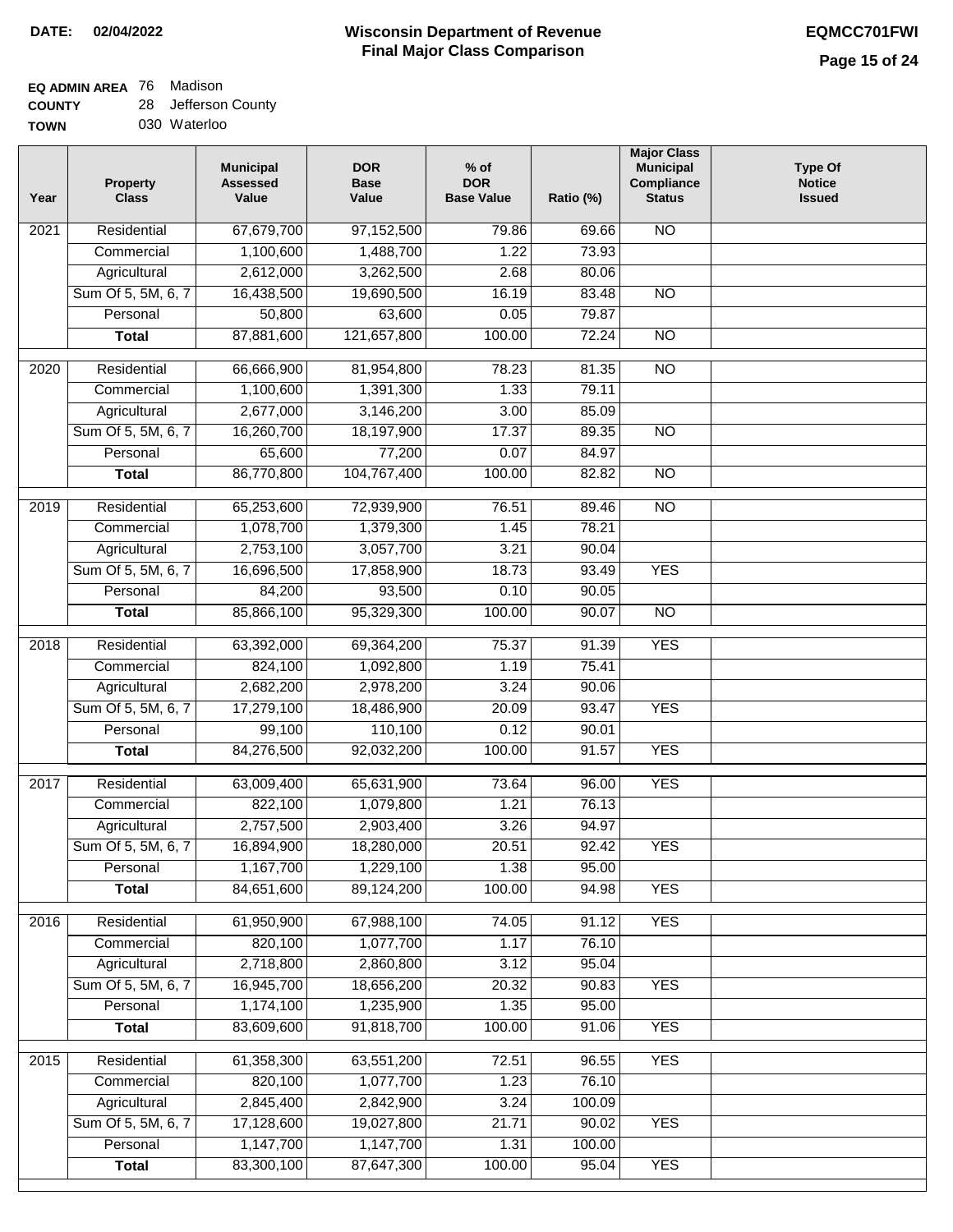#### **EQ ADMIN AREA** 76 Madison **COUNTY** 28 Jefferson County

| <b>UUUNIT</b> | <b>UCIICISUII UUUI</b> |
|---------------|------------------------|
| <b>TOWN</b>   | 030 Waterloo           |

| Year             | <b>Property</b><br><b>Class</b> | <b>Municipal</b><br><b>Assessed</b><br>Value | <b>DOR</b><br><b>Base</b><br>Value | $%$ of<br><b>DOR</b><br><b>Base Value</b> | Ratio (%) | <b>Major Class</b><br><b>Municipal</b><br>Compliance<br><b>Status</b> | <b>Type Of</b><br><b>Notice</b><br><b>Issued</b> |
|------------------|---------------------------------|----------------------------------------------|------------------------------------|-------------------------------------------|-----------|-----------------------------------------------------------------------|--------------------------------------------------|
| 2021             | Residential                     | 67,679,700                                   | 97,152,500                         | 79.86                                     | 69.66     | $\overline{NO}$                                                       |                                                  |
|                  | Commercial                      | 1,100,600                                    | 1,488,700                          | 1.22                                      | 73.93     |                                                                       |                                                  |
|                  | Agricultural                    | 2,612,000                                    | 3,262,500                          | 2.68                                      | 80.06     |                                                                       |                                                  |
|                  | Sum Of 5, 5M, 6, 7              | 16,438,500                                   | 19,690,500                         | 16.19                                     | 83.48     | $\overline{NO}$                                                       |                                                  |
|                  | Personal                        | 50,800                                       | 63,600                             | 0.05                                      | 79.87     |                                                                       |                                                  |
|                  | <b>Total</b>                    | 87,881,600                                   | 121,657,800                        | 100.00                                    | 72.24     | $\overline{NO}$                                                       |                                                  |
| 2020             | Residential                     | 66,666,900                                   | 81,954,800                         | 78.23                                     | 81.35     | $\overline{NO}$                                                       |                                                  |
|                  | Commercial                      | 1,100,600                                    | 1,391,300                          | 1.33                                      | 79.11     |                                                                       |                                                  |
|                  | Agricultural                    | 2,677,000                                    | 3,146,200                          | 3.00                                      | 85.09     |                                                                       |                                                  |
|                  | Sum Of 5, 5M, 6, 7              | 16,260,700                                   | 18,197,900                         | 17.37                                     | 89.35     | $\overline{NO}$                                                       |                                                  |
|                  | Personal                        | 65,600                                       | 77,200                             | 0.07                                      | 84.97     |                                                                       |                                                  |
|                  | <b>Total</b>                    | 86,770,800                                   | 104,767,400                        | 100.00                                    | 82.82     | $\overline{NO}$                                                       |                                                  |
|                  |                                 |                                              |                                    |                                           |           |                                                                       |                                                  |
| $\frac{1}{2019}$ | Residential                     | 65,253,600                                   | 72,939,900                         | 76.51                                     | 89.46     | $\overline{NO}$                                                       |                                                  |
|                  | Commercial                      | 1,078,700                                    | 1,379,300                          | 1.45                                      | 78.21     |                                                                       |                                                  |
|                  | Agricultural                    | 2,753,100                                    | 3,057,700                          | 3.21                                      | 90.04     |                                                                       |                                                  |
|                  | Sum Of 5, 5M, 6, 7              | 16,696,500                                   | 17,858,900                         | 18.73                                     | 93.49     | <b>YES</b>                                                            |                                                  |
|                  | Personal                        | 84,200                                       | 93,500                             | 0.10                                      | 90.05     |                                                                       |                                                  |
|                  | <b>Total</b>                    | 85,866,100                                   | 95,329,300                         | 100.00                                    | 90.07     | $\overline{N}$                                                        |                                                  |
| 2018             | Residential                     | 63,392,000                                   | 69,364,200                         | 75.37                                     | 91.39     | <b>YES</b>                                                            |                                                  |
|                  | Commercial                      | 824,100                                      | 1,092,800                          | 1.19                                      | 75.41     |                                                                       |                                                  |
|                  | Agricultural                    | 2,682,200                                    | 2,978,200                          | 3.24                                      | 90.06     |                                                                       |                                                  |
|                  | Sum Of 5, 5M, 6, 7              | 17,279,100                                   | 18,486,900                         | 20.09                                     | 93.47     | <b>YES</b>                                                            |                                                  |
|                  | Personal                        | 99,100                                       | 110,100                            | 0.12                                      | 90.01     |                                                                       |                                                  |
|                  | <b>Total</b>                    | 84,276,500                                   | 92,032,200                         | 100.00                                    | 91.57     | <b>YES</b>                                                            |                                                  |
| 2017             | Residential                     | 63,009,400                                   | 65,631,900                         | 73.64                                     | 96.00     | <b>YES</b>                                                            |                                                  |
|                  | Commercial                      | 822,100                                      | 1,079,800                          | 1.21                                      | 76.13     |                                                                       |                                                  |
|                  | Agricultural                    | 2,757,500                                    | 2,903,400                          | 3.26                                      | 94.97     |                                                                       |                                                  |
|                  | Sum Of 5, 5M, 6, 7              | 16,894,900                                   | 18,280,000                         | 20.51                                     | 92.42     | <b>YES</b>                                                            |                                                  |
|                  | Personal                        | 1,167,700                                    | 1,229,100                          | 1.38                                      | 95.00     |                                                                       |                                                  |
|                  | <b>Total</b>                    | 84,651,600                                   | 89,124,200                         | 100.00                                    | 94.98     | <b>YES</b>                                                            |                                                  |
|                  |                                 |                                              |                                    |                                           |           |                                                                       |                                                  |
| 2016             | Residential                     | 61,950,900                                   | 67,988,100                         | 74.05                                     | 91.12     | <b>YES</b>                                                            |                                                  |
|                  | Commercial                      | 820,100                                      | 1,077,700                          | 1.17                                      | 76.10     |                                                                       |                                                  |
|                  | Agricultural                    | 2,718,800                                    | 2,860,800                          | 3.12                                      | 95.04     |                                                                       |                                                  |
|                  | Sum Of 5, 5M, 6, 7              | 16,945,700                                   | 18,656,200                         | 20.32                                     | 90.83     | <b>YES</b>                                                            |                                                  |
|                  | Personal                        | 1,174,100                                    | 1,235,900                          | 1.35                                      | 95.00     |                                                                       |                                                  |
|                  | <b>Total</b>                    | 83,609,600                                   | 91,818,700                         | 100.00                                    | 91.06     | <b>YES</b>                                                            |                                                  |
| 2015             | Residential                     | 61,358,300                                   | 63,551,200                         | 72.51                                     | 96.55     | <b>YES</b>                                                            |                                                  |
|                  | Commercial                      | 820,100                                      | 1,077,700                          | 1.23                                      | 76.10     |                                                                       |                                                  |
|                  | Agricultural                    | 2,845,400                                    | 2,842,900                          | 3.24                                      | 100.09    |                                                                       |                                                  |
|                  | Sum Of 5, 5M, 6, 7              | 17,128,600                                   | 19,027,800                         | 21.71                                     | 90.02     | <b>YES</b>                                                            |                                                  |
|                  | Personal                        | 1,147,700                                    | 1,147,700                          | 1.31                                      | 100.00    |                                                                       |                                                  |
|                  | <b>Total</b>                    | 83,300,100                                   | 87,647,300                         | 100.00                                    | 95.04     | <b>YES</b>                                                            |                                                  |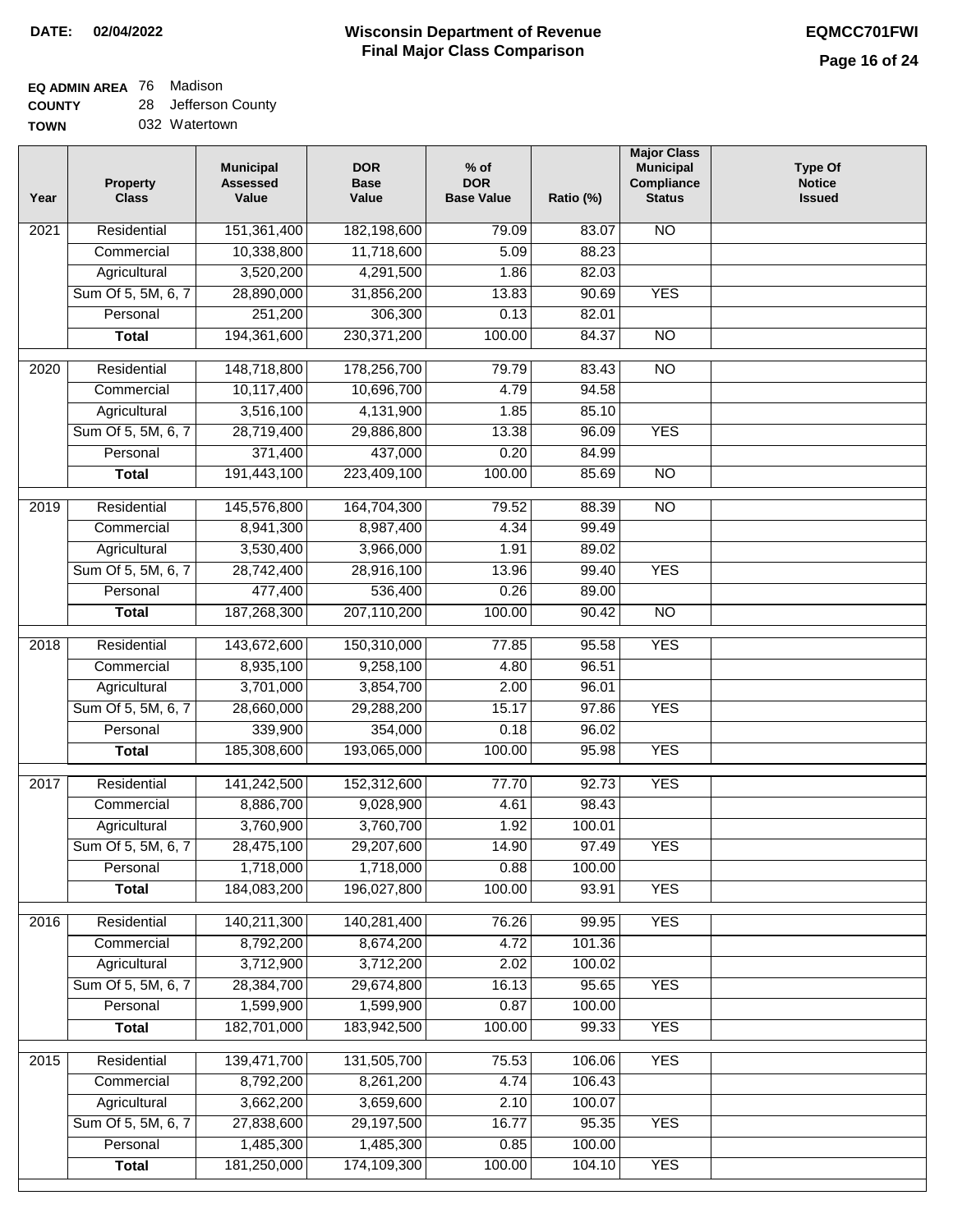## **EQ ADMIN AREA** 76 Madison

**COUNTY** 28 Jefferson County

**TOWN** 032 Watertown

| Year              | <b>Property</b><br><b>Class</b> | <b>Municipal</b><br><b>Assessed</b><br>Value | <b>DOR</b><br><b>Base</b><br>Value | $%$ of<br><b>DOR</b><br><b>Base Value</b> | Ratio (%) | <b>Major Class</b><br><b>Municipal</b><br>Compliance<br><b>Status</b> | <b>Type Of</b><br><b>Notice</b><br><b>Issued</b> |
|-------------------|---------------------------------|----------------------------------------------|------------------------------------|-------------------------------------------|-----------|-----------------------------------------------------------------------|--------------------------------------------------|
| 2021              | Residential                     | 151,361,400                                  | 182,198,600                        | 79.09                                     | 83.07     | <b>NO</b>                                                             |                                                  |
|                   | Commercial                      | 10,338,800                                   | 11,718,600                         | 5.09                                      | 88.23     |                                                                       |                                                  |
|                   | Agricultural                    | 3,520,200                                    | 4,291,500                          | 1.86                                      | 82.03     |                                                                       |                                                  |
|                   | Sum Of 5, 5M, 6, 7              | 28,890,000                                   | 31,856,200                         | 13.83                                     | 90.69     | <b>YES</b>                                                            |                                                  |
|                   | Personal                        | 251,200                                      | 306,300                            | 0.13                                      | 82.01     |                                                                       |                                                  |
|                   | <b>Total</b>                    | 194,361,600                                  | 230, 371, 200                      | 100.00                                    | 84.37     | $\overline{NO}$                                                       |                                                  |
| $\overline{20}20$ | Residential                     | 148,718,800                                  | 178,256,700                        | 79.79                                     | 83.43     | $\overline{NO}$                                                       |                                                  |
|                   | Commercial                      | 10,117,400                                   | 10,696,700                         | 4.79                                      | 94.58     |                                                                       |                                                  |
|                   | Agricultural                    | 3,516,100                                    | 4,131,900                          | 1.85                                      | 85.10     |                                                                       |                                                  |
|                   | Sum Of 5, 5M, 6, 7              | 28,719,400                                   | 29,886,800                         | 13.38                                     | 96.09     | <b>YES</b>                                                            |                                                  |
|                   | Personal                        | 371,400                                      | 437,000                            | 0.20                                      | 84.99     |                                                                       |                                                  |
|                   | <b>Total</b>                    | 191,443,100                                  | 223,409,100                        | 100.00                                    | 85.69     | <b>NO</b>                                                             |                                                  |
|                   |                                 |                                              |                                    |                                           |           |                                                                       |                                                  |
| $\frac{1}{2019}$  | Residential                     | 145,576,800                                  | 164,704,300                        | 79.52                                     | 88.39     | $\overline{NO}$                                                       |                                                  |
|                   | Commercial                      | 8,941,300                                    | 8,987,400                          | 4.34                                      | 99.49     |                                                                       |                                                  |
|                   | Agricultural                    | 3,530,400                                    | 3,966,000                          | 1.91                                      | 89.02     |                                                                       |                                                  |
|                   | Sum Of 5, 5M, 6, 7              | 28,742,400                                   | 28,916,100                         | 13.96                                     | 99.40     | <b>YES</b>                                                            |                                                  |
|                   | Personal                        | 477,400                                      | 536,400                            | 0.26                                      | 89.00     |                                                                       |                                                  |
|                   | <b>Total</b>                    | 187,268,300                                  | 207,110,200                        | 100.00                                    | 90.42     | $\overline{NO}$                                                       |                                                  |
| 2018              | Residential                     | 143,672,600                                  | 150,310,000                        | 77.85                                     | 95.58     | <b>YES</b>                                                            |                                                  |
|                   | Commercial                      | 8,935,100                                    | 9,258,100                          | 4.80                                      | 96.51     |                                                                       |                                                  |
|                   | Agricultural                    | 3,701,000                                    | 3,854,700                          | 2.00                                      | 96.01     |                                                                       |                                                  |
|                   | Sum Of 5, 5M, 6, 7              | 28,660,000                                   | 29,288,200                         | 15.17                                     | 97.86     | <b>YES</b>                                                            |                                                  |
|                   | Personal                        | 339,900                                      | 354,000                            | 0.18                                      | 96.02     |                                                                       |                                                  |
|                   | <b>Total</b>                    | 185,308,600                                  | 193,065,000                        | 100.00                                    | 95.98     | <b>YES</b>                                                            |                                                  |
| 2017              | Residential                     | 141,242,500                                  | 152,312,600                        | 77.70                                     | 92.73     | <b>YES</b>                                                            |                                                  |
|                   | Commercial                      | 8,886,700                                    | 9,028,900                          | 4.61                                      | 98.43     |                                                                       |                                                  |
|                   | Agricultural                    | 3,760,900                                    | 3,760,700                          | 1.92                                      | 100.01    |                                                                       |                                                  |
|                   | Sum Of 5, 5M, 6, 7              | 28,475,100                                   | 29,207,600                         | 14.90                                     | 97.49     | <b>YES</b>                                                            |                                                  |
|                   | Personal                        | 1,718,000                                    | 1,718,000                          | 0.88                                      | 100.00    |                                                                       |                                                  |
|                   | <b>Total</b>                    | 184,083,200                                  | 196,027,800                        | 100.00                                    | 93.91     | <b>YES</b>                                                            |                                                  |
| 2016              | Residential                     | 140,211,300                                  | 140,281,400                        | 76.26                                     | 99.95     | <b>YES</b>                                                            |                                                  |
|                   | Commercial                      | 8,792,200                                    | 8,674,200                          | 4.72                                      | 101.36    |                                                                       |                                                  |
|                   | Agricultural                    | 3,712,900                                    | 3,712,200                          | 2.02                                      | 100.02    |                                                                       |                                                  |
|                   | Sum Of 5, 5M, 6, 7              | 28,384,700                                   | 29,674,800                         | 16.13                                     | 95.65     | <b>YES</b>                                                            |                                                  |
|                   | Personal                        | 1,599,900                                    | 1,599,900                          | 0.87                                      | 100.00    |                                                                       |                                                  |
|                   | <b>Total</b>                    | 182,701,000                                  | 183,942,500                        | 100.00                                    | 99.33     | <b>YES</b>                                                            |                                                  |
|                   |                                 |                                              |                                    |                                           |           |                                                                       |                                                  |
| 2015              | Residential                     | 139,471,700                                  | 131,505,700                        | 75.53                                     | 106.06    | <b>YES</b>                                                            |                                                  |
|                   | Commercial                      | 8,792,200                                    | 8,261,200                          | 4.74                                      | 106.43    |                                                                       |                                                  |
|                   | Agricultural                    | 3,662,200                                    | 3,659,600                          | 2.10                                      | 100.07    |                                                                       |                                                  |
|                   | Sum Of 5, 5M, 6, 7              | 27,838,600                                   | 29,197,500                         | 16.77                                     | 95.35     | <b>YES</b>                                                            |                                                  |
|                   | Personal                        | 1,485,300                                    | 1,485,300                          | 0.85                                      | 100.00    |                                                                       |                                                  |
|                   | <b>Total</b>                    | 181,250,000                                  | 174,109,300                        | 100.00                                    | 104.10    | <b>YES</b>                                                            |                                                  |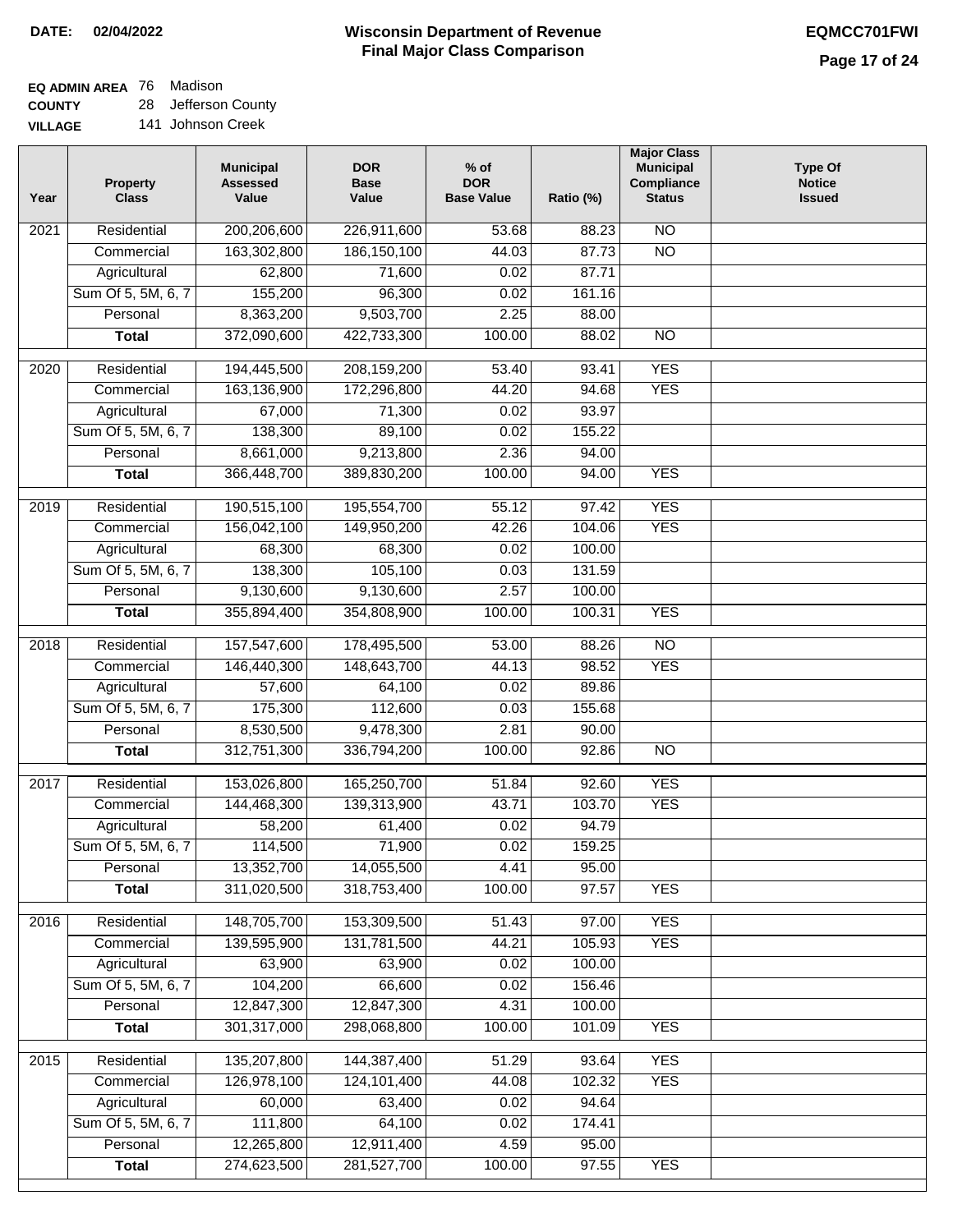$\overline{\phantom{a}}$ 

#### **Wisconsin Department of Revenue Final Major Class Comparison DATE: 02/04/2022 EQMCC701FWI**

**EQ ADMIN AREA** 76 Madison

**COUNTY VILLAGE** 28 Jefferson County 141 Johnson Creek

| Year | <b>Property</b><br><b>Class</b> | <b>Municipal</b><br><b>Assessed</b><br>Value | <b>DOR</b><br><b>Base</b><br>Value | $%$ of<br><b>DOR</b><br><b>Base Value</b> | Ratio (%) | <b>Major Class</b><br><b>Municipal</b><br>Compliance<br><b>Status</b> | <b>Type Of</b><br><b>Notice</b><br><b>Issued</b> |
|------|---------------------------------|----------------------------------------------|------------------------------------|-------------------------------------------|-----------|-----------------------------------------------------------------------|--------------------------------------------------|
| 2021 | Residential                     | 200,206,600                                  | 226,911,600                        | 53.68                                     | 88.23     | $\overline{NO}$                                                       |                                                  |
|      | Commercial                      | 163,302,800                                  | 186, 150, 100                      | 44.03                                     | 87.73     | $\overline{NO}$                                                       |                                                  |
|      | Agricultural                    | 62,800                                       | 71,600                             | 0.02                                      | 87.71     |                                                                       |                                                  |
|      | Sum Of 5, 5M, 6, 7              | 155,200                                      | 96,300                             | 0.02                                      | 161.16    |                                                                       |                                                  |
|      | Personal                        | 8,363,200                                    | 9,503,700                          | 2.25                                      | 88.00     |                                                                       |                                                  |
|      | <b>Total</b>                    | 372,090,600                                  | 422,733,300                        | 100.00                                    | 88.02     | $\overline{NO}$                                                       |                                                  |
| 2020 | Residential                     | 194,445,500                                  | 208,159,200                        | 53.40                                     | 93.41     | <b>YES</b>                                                            |                                                  |
|      | Commercial                      | 163,136,900                                  | 172,296,800                        | 44.20                                     | 94.68     | <b>YES</b>                                                            |                                                  |
|      | Agricultural                    | 67,000                                       | 71,300                             | 0.02                                      | 93.97     |                                                                       |                                                  |
|      | Sum Of 5, 5M, 6, 7              | 138,300                                      | 89,100                             | 0.02                                      | 155.22    |                                                                       |                                                  |
|      | Personal                        | 8,661,000                                    | 9,213,800                          | 2.36                                      | 94.00     |                                                                       |                                                  |
|      | <b>Total</b>                    | 366,448,700                                  | 389,830,200                        | 100.00                                    | 94.00     | <b>YES</b>                                                            |                                                  |
|      |                                 |                                              |                                    |                                           |           |                                                                       |                                                  |
| 2019 | Residential                     | 190,515,100                                  | 195,554,700                        | 55.12                                     | 97.42     | <b>YES</b>                                                            |                                                  |
|      | Commercial                      | 156,042,100                                  | 149,950,200                        | 42.26                                     | 104.06    | <b>YES</b>                                                            |                                                  |
|      | Agricultural                    | 68,300                                       | 68,300                             | 0.02                                      | 100.00    |                                                                       |                                                  |
|      | Sum Of 5, 5M, 6, 7              | 138,300                                      | 105,100                            | 0.03                                      | 131.59    |                                                                       |                                                  |
|      | Personal                        | 9,130,600                                    | 9,130,600                          | 2.57                                      | 100.00    |                                                                       |                                                  |
|      | <b>Total</b>                    | 355,894,400                                  | 354,808,900                        | 100.00                                    | 100.31    | <b>YES</b>                                                            |                                                  |
| 2018 | Residential                     | 157,547,600                                  | 178,495,500                        | 53.00                                     | 88.26     | $\overline{NO}$                                                       |                                                  |
|      | Commercial                      | 146,440,300                                  | 148,643,700                        | 44.13                                     | 98.52     | <b>YES</b>                                                            |                                                  |
|      | Agricultural                    | 57,600                                       | 64,100                             | 0.02                                      | 89.86     |                                                                       |                                                  |
|      | Sum Of 5, 5M, 6, 7              | 175,300                                      | 112,600                            | 0.03                                      | 155.68    |                                                                       |                                                  |
|      | Personal                        | 8,530,500                                    | 9,478,300                          | 2.81                                      | 90.00     |                                                                       |                                                  |
|      | <b>Total</b>                    | 312,751,300                                  | 336,794,200                        | 100.00                                    | 92.86     | $\overline{NO}$                                                       |                                                  |
| 2017 | Residential                     | 153,026,800                                  | 165,250,700                        | 51.84                                     | 92.60     | <b>YES</b>                                                            |                                                  |
|      | Commercial                      | 144,468,300                                  | 139,313,900                        | 43.71                                     | 103.70    | <b>YES</b>                                                            |                                                  |
|      | Agricultural                    | 58,200                                       | 61,400                             | 0.02                                      | 94.79     |                                                                       |                                                  |
|      | Sum Of 5, 5M, 6, 7              | 114,500                                      | 71,900                             | 0.02                                      | 159.25    |                                                                       |                                                  |
|      | Personal                        | 13,352,700                                   | 14,055,500                         | 4.41                                      | 95.00     |                                                                       |                                                  |
|      | <b>Total</b>                    | 311,020,500                                  | 318,753,400                        | 100.00                                    | 97.57     | <b>YES</b>                                                            |                                                  |
| 2016 | Residential                     | 148,705,700                                  | 153,309,500                        | 51.43                                     | 97.00     | <b>YES</b>                                                            |                                                  |
|      | Commercial                      | 139,595,900                                  | 131,781,500                        | 44.21                                     | 105.93    | <b>YES</b>                                                            |                                                  |
|      | Agricultural                    | 63,900                                       | 63,900                             | 0.02                                      | 100.00    |                                                                       |                                                  |
|      | Sum Of 5, 5M, 6, 7              | 104,200                                      | 66,600                             | 0.02                                      | 156.46    |                                                                       |                                                  |
|      | Personal                        | 12,847,300                                   | 12,847,300                         | 4.31                                      | 100.00    |                                                                       |                                                  |
|      | <b>Total</b>                    | 301,317,000                                  | 298,068,800                        | 100.00                                    | 101.09    | <b>YES</b>                                                            |                                                  |
|      |                                 |                                              |                                    |                                           |           |                                                                       |                                                  |
| 2015 | Residential                     | 135,207,800                                  | 144,387,400                        | 51.29                                     | 93.64     | <b>YES</b>                                                            |                                                  |
|      | Commercial                      | 126,978,100                                  | 124, 101, 400                      | 44.08                                     | 102.32    | <b>YES</b>                                                            |                                                  |
|      | Agricultural                    | 60,000                                       | 63,400                             | 0.02                                      | 94.64     |                                                                       |                                                  |
|      | Sum Of 5, 5M, 6, 7              | 111,800                                      | 64,100                             | 0.02                                      | 174.41    |                                                                       |                                                  |
|      | Personal                        | 12,265,800                                   | 12,911,400                         | 4.59                                      | 95.00     |                                                                       |                                                  |
|      | <b>Total</b>                    | 274,623,500                                  | 281,527,700                        | 100.00                                    | 97.55     | <b>YES</b>                                                            |                                                  |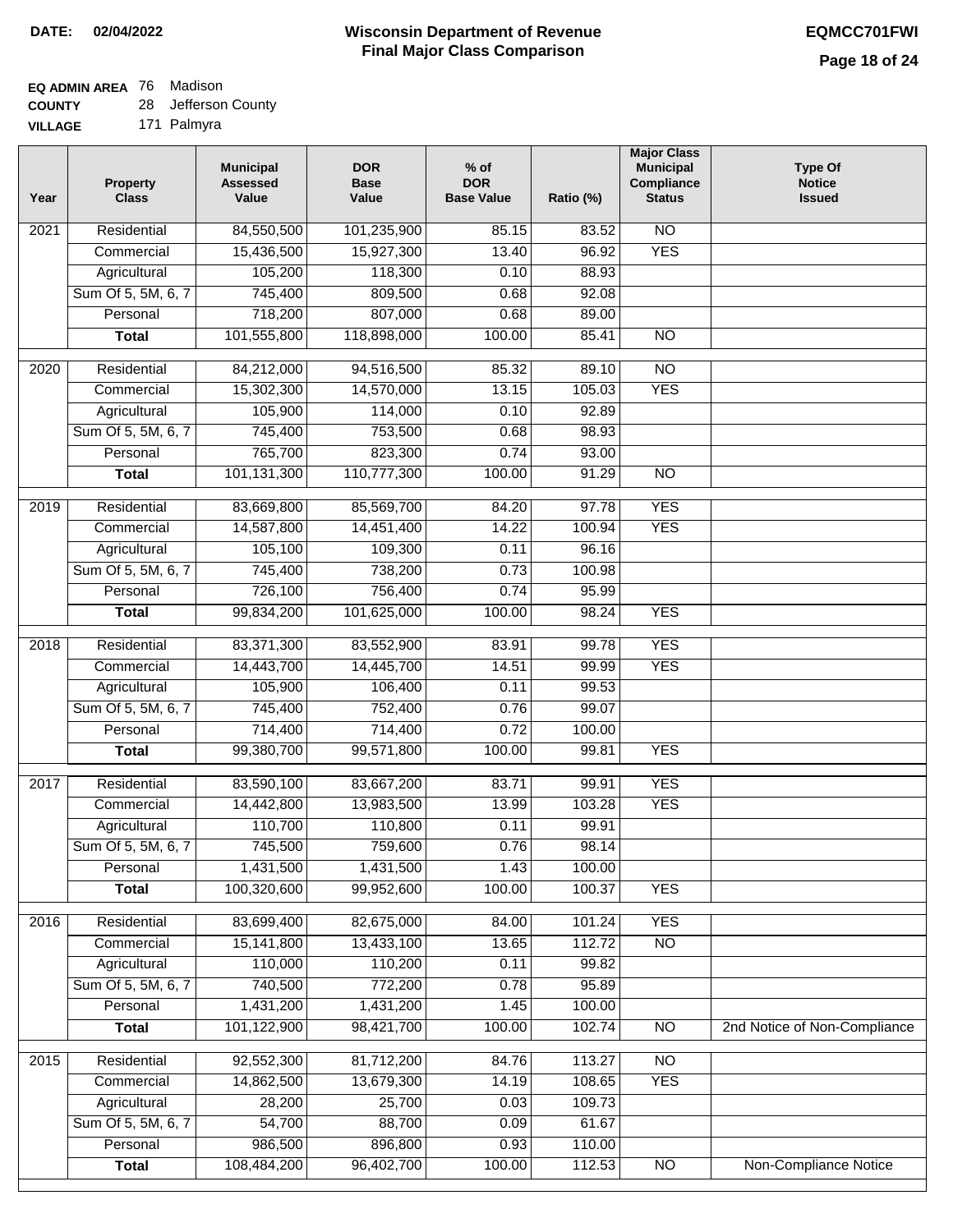#### **Wisconsin Department of Revenue Final Major Class Comparison DATE: 02/04/2022 EQMCC701FWI**

## **EQ ADMIN AREA** 76 Madison

**COUNTY VILLAGE** 28 Jefferson County 171 Palmyra

| Year             | <b>Property</b><br><b>Class</b> | <b>Municipal</b><br><b>Assessed</b><br>Value | <b>DOR</b><br><b>Base</b><br>Value | $%$ of<br><b>DOR</b><br><b>Base Value</b> | Ratio (%) | <b>Major Class</b><br><b>Municipal</b><br>Compliance<br><b>Status</b> | <b>Type Of</b><br><b>Notice</b><br><b>Issued</b> |
|------------------|---------------------------------|----------------------------------------------|------------------------------------|-------------------------------------------|-----------|-----------------------------------------------------------------------|--------------------------------------------------|
| 2021             | Residential                     | 84,550,500                                   | 101,235,900                        | 85.15                                     | 83.52     | <b>NO</b>                                                             |                                                  |
|                  | Commercial                      | 15,436,500                                   | 15,927,300                         | 13.40                                     | 96.92     | <b>YES</b>                                                            |                                                  |
|                  | Agricultural                    | 105,200                                      | 118,300                            | 0.10                                      | 88.93     |                                                                       |                                                  |
|                  | Sum Of 5, 5M, 6, 7              | 745,400                                      | 809,500                            | 0.68                                      | 92.08     |                                                                       |                                                  |
|                  | Personal                        | 718,200                                      | 807,000                            | 0.68                                      | 89.00     |                                                                       |                                                  |
|                  | <b>Total</b>                    | 101,555,800                                  | 118,898,000                        | 100.00                                    | 85.41     | $\overline{NO}$                                                       |                                                  |
| $\frac{1}{2020}$ | Residential                     | 84,212,000                                   | 94,516,500                         | 85.32                                     | 89.10     | $\overline{10}$                                                       |                                                  |
|                  | Commercial                      | 15,302,300                                   | 14,570,000                         | 13.15                                     | 105.03    | <b>YES</b>                                                            |                                                  |
|                  | Agricultural                    | 105,900                                      | 114,000                            | 0.10                                      | 92.89     |                                                                       |                                                  |
|                  | Sum Of 5, 5M, 6, 7              | 745,400                                      | 753,500                            | 0.68                                      | 98.93     |                                                                       |                                                  |
|                  | Personal                        | 765,700                                      | 823,300                            | 0.74                                      | 93.00     |                                                                       |                                                  |
|                  | <b>Total</b>                    | 101,131,300                                  | 110,777,300                        | 100.00                                    | 91.29     | $\overline{NO}$                                                       |                                                  |
|                  |                                 |                                              |                                    |                                           |           |                                                                       |                                                  |
| 2019             | Residential                     | 83,669,800                                   | 85,569,700                         | 84.20                                     | 97.78     | <b>YES</b>                                                            |                                                  |
|                  | Commercial                      | 14,587,800                                   | 14,451,400                         | 14.22                                     | 100.94    | <b>YES</b>                                                            |                                                  |
|                  | Agricultural                    | 105,100                                      | 109,300                            | 0.11                                      | 96.16     |                                                                       |                                                  |
|                  | Sum Of 5, 5M, 6, 7              | 745,400                                      | 738,200                            | 0.73                                      | 100.98    |                                                                       |                                                  |
|                  | Personal                        | 726,100                                      | 756,400                            | 0.74                                      | 95.99     |                                                                       |                                                  |
|                  | <b>Total</b>                    | 99,834,200                                   | 101,625,000                        | 100.00                                    | 98.24     | <b>YES</b>                                                            |                                                  |
| 2018             | Residential                     | 83,371,300                                   | 83,552,900                         | 83.91                                     | 99.78     | <b>YES</b>                                                            |                                                  |
|                  | Commercial                      | 14,443,700                                   | 14,445,700                         | 14.51                                     | 99.99     | <b>YES</b>                                                            |                                                  |
|                  | Agricultural                    | 105,900                                      | 106,400                            | 0.11                                      | 99.53     |                                                                       |                                                  |
|                  | Sum Of 5, 5M, 6, 7              | 745,400                                      | 752,400                            | 0.76                                      | 99.07     |                                                                       |                                                  |
|                  | Personal                        | 714,400                                      | 714,400                            | 0.72                                      | 100.00    |                                                                       |                                                  |
|                  | <b>Total</b>                    | 99,380,700                                   | 99,571,800                         | 100.00                                    | 99.81     | <b>YES</b>                                                            |                                                  |
| 2017             | Residential                     | 83,590,100                                   | 83,667,200                         | 83.71                                     | 99.91     | <b>YES</b>                                                            |                                                  |
|                  | Commercial                      | 14,442,800                                   | 13,983,500                         | 13.99                                     | 103.28    | <b>YES</b>                                                            |                                                  |
|                  | Agricultural                    | 110,700                                      | 110,800                            | 0.11                                      | 99.91     |                                                                       |                                                  |
|                  | Sum Of 5, 5M, 6, 7              | 745,500                                      | 759,600                            | 0.76                                      | 98.14     |                                                                       |                                                  |
|                  | Personal                        | 1,431,500                                    | 1,431,500                          | 1.43                                      | 100.00    |                                                                       |                                                  |
|                  | <b>Total</b>                    | 100,320,600                                  | 99,952,600                         | 100.00                                    | 100.37    | <b>YES</b>                                                            |                                                  |
| 2016             | Residential                     | 83,699,400                                   | 82,675,000                         | 84.00                                     | 101.24    | <b>YES</b>                                                            |                                                  |
|                  | Commercial                      | 15,141,800                                   | 13,433,100                         | 13.65                                     | 112.72    | $\overline{NO}$                                                       |                                                  |
|                  | Agricultural                    | 110,000                                      | 110,200                            | 0.11                                      | 99.82     |                                                                       |                                                  |
|                  | Sum Of 5, 5M, 6, 7              | 740,500                                      | 772,200                            | 0.78                                      | 95.89     |                                                                       |                                                  |
|                  | Personal                        | 1,431,200                                    | 1,431,200                          | 1.45                                      | 100.00    |                                                                       |                                                  |
|                  | <b>Total</b>                    | 101,122,900                                  | 98,421,700                         | 100.00                                    | 102.74    | N <sub>O</sub>                                                        | 2nd Notice of Non-Compliance                     |
| 2015             | Residential                     | 92,552,300                                   | 81,712,200                         | 84.76                                     | 113.27    | N <sub>O</sub>                                                        |                                                  |
|                  | Commercial                      | 14,862,500                                   | 13,679,300                         | 14.19                                     | 108.65    | <b>YES</b>                                                            |                                                  |
|                  | Agricultural                    | 28,200                                       | 25,700                             | 0.03                                      | 109.73    |                                                                       |                                                  |
|                  | Sum Of 5, 5M, 6, 7              | 54,700                                       | 88,700                             | 0.09                                      | 61.67     |                                                                       |                                                  |
|                  | Personal                        | 986,500                                      | 896,800                            | 0.93                                      | 110.00    |                                                                       |                                                  |
|                  | <b>Total</b>                    | 108,484,200                                  | 96,402,700                         | 100.00                                    | 112.53    | $\overline{NO}$                                                       | Non-Compliance Notice                            |
|                  |                                 |                                              |                                    |                                           |           |                                                                       |                                                  |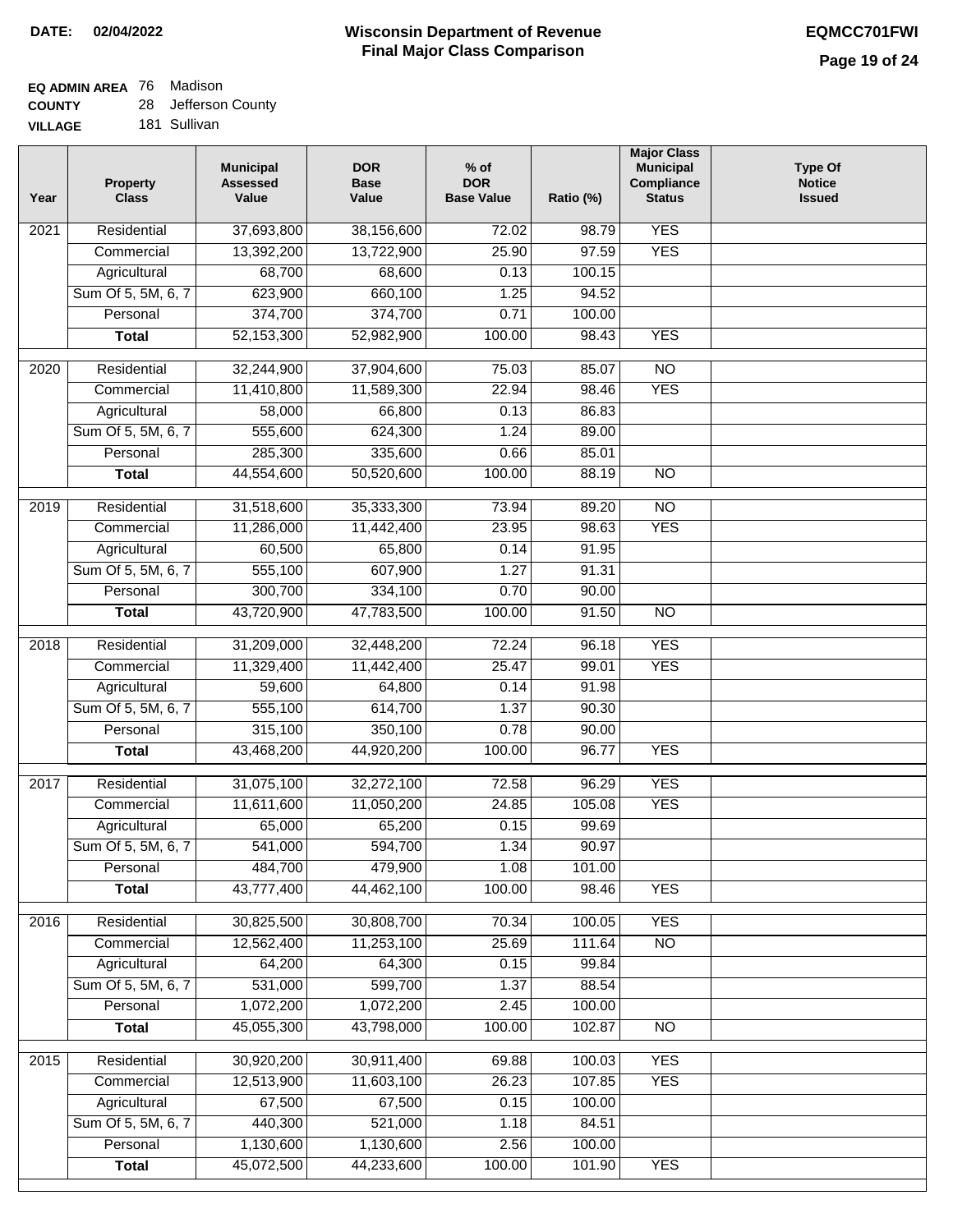**Ratio (%)** 

**Major Class Municipal Compliance Status**

**Type Of Notice Issued**

# **EQ ADMIN AREA** 76 Madison

**COUNTY VILLAGE** 28 Jefferson County 181 Sullivan

| Year | <b>Property</b><br><b>Class</b> | <b>Municipal</b><br><b>Assessed</b><br>Value | <b>DOR</b><br><b>Base</b><br>Value | $%$ of<br><b>DOR</b><br><b>Base Value</b> |
|------|---------------------------------|----------------------------------------------|------------------------------------|-------------------------------------------|
| 2021 | Residential                     | 37,693,800                                   | 38,156,600                         | 72.0                                      |
|      | Commercial                      | 13,392,200                                   | 13,722,900                         | 25.9                                      |
|      | Agricultural                    | 68,700                                       | 68,600                             | 0.1                                       |
|      | Sum Of 5, 5M, 6, 7              | 623,900                                      | 660,100                            | 1.2                                       |
|      | Personal                        | 374,700                                      | 374,700                            | 0.7                                       |
|      | Total                           | 52,153,300                                   | 52,982,900                         | 100.0                                     |
|      |                                 |                                              |                                    |                                           |

| 2021 | Residential        | 37,693,800 | 38,156,600 | 72.02  | 98.79  | <b>YES</b>      |  |
|------|--------------------|------------|------------|--------|--------|-----------------|--|
|      | Commercial         | 13,392,200 | 13,722,900 | 25.90  | 97.59  | <b>YES</b>      |  |
|      | Agricultural       | 68,700     | 68,600     | 0.13   | 100.15 |                 |  |
|      | Sum Of 5, 5M, 6, 7 | 623,900    | 660,100    | 1.25   | 94.52  |                 |  |
|      | Personal           | 374,700    | 374,700    | 0.71   | 100.00 |                 |  |
|      | <b>Total</b>       | 52,153,300 | 52,982,900 | 100.00 | 98.43  | <b>YES</b>      |  |
| 2020 | Residential        | 32,244,900 | 37,904,600 | 75.03  | 85.07  | $\overline{NO}$ |  |
|      | Commercial         | 11,410,800 | 11,589,300 | 22.94  | 98.46  | <b>YES</b>      |  |
|      | Agricultural       | 58,000     | 66,800     | 0.13   | 86.83  |                 |  |
|      | Sum Of 5, 5M, 6, 7 | 555,600    | 624,300    | 1.24   | 89.00  |                 |  |
|      | Personal           | 285,300    | 335,600    | 0.66   | 85.01  |                 |  |
|      | <b>Total</b>       | 44,554,600 | 50,520,600 | 100.00 | 88.19  | $\overline{NO}$ |  |
|      |                    |            |            |        |        |                 |  |
| 2019 | Residential        | 31,518,600 | 35,333,300 | 73.94  | 89.20  | $\overline{NO}$ |  |
|      | Commercial         | 11,286,000 | 11,442,400 | 23.95  | 98.63  | <b>YES</b>      |  |
|      | Agricultural       | 60,500     | 65,800     | 0.14   | 91.95  |                 |  |
|      | Sum Of 5, 5M, 6, 7 | 555,100    | 607,900    | 1.27   | 91.31  |                 |  |
|      | Personal           | 300,700    | 334,100    | 0.70   | 90.00  |                 |  |
|      | <b>Total</b>       | 43,720,900 | 47,783,500 | 100.00 | 91.50  | $\overline{NO}$ |  |
| 2018 | Residential        | 31,209,000 | 32,448,200 | 72.24  | 96.18  | <b>YES</b>      |  |
|      | Commercial         | 11,329,400 | 11,442,400 | 25.47  | 99.01  | <b>YES</b>      |  |
|      | Agricultural       | 59,600     | 64,800     | 0.14   | 91.98  |                 |  |
|      | Sum Of 5, 5M, 6, 7 | 555,100    | 614,700    | 1.37   | 90.30  |                 |  |
|      | Personal           | 315,100    | 350,100    | 0.78   | 90.00  |                 |  |
|      |                    | 43,468,200 | 44,920,200 | 100.00 | 96.77  | <b>YES</b>      |  |
|      | <b>Total</b>       |            |            |        |        |                 |  |
| 2017 | Residential        | 31,075,100 | 32,272,100 | 72.58  | 96.29  | <b>YES</b>      |  |
|      | Commercial         | 11,611,600 | 11,050,200 | 24.85  | 105.08 | <b>YES</b>      |  |
|      | Agricultural       | 65,000     | 65,200     | 0.15   | 99.69  |                 |  |
|      | Sum Of 5, 5M, 6, 7 | 541,000    | 594,700    | 1.34   | 90.97  |                 |  |
|      | Personal           | 484,700    | 479,900    | 1.08   | 101.00 |                 |  |
|      | <b>Total</b>       | 43,777,400 | 44,462,100 | 100.00 | 98.46  | <b>YES</b>      |  |
| 2016 | Residential        | 30,825,500 | 30,808,700 | 70.34  | 100.05 | <b>YES</b>      |  |
|      | Commercial         | 12,562,400 | 11,253,100 | 25.69  | 111.64 | $\overline{NO}$ |  |
|      | Agricultural       | 64,200     | 64,300     | 0.15   | 99.84  |                 |  |
|      | Sum Of 5, 5M, 6, 7 | 531,000    | 599,700    | 1.37   | 88.54  |                 |  |
|      | Personal           | 1,072,200  | 1,072,200  | 2.45   | 100.00 |                 |  |
|      | <b>Total</b>       | 45,055,300 | 43,798,000 | 100.00 | 102.87 | N <sub>O</sub>  |  |
|      |                    |            |            |        |        |                 |  |
| 2015 | Residential        | 30,920,200 | 30,911,400 | 69.88  | 100.03 | <b>YES</b>      |  |
|      | Commercial         | 12,513,900 | 11,603,100 | 26.23  | 107.85 | <b>YES</b>      |  |
|      | Agricultural       | 67,500     | 67,500     | 0.15   | 100.00 |                 |  |
|      | Sum Of 5, 5M, 6, 7 | 440,300    | 521,000    | 1.18   | 84.51  |                 |  |
|      | Personal           | 1,130,600  | 1,130,600  | 2.56   | 100.00 |                 |  |
|      | <b>Total</b>       | 45,072,500 | 44,233,600 | 100.00 | 101.90 | <b>YES</b>      |  |
|      |                    |            |            |        |        |                 |  |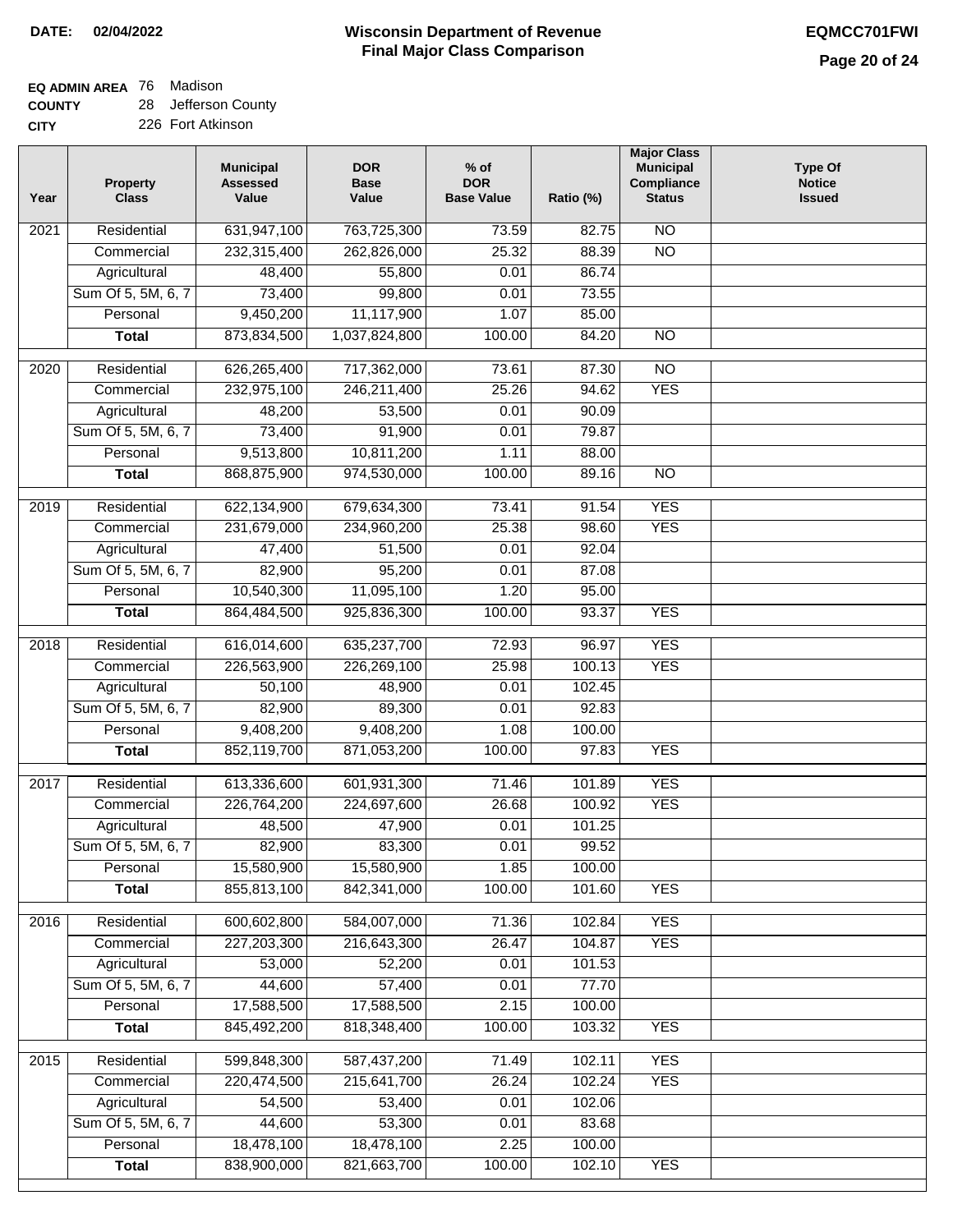#### **Wisconsin Department of Revenue Final Major Class Comparison DATE: 02/04/2022 EQMCC701FWI**

٦

## **EQ ADMIN AREA** 76 Madison

**COUNTY CITY** 28 Jefferson County

| Year              | <b>Property</b><br><b>Class</b> | <b>Municipal</b><br><b>Assessed</b><br>Value | <b>DOR</b><br><b>Base</b><br>Value | $%$ of<br><b>DOR</b><br><b>Base Value</b> | Ratio (%) | <b>Major Class</b><br><b>Municipal</b><br>Compliance<br><b>Status</b> | <b>Type Of</b><br><b>Notice</b><br><b>Issued</b> |
|-------------------|---------------------------------|----------------------------------------------|------------------------------------|-------------------------------------------|-----------|-----------------------------------------------------------------------|--------------------------------------------------|
| 2021              | Residential                     | 631,947,100                                  | 763,725,300                        | 73.59                                     | 82.75     | <b>NO</b>                                                             |                                                  |
|                   | Commercial                      | 232,315,400                                  | 262,826,000                        | 25.32                                     | 88.39     | $\overline{NO}$                                                       |                                                  |
|                   | Agricultural                    | 48,400                                       | 55,800                             | 0.01                                      | 86.74     |                                                                       |                                                  |
|                   | Sum Of 5, 5M, 6, 7              | 73,400                                       | 99,800                             | 0.01                                      | 73.55     |                                                                       |                                                  |
|                   | Personal                        | 9,450,200                                    | 11,117,900                         | 1.07                                      | 85.00     |                                                                       |                                                  |
|                   | <b>Total</b>                    | 873,834,500                                  | 1,037,824,800                      | 100.00                                    | 84.20     | $\overline{NO}$                                                       |                                                  |
| $\overline{2020}$ | Residential                     | 626,265,400                                  | 717,362,000                        | 73.61                                     | 87.30     | $\overline{10}$                                                       |                                                  |
|                   | Commercial                      | 232,975,100                                  | 246,211,400                        | 25.26                                     | 94.62     | <b>YES</b>                                                            |                                                  |
|                   | Agricultural                    | 48,200                                       | 53,500                             | 0.01                                      | 90.09     |                                                                       |                                                  |
|                   | Sum Of 5, 5M, 6, 7              | 73,400                                       | 91,900                             | 0.01                                      | 79.87     |                                                                       |                                                  |
|                   | Personal                        | 9,513,800                                    | 10,811,200                         | 1.11                                      | 88.00     |                                                                       |                                                  |
|                   | <b>Total</b>                    | 868,875,900                                  | 974,530,000                        | 100.00                                    | 89.16     | <b>NO</b>                                                             |                                                  |
|                   |                                 |                                              |                                    |                                           |           |                                                                       |                                                  |
| $\frac{2019}{ }$  | Residential                     | 622,134,900                                  | 679,634,300                        | 73.41                                     | 91.54     | <b>YES</b>                                                            |                                                  |
|                   | Commercial                      | 231,679,000                                  | 234,960,200                        | 25.38                                     | 98.60     | <b>YES</b>                                                            |                                                  |
|                   | Agricultural                    | 47,400                                       | 51,500                             | 0.01                                      | 92.04     |                                                                       |                                                  |
|                   | Sum Of 5, 5M, 6, 7              | 82,900                                       | 95,200                             | 0.01                                      | 87.08     |                                                                       |                                                  |
|                   | Personal                        | 10,540,300                                   | 11,095,100                         | 1.20                                      | 95.00     |                                                                       |                                                  |
|                   | <b>Total</b>                    | 864,484,500                                  | 925,836,300                        | 100.00                                    | 93.37     | <b>YES</b>                                                            |                                                  |
| 2018              | Residential                     | 616,014,600                                  | 635,237,700                        | 72.93                                     | 96.97     | <b>YES</b>                                                            |                                                  |
|                   | Commercial                      | 226,563,900                                  | 226,269,100                        | 25.98                                     | 100.13    | <b>YES</b>                                                            |                                                  |
|                   | Agricultural                    | 50,100                                       | 48,900                             | 0.01                                      | 102.45    |                                                                       |                                                  |
|                   | Sum Of 5, 5M, 6, 7              | 82,900                                       | 89,300                             | 0.01                                      | 92.83     |                                                                       |                                                  |
|                   | Personal                        | 9,408,200                                    | 9,408,200                          | 1.08                                      | 100.00    |                                                                       |                                                  |
|                   | <b>Total</b>                    | 852,119,700                                  | 871,053,200                        | 100.00                                    | 97.83     | <b>YES</b>                                                            |                                                  |
| 2017              | Residential                     | 613,336,600                                  | 601,931,300                        | 71.46                                     | 101.89    | <b>YES</b>                                                            |                                                  |
|                   | Commercial                      | 226,764,200                                  | 224,697,600                        | 26.68                                     | 100.92    | <b>YES</b>                                                            |                                                  |
|                   | Agricultural                    | 48,500                                       | 47,900                             | 0.01                                      | 101.25    |                                                                       |                                                  |
|                   | Sum Of 5, 5M, 6, 7              | 82,900                                       | 83,300                             | 0.01                                      | 99.52     |                                                                       |                                                  |
|                   | Personal                        | 15,580,900                                   | 15,580,900                         | 1.85                                      | 100.00    |                                                                       |                                                  |
|                   | <b>Total</b>                    | 855,813,100                                  | 842,341,000                        | 100.00                                    | 101.60    | <b>YES</b>                                                            |                                                  |
| 2016              | Residential                     | 600,602,800                                  | 584,007,000                        | 71.36                                     | 102.84    | <b>YES</b>                                                            |                                                  |
|                   | Commercial                      | 227,203,300                                  | 216,643,300                        | 26.47                                     | 104.87    | <b>YES</b>                                                            |                                                  |
|                   | Agricultural                    | 53,000                                       | 52,200                             | 0.01                                      | 101.53    |                                                                       |                                                  |
|                   | Sum Of 5, 5M, 6, 7              | 44,600                                       | 57,400                             | 0.01                                      | 77.70     |                                                                       |                                                  |
|                   | Personal                        | 17,588,500                                   | 17,588,500                         | 2.15                                      | 100.00    |                                                                       |                                                  |
|                   | <b>Total</b>                    | 845,492,200                                  | 818,348,400                        | 100.00                                    | 103.32    | <b>YES</b>                                                            |                                                  |
| 2015              | Residential                     | 599,848,300                                  | 587,437,200                        | 71.49                                     | 102.11    | <b>YES</b>                                                            |                                                  |
|                   | Commercial                      | 220,474,500                                  | 215,641,700                        | 26.24                                     | 102.24    | <b>YES</b>                                                            |                                                  |
|                   | Agricultural                    | 54,500                                       | 53,400                             | 0.01                                      | 102.06    |                                                                       |                                                  |
|                   | Sum Of 5, 5M, 6, 7              | 44,600                                       | 53,300                             | 0.01                                      | 83.68     |                                                                       |                                                  |
|                   | Personal                        | 18,478,100                                   | 18,478,100                         | 2.25                                      | 100.00    |                                                                       |                                                  |
|                   | <b>Total</b>                    | 838,900,000                                  | 821,663,700                        | 100.00                                    | 102.10    | <b>YES</b>                                                            |                                                  |
|                   |                                 |                                              |                                    |                                           |           |                                                                       |                                                  |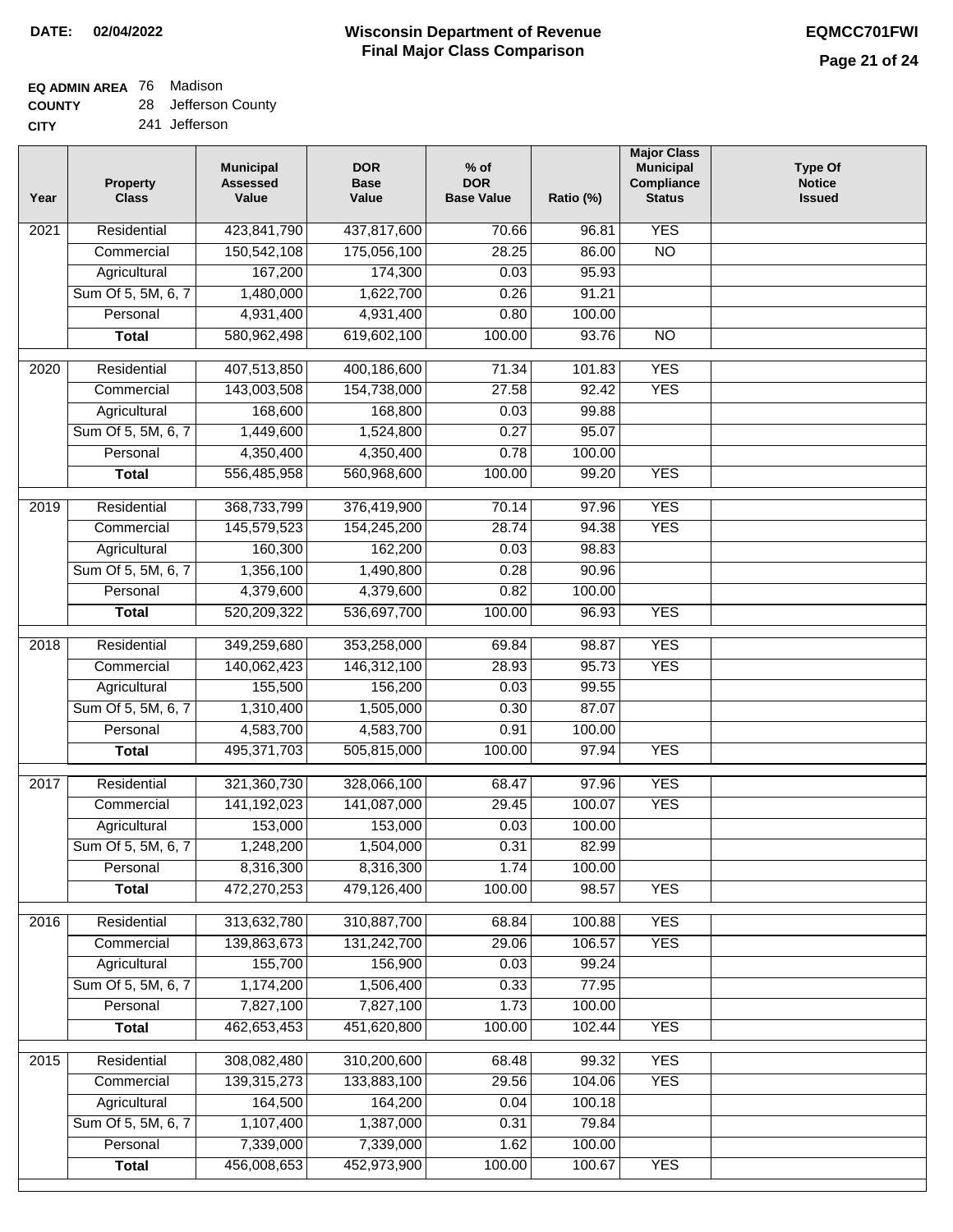## **EQ ADMIN AREA** 76 Madison

**COUNTY CITY** 28 Jefferson County

241 Jefferson

| Year              | <b>Property</b><br><b>Class</b> | <b>Municipal</b><br><b>Assessed</b><br>Value | <b>DOR</b><br><b>Base</b><br>Value | $%$ of<br><b>DOR</b><br><b>Base Value</b> | Ratio (%) | <b>Major Class</b><br><b>Municipal</b><br>Compliance<br><b>Status</b> | <b>Type Of</b><br><b>Notice</b><br><b>Issued</b> |
|-------------------|---------------------------------|----------------------------------------------|------------------------------------|-------------------------------------------|-----------|-----------------------------------------------------------------------|--------------------------------------------------|
| $\overline{202}1$ | Residential                     | 423,841,790                                  | 437,817,600                        | 70.66                                     | 96.81     | <b>YES</b>                                                            |                                                  |
|                   | Commercial                      | 150,542,108                                  | 175,056,100                        | 28.25                                     | 86.00     | $\overline{NO}$                                                       |                                                  |
|                   | Agricultural                    | 167,200                                      | 174,300                            | 0.03                                      | 95.93     |                                                                       |                                                  |
|                   | Sum Of 5, 5M, 6, 7              | 1,480,000                                    | 1,622,700                          | 0.26                                      | 91.21     |                                                                       |                                                  |
|                   | Personal                        | 4,931,400                                    | 4,931,400                          | 0.80                                      | 100.00    |                                                                       |                                                  |
|                   | <b>Total</b>                    | 580,962,498                                  | 619,602,100                        | 100.00                                    | 93.76     | $\overline{NO}$                                                       |                                                  |
| $\overline{2020}$ | Residential                     | 407,513,850                                  | 400,186,600                        | 71.34                                     | 101.83    | <b>YES</b>                                                            |                                                  |
|                   | Commercial                      | 143,003,508                                  | 154,738,000                        | 27.58                                     | 92.42     | <b>YES</b>                                                            |                                                  |
|                   | Agricultural                    | 168,600                                      | 168,800                            | 0.03                                      | 99.88     |                                                                       |                                                  |
|                   | Sum Of 5, 5M, 6, 7              | 1,449,600                                    | 1,524,800                          | 0.27                                      | 95.07     |                                                                       |                                                  |
|                   | Personal                        | 4,350,400                                    | 4,350,400                          | 0.78                                      | 100.00    |                                                                       |                                                  |
|                   | <b>Total</b>                    | 556,485,958                                  | 560,968,600                        | 100.00                                    | 99.20     | <b>YES</b>                                                            |                                                  |
|                   | Residential                     | 368,733,799                                  | 376,419,900                        | 70.14                                     | 97.96     | <b>YES</b>                                                            |                                                  |
| 2019              | Commercial                      | 145,579,523                                  | 154,245,200                        | 28.74                                     | 94.38     | <b>YES</b>                                                            |                                                  |
|                   | Agricultural                    | 160,300                                      | 162,200                            | 0.03                                      | 98.83     |                                                                       |                                                  |
|                   | Sum Of 5, 5M, 6, 7              | 1,356,100                                    | 1,490,800                          | 0.28                                      | 90.96     |                                                                       |                                                  |
|                   | Personal                        | 4,379,600                                    | 4,379,600                          | 0.82                                      | 100.00    |                                                                       |                                                  |
|                   | <b>Total</b>                    | 520,209,322                                  | 536,697,700                        | 100.00                                    | 96.93     | <b>YES</b>                                                            |                                                  |
|                   |                                 |                                              |                                    |                                           |           |                                                                       |                                                  |
| 2018              | Residential                     | 349,259,680                                  | 353,258,000                        | 69.84                                     | 98.87     | <b>YES</b>                                                            |                                                  |
|                   | Commercial                      | 140,062,423                                  | 146,312,100                        | 28.93                                     | 95.73     | <b>YES</b>                                                            |                                                  |
|                   | Agricultural                    | 155,500                                      | 156,200                            | 0.03                                      | 99.55     |                                                                       |                                                  |
|                   | Sum Of 5, 5M, 6, 7              | 1,310,400                                    | 1,505,000                          | 0.30                                      | 87.07     |                                                                       |                                                  |
|                   | Personal                        | 4,583,700                                    | 4,583,700                          | 0.91                                      | 100.00    |                                                                       |                                                  |
|                   | <b>Total</b>                    | 495,371,703                                  | 505,815,000                        | 100.00                                    | 97.94     | <b>YES</b>                                                            |                                                  |
| 2017              | Residential                     | 321,360,730                                  | 328,066,100                        | 68.47                                     | 97.96     | <b>YES</b>                                                            |                                                  |
|                   | Commercial                      | 141,192,023                                  | 141,087,000                        | 29.45                                     | 100.07    | <b>YES</b>                                                            |                                                  |
|                   | Agricultural                    | 153,000                                      | 153,000                            | 0.03                                      | 100.00    |                                                                       |                                                  |
|                   | Sum Of 5, 5M, 6, 7              | 1,248,200                                    | 1,504,000                          | 0.31                                      | 82.99     |                                                                       |                                                  |
|                   | Personal                        | 8,316,300                                    | 8,316,300                          | 1.74                                      | 100.00    |                                                                       |                                                  |
|                   | <b>Total</b>                    | 472,270,253                                  | 479,126,400                        | 100.00                                    | 98.57     | <b>YES</b>                                                            |                                                  |
| 2016              | Residential                     | 313,632,780                                  | 310,887,700                        | 68.84                                     | 100.88    | <b>YES</b>                                                            |                                                  |
|                   | Commercial                      | 139,863,673                                  | 131,242,700                        | 29.06                                     | 106.57    | <b>YES</b>                                                            |                                                  |
|                   | Agricultural                    | 155,700                                      | 156,900                            | 0.03                                      | 99.24     |                                                                       |                                                  |
|                   | Sum Of 5, 5M, 6, 7              | 1,174,200                                    | 1,506,400                          | 0.33                                      | 77.95     |                                                                       |                                                  |
|                   | Personal                        | 7,827,100                                    | 7,827,100                          | 1.73                                      | 100.00    |                                                                       |                                                  |
|                   | <b>Total</b>                    | 462,653,453                                  | 451,620,800                        | 100.00                                    | 102.44    | <b>YES</b>                                                            |                                                  |
| 2015              | Residential                     | 308,082,480                                  | 310,200,600                        | 68.48                                     | 99.32     | <b>YES</b>                                                            |                                                  |
|                   | Commercial                      | 139,315,273                                  | 133,883,100                        | 29.56                                     | 104.06    | <b>YES</b>                                                            |                                                  |
|                   | Agricultural                    | 164,500                                      | 164,200                            | 0.04                                      | 100.18    |                                                                       |                                                  |
|                   | Sum Of 5, 5M, 6, 7              | 1,107,400                                    | 1,387,000                          | 0.31                                      | 79.84     |                                                                       |                                                  |
|                   | Personal                        | 7,339,000                                    | 7,339,000                          | 1.62                                      | 100.00    |                                                                       |                                                  |
|                   | <b>Total</b>                    | 456,008,653                                  | 452,973,900                        | 100.00                                    | 100.67    | <b>YES</b>                                                            |                                                  |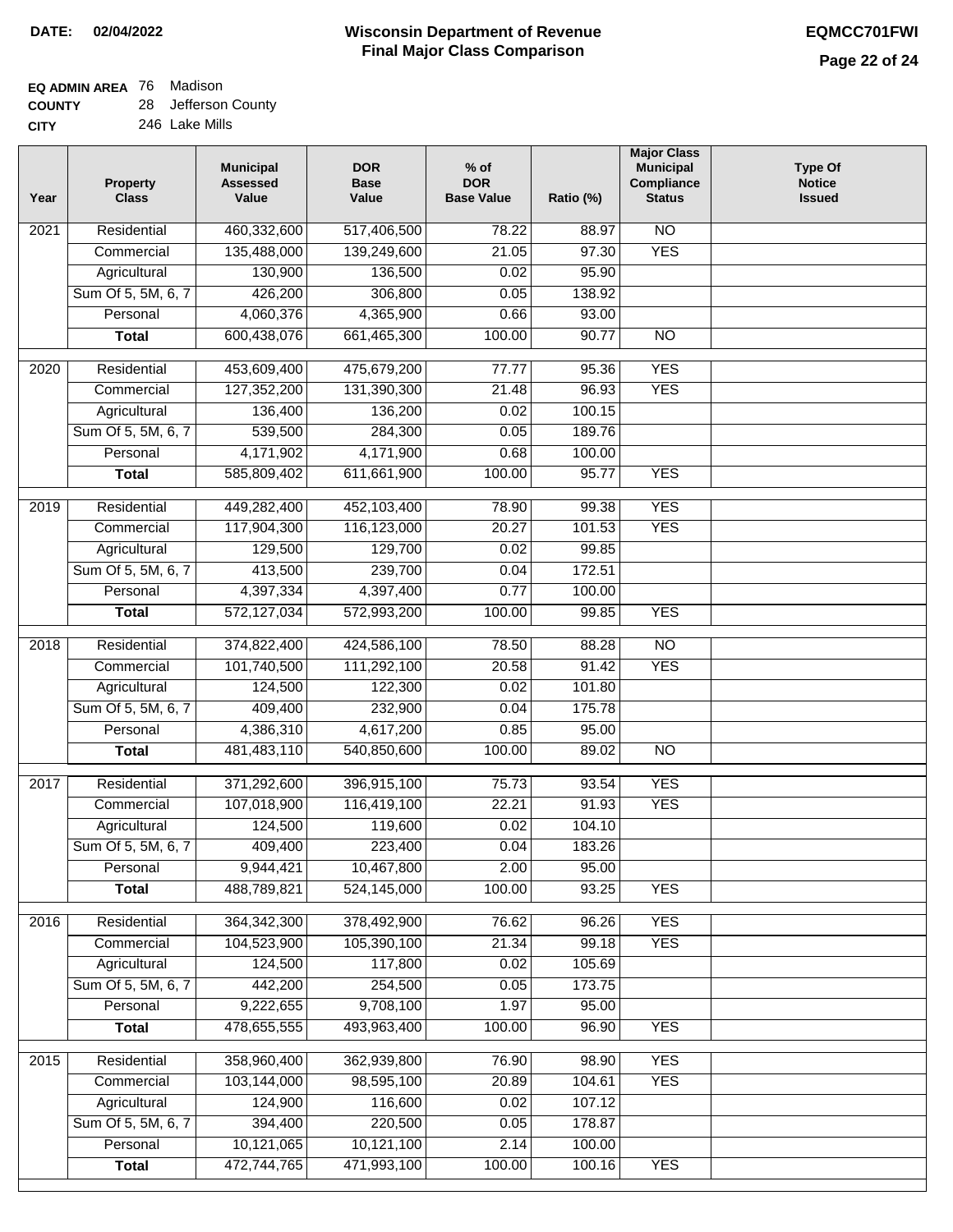#### **Wisconsin Department of Revenue Final Major Class Comparison DATE: 02/04/2022 EQMCC701FWI**

## **EQ ADMIN AREA** 76 Madison

**COUNTY CITY** 28 Jefferson County

| Year             | <b>Property</b><br><b>Class</b> | <b>Municipal</b><br><b>Assessed</b><br>Value | <b>DOR</b><br><b>Base</b><br>Value | $%$ of<br><b>DOR</b><br><b>Base Value</b> | Ratio (%) | <b>Major Class</b><br><b>Municipal</b><br>Compliance<br><b>Status</b> | <b>Type Of</b><br><b>Notice</b><br><b>Issued</b> |
|------------------|---------------------------------|----------------------------------------------|------------------------------------|-------------------------------------------|-----------|-----------------------------------------------------------------------|--------------------------------------------------|
| 2021             | Residential                     | 460,332,600                                  | 517,406,500                        | 78.22                                     | 88.97     | $\overline{NO}$                                                       |                                                  |
|                  | Commercial                      | 135,488,000                                  | 139,249,600                        | 21.05                                     | 97.30     | <b>YES</b>                                                            |                                                  |
|                  | Agricultural                    | 130,900                                      | 136,500                            | 0.02                                      | 95.90     |                                                                       |                                                  |
|                  | Sum Of 5, 5M, 6, 7              | 426,200                                      | 306,800                            | 0.05                                      | 138.92    |                                                                       |                                                  |
|                  | Personal                        | 4,060,376                                    | 4,365,900                          | 0.66                                      | 93.00     |                                                                       |                                                  |
|                  | <b>Total</b>                    | 600,438,076                                  | 661,465,300                        | 100.00                                    | 90.77     | $\overline{NO}$                                                       |                                                  |
| $\frac{1}{2020}$ | Residential                     | 453,609,400                                  | 475,679,200                        | 77.77                                     | 95.36     | <b>YES</b>                                                            |                                                  |
|                  | Commercial                      | 127,352,200                                  | 131,390,300                        | 21.48                                     | 96.93     | <b>YES</b>                                                            |                                                  |
|                  | Agricultural                    | 136,400                                      | 136,200                            | 0.02                                      | 100.15    |                                                                       |                                                  |
|                  | Sum Of 5, 5M, 6, 7              | 539,500                                      | 284,300                            | 0.05                                      | 189.76    |                                                                       |                                                  |
|                  | Personal                        | 4,171,902                                    | 4,171,900                          | 0.68                                      | 100.00    |                                                                       |                                                  |
|                  | <b>Total</b>                    | 585,809,402                                  | 611,661,900                        | 100.00                                    | 95.77     | <b>YES</b>                                                            |                                                  |
|                  |                                 |                                              |                                    |                                           |           |                                                                       |                                                  |
| $\frac{1}{2019}$ | Residential                     | 449,282,400                                  | 452,103,400                        | 78.90                                     | 99.38     | <b>YES</b>                                                            |                                                  |
|                  | Commercial                      | 117,904,300                                  | 116,123,000                        | 20.27                                     | 101.53    | <b>YES</b>                                                            |                                                  |
|                  | Agricultural                    | 129,500                                      | 129,700                            | 0.02                                      | 99.85     |                                                                       |                                                  |
|                  | Sum Of 5, 5M, 6, 7              | 413,500                                      | 239,700                            | 0.04                                      | 172.51    |                                                                       |                                                  |
|                  | Personal                        | 4,397,334                                    | 4,397,400                          | 0.77                                      | 100.00    |                                                                       |                                                  |
|                  | <b>Total</b>                    | 572,127,034                                  | 572,993,200                        | 100.00                                    | 99.85     | <b>YES</b>                                                            |                                                  |
| 2018             | Residential                     | 374,822,400                                  | 424,586,100                        | 78.50                                     | 88.28     | $\overline{NO}$                                                       |                                                  |
|                  | Commercial                      | 101,740,500                                  | 111,292,100                        | 20.58                                     | 91.42     | <b>YES</b>                                                            |                                                  |
|                  | Agricultural                    | 124,500                                      | 122,300                            | 0.02                                      | 101.80    |                                                                       |                                                  |
|                  | Sum Of 5, 5M, 6, 7              | 409,400                                      | 232,900                            | 0.04                                      | 175.78    |                                                                       |                                                  |
|                  | Personal                        | 4,386,310                                    | 4,617,200                          | 0.85                                      | 95.00     |                                                                       |                                                  |
|                  | <b>Total</b>                    | 481,483,110                                  | 540,850,600                        | 100.00                                    | 89.02     | $\overline{NO}$                                                       |                                                  |
|                  |                                 |                                              |                                    |                                           |           |                                                                       |                                                  |
| 2017             | Residential                     | 371,292,600                                  | 396,915,100                        | 75.73                                     | 93.54     | <b>YES</b>                                                            |                                                  |
|                  | Commercial                      | 107,018,900                                  | 116,419,100                        | 22.21                                     | 91.93     | <b>YES</b>                                                            |                                                  |
|                  | Agricultural                    | 124,500                                      | 119,600                            | 0.02                                      | 104.10    |                                                                       |                                                  |
|                  | Sum Of 5, 5M, 6, 7              | 409,400                                      | 223,400                            | 0.04                                      | 183.26    |                                                                       |                                                  |
|                  | Personal                        | 9,944,421                                    | 10,467,800                         | 2.00                                      | 95.00     |                                                                       |                                                  |
|                  | <b>Total</b>                    | 488,789,821                                  | 524,145,000                        | 100.00                                    | 93.25     | <b>YES</b>                                                            |                                                  |
| 2016             | Residential                     | 364, 342, 300                                | 378,492,900                        | 76.62                                     | 96.26     | <b>YES</b>                                                            |                                                  |
|                  | Commercial                      | 104,523,900                                  | 105,390,100                        | 21.34                                     | 99.18     | <b>YES</b>                                                            |                                                  |
|                  | Agricultural                    | 124,500                                      | 117,800                            | 0.02                                      | 105.69    |                                                                       |                                                  |
|                  | Sum Of 5, 5M, 6, 7              | 442,200                                      | 254,500                            | 0.05                                      | 173.75    |                                                                       |                                                  |
|                  | Personal                        | 9,222,655                                    | 9,708,100                          | 1.97                                      | 95.00     |                                                                       |                                                  |
|                  | <b>Total</b>                    | 478,655,555                                  | 493,963,400                        | 100.00                                    | 96.90     | <b>YES</b>                                                            |                                                  |
| 2015             | Residential                     | 358,960,400                                  | 362,939,800                        | 76.90                                     | 98.90     | <b>YES</b>                                                            |                                                  |
|                  | Commercial                      | 103,144,000                                  | 98,595,100                         | 20.89                                     | 104.61    | <b>YES</b>                                                            |                                                  |
|                  | Agricultural                    | 124,900                                      | 116,600                            | 0.02                                      | 107.12    |                                                                       |                                                  |
|                  | Sum Of 5, 5M, 6, 7              | 394,400                                      | 220,500                            | 0.05                                      | 178.87    |                                                                       |                                                  |
|                  | Personal                        | 10,121,065                                   | 10,121,100                         | 2.14                                      | 100.00    |                                                                       |                                                  |
|                  | <b>Total</b>                    | 472,744,765                                  | 471,993,100                        | 100.00                                    | 100.16    | <b>YES</b>                                                            |                                                  |
|                  |                                 |                                              |                                    |                                           |           |                                                                       |                                                  |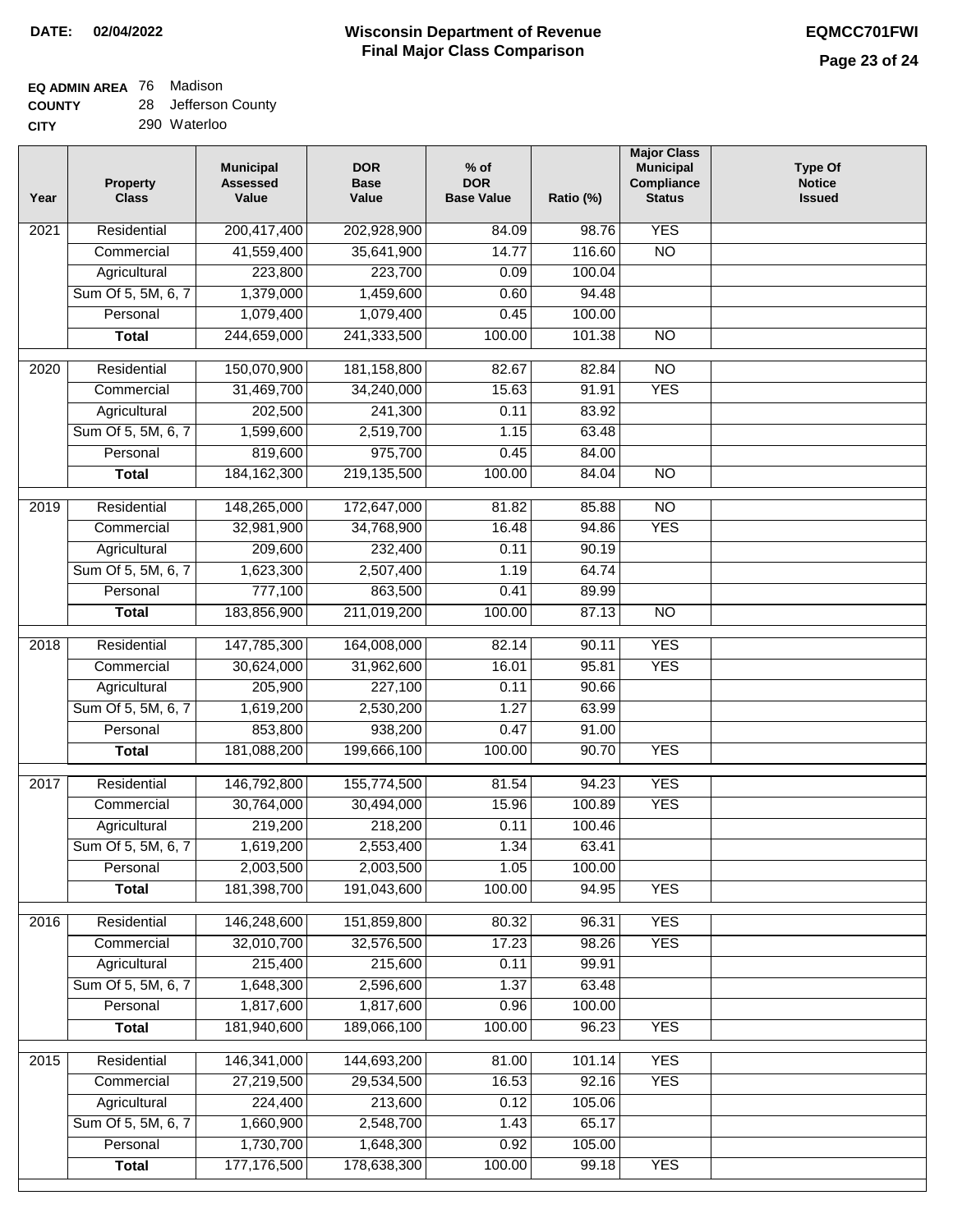## **EQ ADMIN AREA** 76 Madison

**COUNTY CITY** 28 Jefferson County

290 Waterloo

| Year              | <b>Property</b><br><b>Class</b> | <b>Municipal</b><br><b>Assessed</b><br>Value | <b>DOR</b><br><b>Base</b><br>Value | $%$ of<br><b>DOR</b><br><b>Base Value</b> | Ratio (%) | <b>Major Class</b><br><b>Municipal</b><br>Compliance<br><b>Status</b> | Type Of<br><b>Notice</b><br><b>Issued</b> |
|-------------------|---------------------------------|----------------------------------------------|------------------------------------|-------------------------------------------|-----------|-----------------------------------------------------------------------|-------------------------------------------|
| $\overline{202}1$ | Residential                     | 200,417,400                                  | 202,928,900                        | 84.09                                     | 98.76     | <b>YES</b>                                                            |                                           |
|                   | Commercial                      | 41,559,400                                   | 35,641,900                         | 14.77                                     | 116.60    | $\overline{NO}$                                                       |                                           |
|                   | Agricultural                    | 223,800                                      | 223,700                            | 0.09                                      | 100.04    |                                                                       |                                           |
|                   | Sum Of 5, 5M, 6, 7              | 1,379,000                                    | 1,459,600                          | 0.60                                      | 94.48     |                                                                       |                                           |
|                   | Personal                        | 1,079,400                                    | 1,079,400                          | 0.45                                      | 100.00    |                                                                       |                                           |
|                   | <b>Total</b>                    | 244,659,000                                  | 241,333,500                        | 100.00                                    | 101.38    | $\overline{NO}$                                                       |                                           |
| $\overline{2020}$ | Residential                     | 150,070,900                                  | 181,158,800                        | 82.67                                     | 82.84     | $\overline{NO}$                                                       |                                           |
|                   | Commercial                      | 31,469,700                                   | 34,240,000                         | 15.63                                     | 91.91     | <b>YES</b>                                                            |                                           |
|                   | Agricultural                    | 202,500                                      | 241,300                            | 0.11                                      | 83.92     |                                                                       |                                           |
|                   | Sum Of 5, 5M, 6, 7              | 1,599,600                                    | 2,519,700                          | 1.15                                      | 63.48     |                                                                       |                                           |
|                   | Personal                        | 819,600                                      | 975,700                            | 0.45                                      | 84.00     |                                                                       |                                           |
|                   | <b>Total</b>                    | 184, 162, 300                                | 219,135,500                        | 100.00                                    | 84.04     | $\overline{NO}$                                                       |                                           |
|                   |                                 |                                              |                                    |                                           |           |                                                                       |                                           |
| 2019              | Residential                     | 148,265,000                                  | 172,647,000                        | 81.82                                     | 85.88     | $\overline{NO}$                                                       |                                           |
|                   | Commercial                      | 32,981,900                                   | 34,768,900                         | 16.48                                     | 94.86     | <b>YES</b>                                                            |                                           |
|                   | Agricultural                    | 209,600                                      | 232,400                            | 0.11                                      | 90.19     |                                                                       |                                           |
|                   | Sum Of 5, 5M, 6, 7              | 1,623,300                                    | 2,507,400                          | 1.19                                      | 64.74     |                                                                       |                                           |
|                   | Personal                        | 777,100                                      | 863,500                            | 0.41                                      | 89.99     |                                                                       |                                           |
|                   | <b>Total</b>                    | 183,856,900                                  | 211,019,200                        | 100.00                                    | 87.13     | $\overline{NO}$                                                       |                                           |
| 2018              | Residential                     | 147,785,300                                  | 164,008,000                        | 82.14                                     | 90.11     | <b>YES</b>                                                            |                                           |
|                   | Commercial                      | 30,624,000                                   | 31,962,600                         | 16.01                                     | 95.81     | <b>YES</b>                                                            |                                           |
|                   | Agricultural                    | 205,900                                      | 227,100                            | 0.11                                      | 90.66     |                                                                       |                                           |
|                   | Sum Of 5, 5M, 6, 7              | 1,619,200                                    | 2,530,200                          | 1.27                                      | 63.99     |                                                                       |                                           |
|                   | Personal                        | 853,800                                      | 938,200                            | 0.47                                      | 91.00     |                                                                       |                                           |
|                   | <b>Total</b>                    | 181,088,200                                  | 199,666,100                        | 100.00                                    | 90.70     | <b>YES</b>                                                            |                                           |
| 2017              | Residential                     | 146,792,800                                  | 155,774,500                        | 81.54                                     | 94.23     | <b>YES</b>                                                            |                                           |
|                   | Commercial                      | 30,764,000                                   | 30,494,000                         | 15.96                                     | 100.89    | <b>YES</b>                                                            |                                           |
|                   | Agricultural                    | 219,200                                      | 218,200                            | 0.11                                      | 100.46    |                                                                       |                                           |
|                   | Sum Of 5, 5M, 6, 7              | 1,619,200                                    | 2,553,400                          | 1.34                                      | 63.41     |                                                                       |                                           |
|                   | Personal                        | 2,003,500                                    | 2,003,500                          | 1.05                                      | 100.00    |                                                                       |                                           |
|                   | <b>Total</b>                    | 181,398,700                                  | 191,043,600                        | 100.00                                    | 94.95     | <b>YES</b>                                                            |                                           |
| 2016              | Residential                     | 146,248,600                                  | 151,859,800                        | 80.32                                     | 96.31     | <b>YES</b>                                                            |                                           |
|                   | Commercial                      | 32,010,700                                   | 32,576,500                         | 17.23                                     | 98.26     | <b>YES</b>                                                            |                                           |
|                   | Agricultural                    | 215,400                                      | 215,600                            | 0.11                                      | 99.91     |                                                                       |                                           |
|                   | Sum Of 5, 5M, 6, 7              | 1,648,300                                    | 2,596,600                          | 1.37                                      | 63.48     |                                                                       |                                           |
|                   | Personal                        | 1,817,600                                    | 1,817,600                          | 0.96                                      | 100.00    |                                                                       |                                           |
|                   | <b>Total</b>                    | 181,940,600                                  | 189,066,100                        | 100.00                                    | 96.23     | <b>YES</b>                                                            |                                           |
|                   |                                 |                                              |                                    |                                           |           |                                                                       |                                           |
| 2015              | Residential                     | 146,341,000                                  | 144,693,200                        | 81.00                                     | 101.14    | <b>YES</b>                                                            |                                           |
|                   | Commercial                      | 27,219,500                                   | 29,534,500                         | 16.53                                     | 92.16     | <b>YES</b>                                                            |                                           |
|                   | Agricultural                    | 224,400                                      | 213,600                            | 0.12                                      | 105.06    |                                                                       |                                           |
|                   | Sum Of 5, 5M, 6, 7              | 1,660,900                                    | 2,548,700                          | 1.43                                      | 65.17     |                                                                       |                                           |
|                   | Personal                        | 1,730,700                                    | 1,648,300                          | 0.92                                      | 105.00    |                                                                       |                                           |
|                   | <b>Total</b>                    | 177,176,500                                  | 178,638,300                        | 100.00                                    | 99.18     | <b>YES</b>                                                            |                                           |